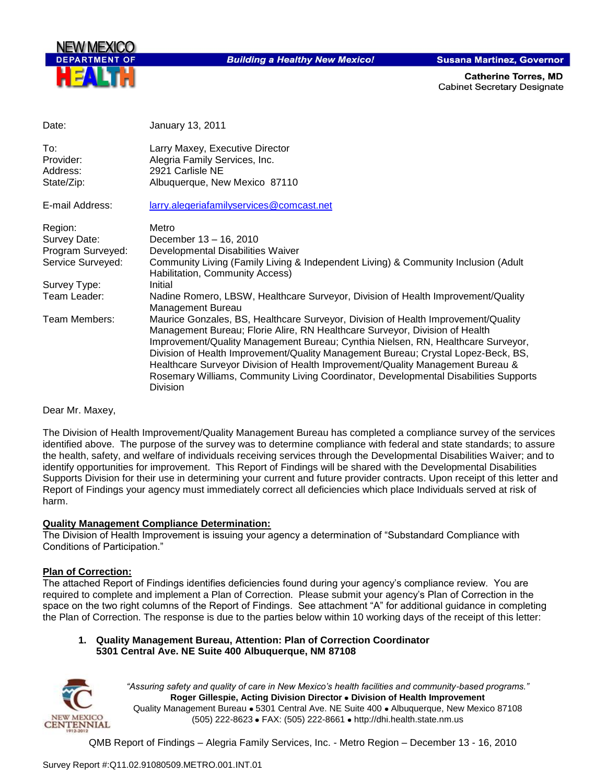

**Building a Healthy New Mexico!** 

**Susana Martinez, Governor** 

**Catherine Torres, MD Cabinet Secretary Designate** 

| Date:                                                                                             | January 13, 2011                                                                                                                                                                                                                                                                                                                                                                                                                                                                                                                                                   |
|---------------------------------------------------------------------------------------------------|--------------------------------------------------------------------------------------------------------------------------------------------------------------------------------------------------------------------------------------------------------------------------------------------------------------------------------------------------------------------------------------------------------------------------------------------------------------------------------------------------------------------------------------------------------------------|
| To:<br>Provider:<br>Address:<br>State/Zip:                                                        | Larry Maxey, Executive Director<br>Alegria Family Services, Inc.<br>2921 Carlisle NE<br>Albuquerque, New Mexico 87110                                                                                                                                                                                                                                                                                                                                                                                                                                              |
| E-mail Address:                                                                                   | larry.alegeriafamilyservices@comcast.net                                                                                                                                                                                                                                                                                                                                                                                                                                                                                                                           |
| Region:<br>Survey Date:<br>Program Surveyed:<br>Service Surveyed:<br>Survey Type:<br>Team Leader: | Metro<br>December 13 - 16, 2010<br>Developmental Disabilities Waiver<br>Community Living (Family Living & Independent Living) & Community Inclusion (Adult<br>Habilitation, Community Access)<br>Initial<br>Nadine Romero, LBSW, Healthcare Surveyor, Division of Health Improvement/Quality                                                                                                                                                                                                                                                                       |
| Team Members:                                                                                     | <b>Management Bureau</b><br>Maurice Gonzales, BS, Healthcare Surveyor, Division of Health Improvement/Quality<br>Management Bureau; Florie Alire, RN Healthcare Surveyor, Division of Health<br>Improvement/Quality Management Bureau; Cynthia Nielsen, RN, Healthcare Surveyor,<br>Division of Health Improvement/Quality Management Bureau; Crystal Lopez-Beck, BS,<br>Healthcare Surveyor Division of Health Improvement/Quality Management Bureau &<br>Rosemary Williams, Community Living Coordinator, Developmental Disabilities Supports<br><b>Division</b> |

Dear Mr. Maxey,

The Division of Health Improvement/Quality Management Bureau has completed a compliance survey of the services identified above. The purpose of the survey was to determine compliance with federal and state standards; to assure the health, safety, and welfare of individuals receiving services through the Developmental Disabilities Waiver; and to identify opportunities for improvement. This Report of Findings will be shared with the Developmental Disabilities Supports Division for their use in determining your current and future provider contracts. Upon receipt of this letter and Report of Findings your agency must immediately correct all deficiencies which place Individuals served at risk of harm.

#### **Quality Management Compliance Determination:**

The Division of Health Improvement is issuing your agency a determination of "Substandard Compliance with Conditions of Participation."

## **Plan of Correction:**

The attached Report of Findings identifies deficiencies found during your agency"s compliance review. You are required to complete and implement a Plan of Correction. Please submit your agency"s Plan of Correction in the space on the two right columns of the Report of Findings. See attachment "A" for additional guidance in completing the Plan of Correction. The response is due to the parties below within 10 working days of the receipt of this letter:

#### **1. Quality Management Bureau, Attention: Plan of Correction Coordinator 5301 Central Ave. NE Suite 400 Albuquerque, NM 87108**



*"Assuring safety and quality of care in New Mexico's health facilities and community-based programs."* **Roger Gillespie, Acting Division Director Division of Health Improvement**  Quality Management Bureau • 5301 Central Ave. NE Suite 400 • Albuquerque, New Mexico 87108 (505) 222-8623 • FAX: (505) 222-8661 • http://dhi.health.state.nm.us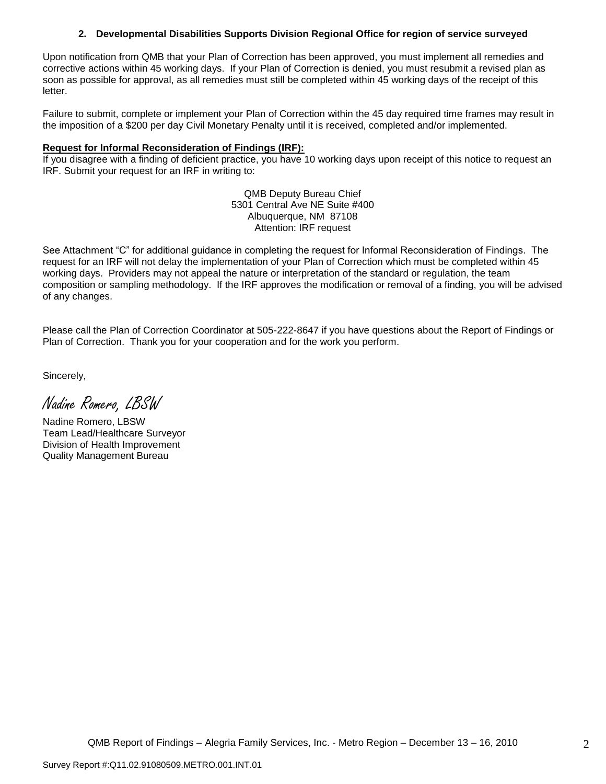## **2. Developmental Disabilities Supports Division Regional Office for region of service surveyed**

Upon notification from QMB that your Plan of Correction has been approved, you must implement all remedies and corrective actions within 45 working days. If your Plan of Correction is denied, you must resubmit a revised plan as soon as possible for approval, as all remedies must still be completed within 45 working days of the receipt of this letter.

Failure to submit, complete or implement your Plan of Correction within the 45 day required time frames may result in the imposition of a \$200 per day Civil Monetary Penalty until it is received, completed and/or implemented.

### **Request for Informal Reconsideration of Findings (IRF):**

If you disagree with a finding of deficient practice, you have 10 working days upon receipt of this notice to request an IRF. Submit your request for an IRF in writing to:

> QMB Deputy Bureau Chief 5301 Central Ave NE Suite #400 Albuquerque, NM 87108 Attention: IRF request

See Attachment "C" for additional guidance in completing the request for Informal Reconsideration of Findings. The request for an IRF will not delay the implementation of your Plan of Correction which must be completed within 45 working days. Providers may not appeal the nature or interpretation of the standard or regulation, the team composition or sampling methodology. If the IRF approves the modification or removal of a finding, you will be advised of any changes.

Please call the Plan of Correction Coordinator at 505-222-8647 if you have questions about the Report of Findings or Plan of Correction. Thank you for your cooperation and for the work you perform.

Sincerely,

Nadine Romero, LBSW

Nadine Romero, LBSW Team Lead/Healthcare Surveyor Division of Health Improvement Quality Management Bureau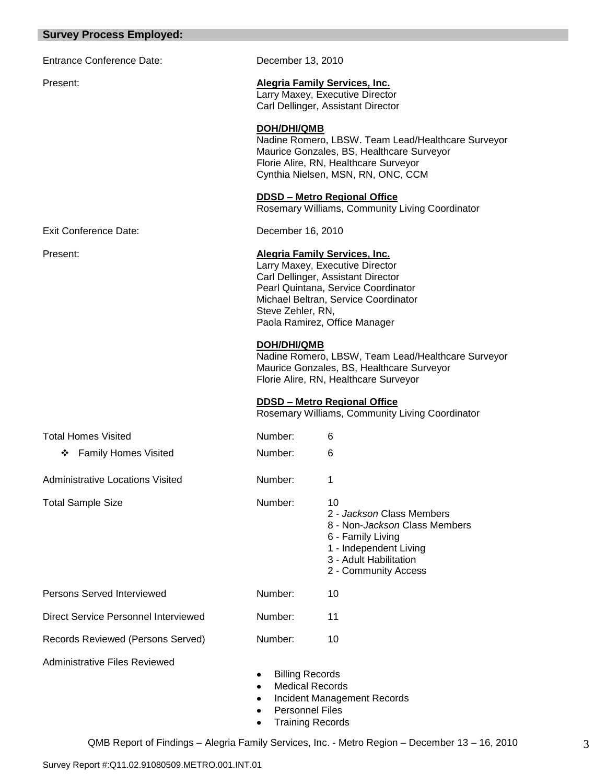#### **Survey Process Employed:**

| Survey Process Employed:             |                                                                                                               |                                                                                                                                                                                                                               |  |
|--------------------------------------|---------------------------------------------------------------------------------------------------------------|-------------------------------------------------------------------------------------------------------------------------------------------------------------------------------------------------------------------------------|--|
| <b>Entrance Conference Date:</b>     | December 13, 2010                                                                                             |                                                                                                                                                                                                                               |  |
| Present:                             | <b>Alegria Family Services, Inc.</b><br>Larry Maxey, Executive Director<br>Carl Dellinger, Assistant Director |                                                                                                                                                                                                                               |  |
|                                      | DOH/DHI/QMB                                                                                                   | Nadine Romero, LBSW. Team Lead/Healthcare Surveyor<br>Maurice Gonzales, BS, Healthcare Surveyor<br>Florie Alire, RN, Healthcare Surveyor<br>Cynthia Nielsen, MSN, RN, ONC, CCM                                                |  |
|                                      |                                                                                                               | <b>DDSD - Metro Regional Office</b><br>Rosemary Williams, Community Living Coordinator                                                                                                                                        |  |
| <b>Exit Conference Date:</b>         | December 16, 2010                                                                                             |                                                                                                                                                                                                                               |  |
| Present:                             | Steve Zehler, RN,                                                                                             | <b>Alegria Family Services, Inc.</b><br>Larry Maxey, Executive Director<br>Carl Dellinger, Assistant Director<br>Pearl Quintana, Service Coordinator<br>Michael Beltran, Service Coordinator<br>Paola Ramirez, Office Manager |  |
|                                      | <b>DOH/DHI/QMB</b>                                                                                            | Nadine Romero, LBSW, Team Lead/Healthcare Surveyor<br>Maurice Gonzales, BS, Healthcare Surveyor<br>Florie Alire, RN, Healthcare Surveyor                                                                                      |  |
|                                      |                                                                                                               | <b>DDSD - Metro Regional Office</b><br>Rosemary Williams, Community Living Coordinator                                                                                                                                        |  |
| <b>Total Homes Visited</b>           | Number:                                                                                                       | 6                                                                                                                                                                                                                             |  |
| ❖ Family Homes Visited               | Number:                                                                                                       | 6                                                                                                                                                                                                                             |  |
| Administrative Locations Visited     | Number:                                                                                                       |                                                                                                                                                                                                                               |  |
| <b>Total Sample Size</b>             | Number:                                                                                                       | 10<br>2 - Jackson Class Members<br>8 - Non-Jackson Class Members<br>6 - Family Living<br>1 - Independent Living<br>3 - Adult Habilitation<br>2 - Community Access                                                             |  |
| <b>Persons Served Interviewed</b>    | Number:                                                                                                       | 10                                                                                                                                                                                                                            |  |
| Direct Service Personnel Interviewed | Number:                                                                                                       | 11                                                                                                                                                                                                                            |  |
| Records Reviewed (Persons Served)    | Number:                                                                                                       | 10                                                                                                                                                                                                                            |  |
| <b>Administrative Files Reviewed</b> |                                                                                                               |                                                                                                                                                                                                                               |  |

- Billing Records  $\bullet$
- Medical Records  $\bullet$
- Incident Management Records  $\bullet$
- Personnel Files  $\bullet$
- Training Records $\bullet$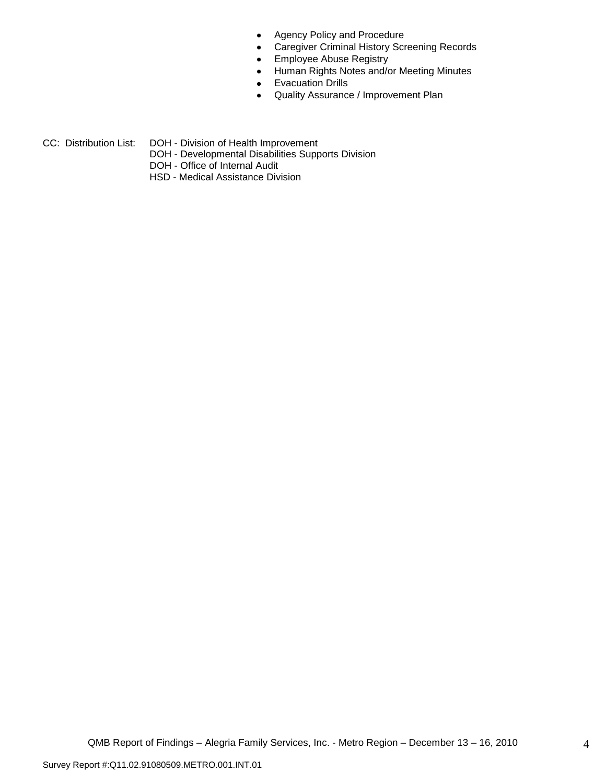- Agency Policy and Procedure  $\bullet$
- Caregiver Criminal History Screening Records  $\bullet$
- Employee Abuse Registry  $\bullet$
- Human Rights Notes and/or Meeting Minutes  $\bullet$
- Evacuation Drills  $\bullet$
- Quality Assurance / Improvement Plan  $\bullet$
- CC: Distribution List: DOH Division of Health Improvement
	- DOH Developmental Disabilities Supports Division
	- DOH Office of Internal Audit
	- HSD Medical Assistance Division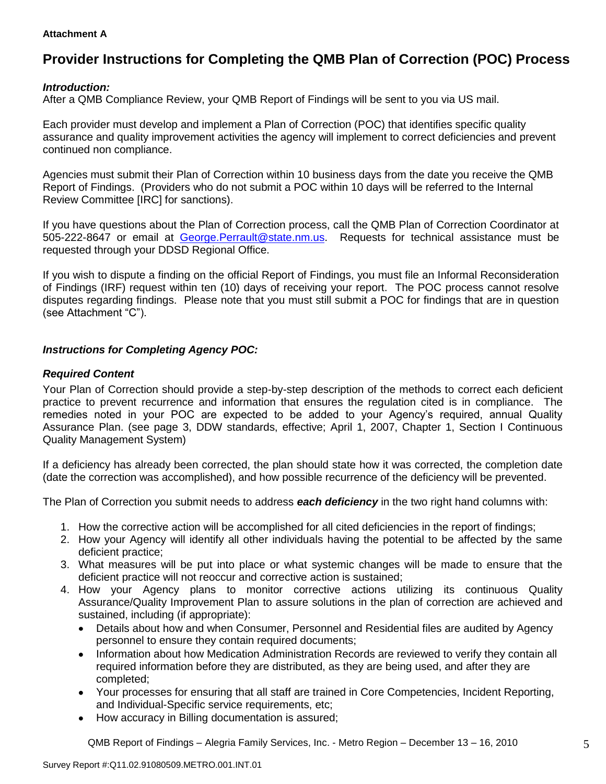## **Attachment A**

# **Provider Instructions for Completing the QMB Plan of Correction (POC) Process**

## *Introduction:*

After a QMB Compliance Review, your QMB Report of Findings will be sent to you via US mail.

Each provider must develop and implement a Plan of Correction (POC) that identifies specific quality assurance and quality improvement activities the agency will implement to correct deficiencies and prevent continued non compliance.

Agencies must submit their Plan of Correction within 10 business days from the date you receive the QMB Report of Findings. (Providers who do not submit a POC within 10 days will be referred to the Internal Review Committee [IRC] for sanctions).

If you have questions about the Plan of Correction process, call the QMB Plan of Correction Coordinator at 505-222-8647 or email at George.Perrault@state.nm.us. Requests for technical assistance must be requested through your DDSD Regional Office.

If you wish to dispute a finding on the official Report of Findings, you must file an Informal Reconsideration of Findings (IRF) request within ten (10) days of receiving your report. The POC process cannot resolve disputes regarding findings. Please note that you must still submit a POC for findings that are in question (see Attachment "C").

## *Instructions for Completing Agency POC:*

## *Required Content*

Your Plan of Correction should provide a step-by-step description of the methods to correct each deficient practice to prevent recurrence and information that ensures the regulation cited is in compliance. The remedies noted in your POC are expected to be added to your Agency"s required, annual Quality Assurance Plan. (see page 3, DDW standards, effective; April 1, 2007, Chapter 1, Section I Continuous Quality Management System)

If a deficiency has already been corrected, the plan should state how it was corrected, the completion date (date the correction was accomplished), and how possible recurrence of the deficiency will be prevented.

The Plan of Correction you submit needs to address *each deficiency* in the two right hand columns with:

- 1. How the corrective action will be accomplished for all cited deficiencies in the report of findings;
- 2. How your Agency will identify all other individuals having the potential to be affected by the same deficient practice;
- 3. What measures will be put into place or what systemic changes will be made to ensure that the deficient practice will not reoccur and corrective action is sustained;
- 4. How your Agency plans to monitor corrective actions utilizing its continuous Quality Assurance/Quality Improvement Plan to assure solutions in the plan of correction are achieved and sustained, including (if appropriate):
	- Details about how and when Consumer, Personnel and Residential files are audited by Agency  $\bullet$ personnel to ensure they contain required documents;
	- Information about how Medication Administration Records are reviewed to verify they contain all  $\bullet$ required information before they are distributed, as they are being used, and after they are completed;
	- Your processes for ensuring that all staff are trained in Core Competencies, Incident Reporting, and Individual-Specific service requirements, etc;
	- How accuracy in Billing documentation is assured;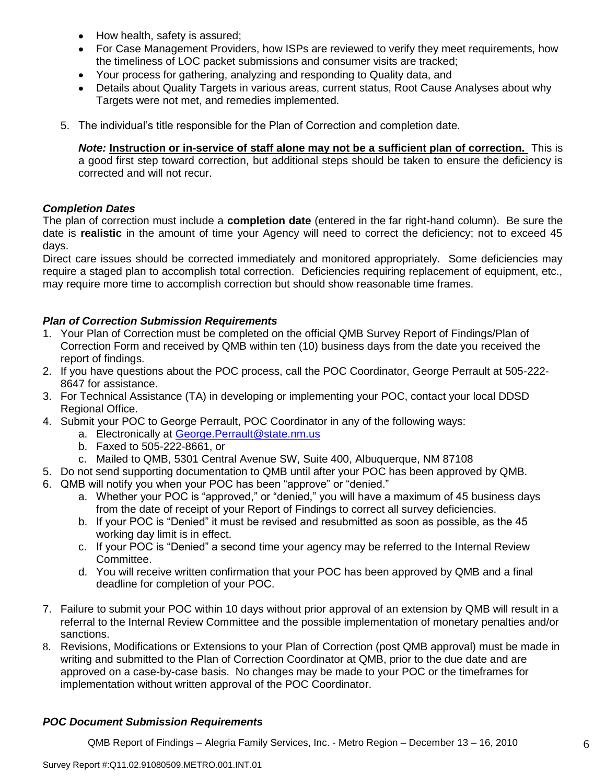- How health, safety is assured;  $\bullet$
- For Case Management Providers, how ISPs are reviewed to verify they meet requirements, how the timeliness of LOC packet submissions and consumer visits are tracked;
- Your process for gathering, analyzing and responding to Quality data, and
- Details about Quality Targets in various areas, current status, Root Cause Analyses about why Targets were not met, and remedies implemented.
- 5. The individual"s title responsible for the Plan of Correction and completion date.

*Note:* **Instruction or in-service of staff alone may not be a sufficient plan of correction.** This is a good first step toward correction, but additional steps should be taken to ensure the deficiency is corrected and will not recur.

## *Completion Dates*

The plan of correction must include a **completion date** (entered in the far right-hand column). Be sure the date is **realistic** in the amount of time your Agency will need to correct the deficiency; not to exceed 45 days.

Direct care issues should be corrected immediately and monitored appropriately. Some deficiencies may require a staged plan to accomplish total correction. Deficiencies requiring replacement of equipment, etc., may require more time to accomplish correction but should show reasonable time frames.

## *Plan of Correction Submission Requirements*

- 1. Your Plan of Correction must be completed on the official QMB Survey Report of Findings/Plan of Correction Form and received by QMB within ten (10) business days from the date you received the report of findings.
- 2. If you have questions about the POC process, call the POC Coordinator, George Perrault at 505-222- 8647 for assistance.
- 3. For Technical Assistance (TA) in developing or implementing your POC, contact your local DDSD Regional Office.
- 4. Submit your POC to George Perrault, POC Coordinator in any of the following ways:
	- a. Electronically at [George.Perrault@state.nm.us](mailto:George.Perrault@state.nm.us)
	- b. Faxed to 505-222-8661, or
	- c. Mailed to QMB, 5301 Central Avenue SW, Suite 400, Albuquerque, NM 87108
- 5. Do not send supporting documentation to QMB until after your POC has been approved by QMB.
- 6. QMB will notify you when your POC has been "approve" or "denied."
	- a. Whether your POC is "approved," or "denied," you will have a maximum of 45 business days from the date of receipt of your Report of Findings to correct all survey deficiencies.
	- b. If your POC is "Denied" it must be revised and resubmitted as soon as possible, as the 45 working day limit is in effect.
	- c. If your POC is "Denied" a second time your agency may be referred to the Internal Review Committee.
	- d. You will receive written confirmation that your POC has been approved by QMB and a final deadline for completion of your POC.
- 7. Failure to submit your POC within 10 days without prior approval of an extension by QMB will result in a referral to the Internal Review Committee and the possible implementation of monetary penalties and/or sanctions.
- 8. Revisions, Modifications or Extensions to your Plan of Correction (post QMB approval) must be made in writing and submitted to the Plan of Correction Coordinator at QMB, prior to the due date and are approved on a case-by-case basis. No changes may be made to your POC or the timeframes for implementation without written approval of the POC Coordinator.

## *POC Document Submission Requirements*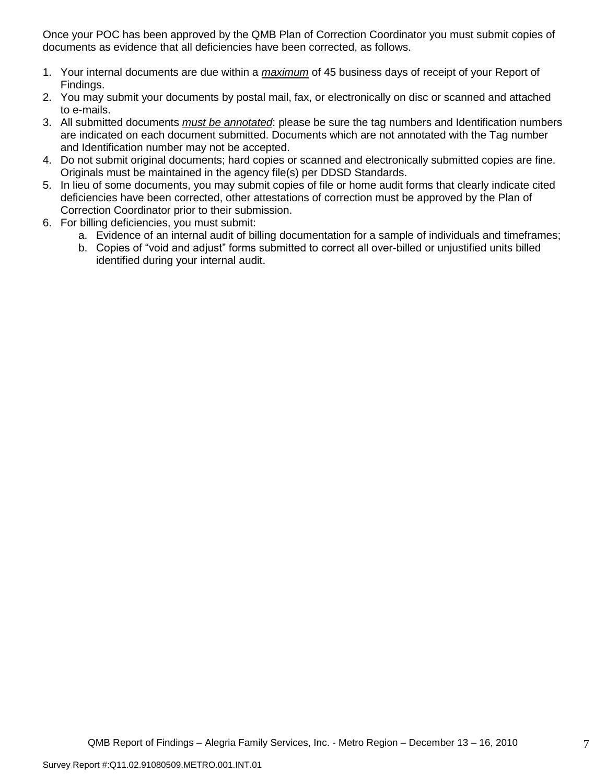Once your POC has been approved by the QMB Plan of Correction Coordinator you must submit copies of documents as evidence that all deficiencies have been corrected, as follows.

- 1. Your internal documents are due within a *maximum* of 45 business days of receipt of your Report of Findings.
- 2. You may submit your documents by postal mail, fax, or electronically on disc or scanned and attached to e-mails.
- 3. All submitted documents *must be annotated*: please be sure the tag numbers and Identification numbers are indicated on each document submitted. Documents which are not annotated with the Tag number and Identification number may not be accepted.
- 4. Do not submit original documents; hard copies or scanned and electronically submitted copies are fine. Originals must be maintained in the agency file(s) per DDSD Standards.
- 5. In lieu of some documents, you may submit copies of file or home audit forms that clearly indicate cited deficiencies have been corrected, other attestations of correction must be approved by the Plan of Correction Coordinator prior to their submission.
- 6. For billing deficiencies, you must submit:
	- a. Evidence of an internal audit of billing documentation for a sample of individuals and timeframes;
	- b. Copies of "void and adjust" forms submitted to correct all over-billed or unjustified units billed identified during your internal audit.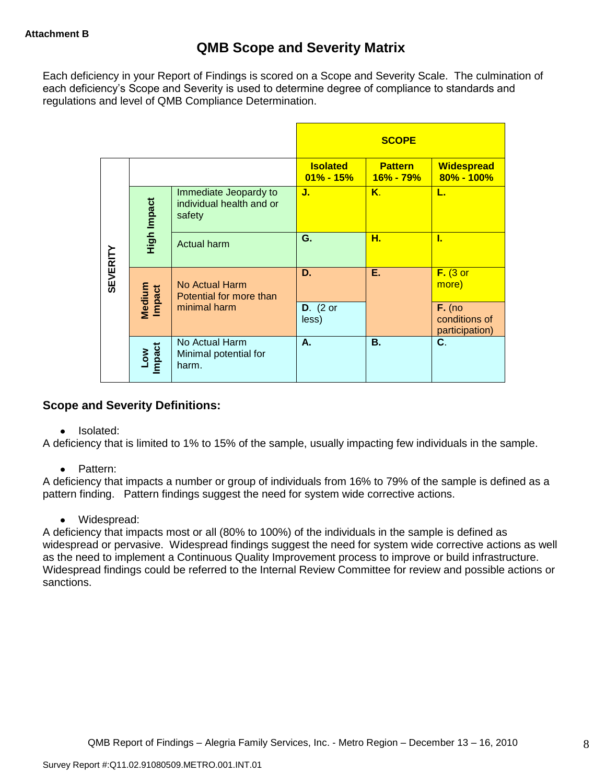Each deficiency in your Report of Findings is scored on a Scope and Severity Scale. The culmination of each deficiency"s Scope and Severity is used to determine degree of compliance to standards and regulations and level of QMB Compliance Determination.

|                 |                      |                                                             |                                  | <b>SCOPE</b>                |                                             |
|-----------------|----------------------|-------------------------------------------------------------|----------------------------------|-----------------------------|---------------------------------------------|
|                 |                      |                                                             | <b>Isolated</b><br>$01\% - 15\%$ | <b>Pattern</b><br>16% - 79% | <b>Widespread</b><br>80% - 100%             |
|                 | High Impact          | Immediate Jeopardy to<br>individual health and or<br>safety | J.                               | Κ.                          | L.                                          |
|                 |                      | <b>Actual harm</b>                                          | G.                               | н.                          | L                                           |
| <b>SEVERITY</b> | Medium<br>Impact     | No Actual Harm<br>Potential for more than                   | D.                               | Ε.                          | $F.$ (3 or<br>more)                         |
|                 |                      | minimal harm                                                | $D.$ (2 or<br>less)              |                             | $F.$ (no<br>conditions of<br>participation) |
|                 | <b>Impact</b><br>Low | No Actual Harm<br>Minimal potential for<br>harm.            | А.                               | <b>B.</b>                   | C.                                          |

## **Scope and Severity Definitions:**

• Isolated:

A deficiency that is limited to 1% to 15% of the sample, usually impacting few individuals in the sample.

• Pattern:

A deficiency that impacts a number or group of individuals from 16% to 79% of the sample is defined as a pattern finding. Pattern findings suggest the need for system wide corrective actions.

• Widespread:

A deficiency that impacts most or all (80% to 100%) of the individuals in the sample is defined as widespread or pervasive. Widespread findings suggest the need for system wide corrective actions as well as the need to implement a Continuous Quality Improvement process to improve or build infrastructure. Widespread findings could be referred to the Internal Review Committee for review and possible actions or sanctions.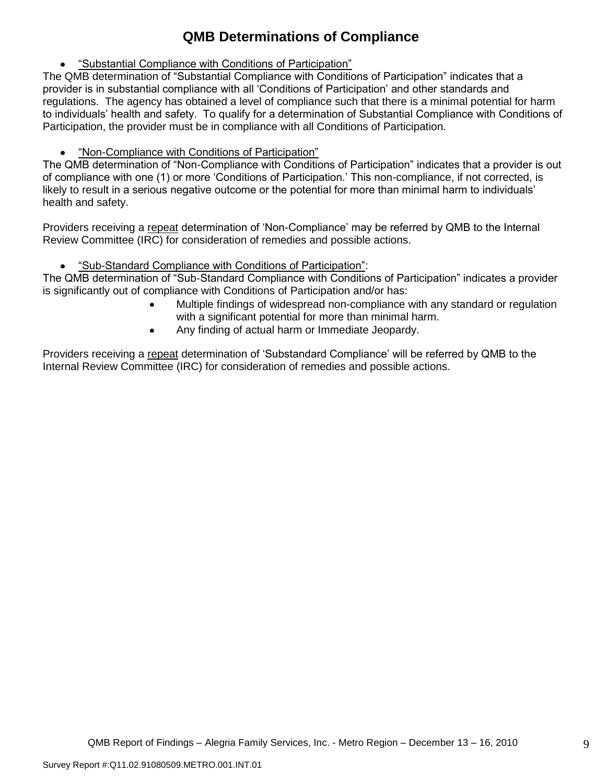# **QMB Determinations of Compliance**

"Substantial Compliance with Conditions of Participation"

The QMB determination of "Substantial Compliance with Conditions of Participation" indicates that a provider is in substantial compliance with all "Conditions of Participation" and other standards and regulations. The agency has obtained a level of compliance such that there is a minimal potential for harm to individuals" health and safety. To qualify for a determination of Substantial Compliance with Conditions of Participation, the provider must be in compliance with all Conditions of Participation.

"Non-Compliance with Conditions of Participation"

The QMB determination of "Non-Compliance with Conditions of Participation" indicates that a provider is out of compliance with one (1) or more "Conditions of Participation." This non-compliance, if not corrected, is likely to result in a serious negative outcome or the potential for more than minimal harm to individuals" health and safety.

Providers receiving a repeat determination of 'Non-Compliance' may be referred by QMB to the Internal Review Committee (IRC) for consideration of remedies and possible actions.

"Sub-Standard Compliance with Conditions of Participation":

The QMB determination of "Sub-Standard Compliance with Conditions of Participation" indicates a provider is significantly out of compliance with Conditions of Participation and/or has:

- Multiple findings of widespread non-compliance with any standard or regulation with a significant potential for more than minimal harm.
- Any finding of actual harm or Immediate Jeopardy.

Providers receiving a repeat determination of 'Substandard Compliance' will be referred by QMB to the Internal Review Committee (IRC) for consideration of remedies and possible actions.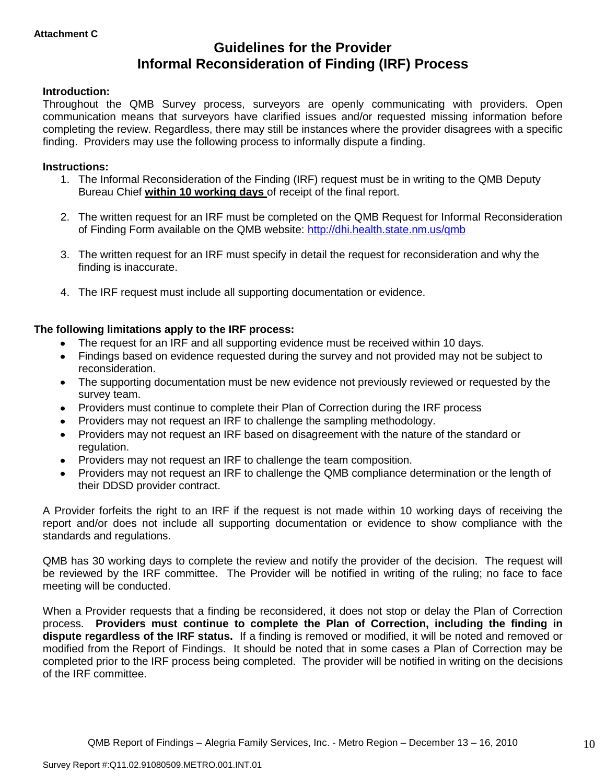# **Guidelines for the Provider Informal Reconsideration of Finding (IRF) Process**

## **Introduction:**

Throughout the QMB Survey process, surveyors are openly communicating with providers. Open communication means that surveyors have clarified issues and/or requested missing information before completing the review. Regardless, there may still be instances where the provider disagrees with a specific finding. Providers may use the following process to informally dispute a finding.

## **Instructions:**

- 1. The Informal Reconsideration of the Finding (IRF) request must be in writing to the QMB Deputy Bureau Chief **within 10 working days** of receipt of the final report.
- 2. The written request for an IRF must be completed on the QMB Request for Informal Reconsideration of Finding Form available on the QMB website:<http://dhi.health.state.nm.us/qmb>
- 3. The written request for an IRF must specify in detail the request for reconsideration and why the finding is inaccurate.
- 4. The IRF request must include all supporting documentation or evidence.

## **The following limitations apply to the IRF process:**

- The request for an IRF and all supporting evidence must be received within 10 days.
- Findings based on evidence requested during the survey and not provided may not be subject to reconsideration.
- The supporting documentation must be new evidence not previously reviewed or requested by the survey team.
- Providers must continue to complete their Plan of Correction during the IRF process  $\bullet$
- Providers may not request an IRF to challenge the sampling methodology.
- Providers may not request an IRF based on disagreement with the nature of the standard or  $\bullet$ regulation.
- Providers may not request an IRF to challenge the team composition.
- Providers may not request an IRF to challenge the QMB compliance determination or the length of  $\bullet$ their DDSD provider contract.

A Provider forfeits the right to an IRF if the request is not made within 10 working days of receiving the report and/or does not include all supporting documentation or evidence to show compliance with the standards and regulations.

QMB has 30 working days to complete the review and notify the provider of the decision. The request will be reviewed by the IRF committee. The Provider will be notified in writing of the ruling; no face to face meeting will be conducted.

When a Provider requests that a finding be reconsidered, it does not stop or delay the Plan of Correction process. **Providers must continue to complete the Plan of Correction, including the finding in dispute regardless of the IRF status.** If a finding is removed or modified, it will be noted and removed or modified from the Report of Findings. It should be noted that in some cases a Plan of Correction may be completed prior to the IRF process being completed. The provider will be notified in writing on the decisions of the IRF committee.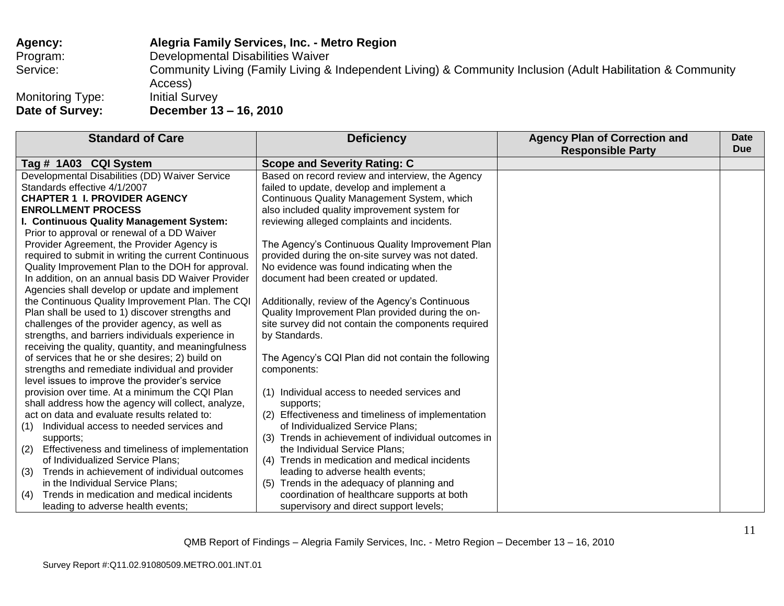## **Agency: Alegria Family Services, Inc. - Metro Region** Program: Developmental Disabilities Waiver Service: **Community Living (Family Living & Independent Living) & Community Inclusion (Adult Habilitation & Community Inclusion (Adult Habilitation & Community** Access) Monitoring Type: Initial Survey<br> **Date of Survey: December 13 Date of Survey: December 13 – 16, 2010**

| <b>Standard of Care</b>                               | <b>Deficiency</b>                                      | <b>Agency Plan of Correction and</b><br><b>Responsible Party</b> | Date<br><b>Due</b> |
|-------------------------------------------------------|--------------------------------------------------------|------------------------------------------------------------------|--------------------|
| Tag # 1A03 CQI System                                 | <b>Scope and Severity Rating: C</b>                    |                                                                  |                    |
| Developmental Disabilities (DD) Waiver Service        | Based on record review and interview, the Agency       |                                                                  |                    |
| Standards effective 4/1/2007                          | failed to update, develop and implement a              |                                                                  |                    |
| <b>CHAPTER 1 I. PROVIDER AGENCY</b>                   | Continuous Quality Management System, which            |                                                                  |                    |
| <b>ENROLLMENT PROCESS</b>                             | also included quality improvement system for           |                                                                  |                    |
| I. Continuous Quality Management System:              | reviewing alleged complaints and incidents.            |                                                                  |                    |
| Prior to approval or renewal of a DD Waiver           |                                                        |                                                                  |                    |
| Provider Agreement, the Provider Agency is            | The Agency's Continuous Quality Improvement Plan       |                                                                  |                    |
| required to submit in writing the current Continuous  | provided during the on-site survey was not dated.      |                                                                  |                    |
| Quality Improvement Plan to the DOH for approval.     | No evidence was found indicating when the              |                                                                  |                    |
| In addition, on an annual basis DD Waiver Provider    | document had been created or updated.                  |                                                                  |                    |
| Agencies shall develop or update and implement        |                                                        |                                                                  |                    |
| the Continuous Quality Improvement Plan. The CQI      | Additionally, review of the Agency's Continuous        |                                                                  |                    |
| Plan shall be used to 1) discover strengths and       | Quality Improvement Plan provided during the on-       |                                                                  |                    |
| challenges of the provider agency, as well as         | site survey did not contain the components required    |                                                                  |                    |
| strengths, and barriers individuals experience in     | by Standards.                                          |                                                                  |                    |
| receiving the quality, quantity, and meaningfulness   |                                                        |                                                                  |                    |
| of services that he or she desires; 2) build on       | The Agency's CQI Plan did not contain the following    |                                                                  |                    |
| strengths and remediate individual and provider       | components:                                            |                                                                  |                    |
| level issues to improve the provider's service        |                                                        |                                                                  |                    |
| provision over time. At a minimum the CQI Plan        | (1) Individual access to needed services and           |                                                                  |                    |
| shall address how the agency will collect, analyze,   | supports;                                              |                                                                  |                    |
| act on data and evaluate results related to:          | (2) Effectiveness and timeliness of implementation     |                                                                  |                    |
| Individual access to needed services and<br>(1)       | of Individualized Service Plans;                       |                                                                  |                    |
| supports;                                             | Trends in achievement of individual outcomes in<br>(3) |                                                                  |                    |
| Effectiveness and timeliness of implementation<br>(2) | the Individual Service Plans;                          |                                                                  |                    |
| of Individualized Service Plans;                      | (4) Trends in medication and medical incidents         |                                                                  |                    |
| Trends in achievement of individual outcomes<br>(3)   | leading to adverse health events;                      |                                                                  |                    |
| in the Individual Service Plans;                      | Trends in the adequacy of planning and<br>(5)          |                                                                  |                    |
| Trends in medication and medical incidents<br>(4)     | coordination of healthcare supports at both            |                                                                  |                    |
| leading to adverse health events;                     | supervisory and direct support levels;                 |                                                                  |                    |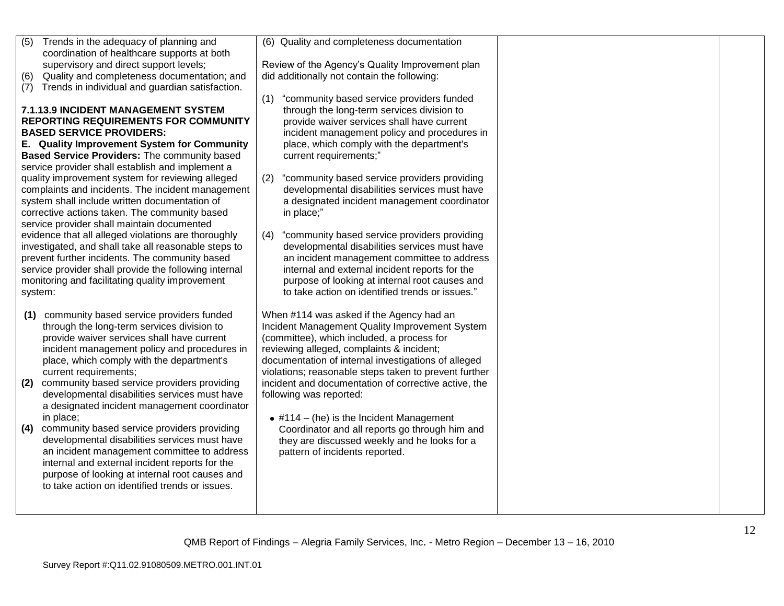| Trends in the adequacy of planning and<br>(5)<br>coordination of healthcare supports at both<br>supervisory and direct support levels;<br>Quality and completeness documentation; and<br>(6)<br>Trends in individual and guardian satisfaction.<br>(7)<br><b>7.1.13.9 INCIDENT MANAGEMENT SYSTEM</b><br><b>REPORTING REQUIREMENTS FOR COMMUNITY</b><br><b>BASED SERVICE PROVIDERS:</b><br>E. Quality Improvement System for Community<br>Based Service Providers: The community based<br>service provider shall establish and implement a<br>quality improvement system for reviewing alleged<br>complaints and incidents. The incident management<br>system shall include written documentation of<br>corrective actions taken. The community based<br>service provider shall maintain documented<br>evidence that all alleged violations are thoroughly<br>investigated, and shall take all reasonable steps to<br>prevent further incidents. The community based<br>service provider shall provide the following internal<br>monitoring and facilitating quality improvement | (6) Quality and completeness documentation<br>Review of the Agency's Quality Improvement plan<br>did additionally not contain the following:<br>"community based service providers funded<br>(1)<br>through the long-term services division to<br>provide waiver services shall have current<br>incident management policy and procedures in<br>place, which comply with the department's<br>current requirements;"<br>"community based service providers providing<br>(2)<br>developmental disabilities services must have<br>a designated incident management coordinator<br>in place;"<br>"community based service providers providing<br>(4)<br>developmental disabilities services must have<br>an incident management committee to address<br>internal and external incident reports for the<br>purpose of looking at internal root causes and |  |
|---------------------------------------------------------------------------------------------------------------------------------------------------------------------------------------------------------------------------------------------------------------------------------------------------------------------------------------------------------------------------------------------------------------------------------------------------------------------------------------------------------------------------------------------------------------------------------------------------------------------------------------------------------------------------------------------------------------------------------------------------------------------------------------------------------------------------------------------------------------------------------------------------------------------------------------------------------------------------------------------------------------------------------------------------------------------------------|------------------------------------------------------------------------------------------------------------------------------------------------------------------------------------------------------------------------------------------------------------------------------------------------------------------------------------------------------------------------------------------------------------------------------------------------------------------------------------------------------------------------------------------------------------------------------------------------------------------------------------------------------------------------------------------------------------------------------------------------------------------------------------------------------------------------------------------------------|--|
| system:<br>community based service providers funded<br>(1)<br>through the long-term services division to<br>provide waiver services shall have current<br>incident management policy and procedures in<br>place, which comply with the department's<br>current requirements;<br>community based service providers providing<br>(2)<br>developmental disabilities services must have<br>a designated incident management coordinator<br>in place;<br>community based service providers providing<br>(4)<br>developmental disabilities services must have<br>an incident management committee to address<br>internal and external incident reports for the<br>purpose of looking at internal root causes and<br>to take action on identified trends or issues.                                                                                                                                                                                                                                                                                                                    | to take action on identified trends or issues."<br>When #114 was asked if the Agency had an<br>Incident Management Quality Improvement System<br>(committee), which included, a process for<br>reviewing alleged, complaints & incident;<br>documentation of internal investigations of alleged<br>violations; reasonable steps taken to prevent further<br>incident and documentation of corrective active, the<br>following was reported:<br>$\bullet$ #114 – (he) is the Incident Management<br>Coordinator and all reports go through him and<br>they are discussed weekly and he looks for a<br>pattern of incidents reported.                                                                                                                                                                                                                  |  |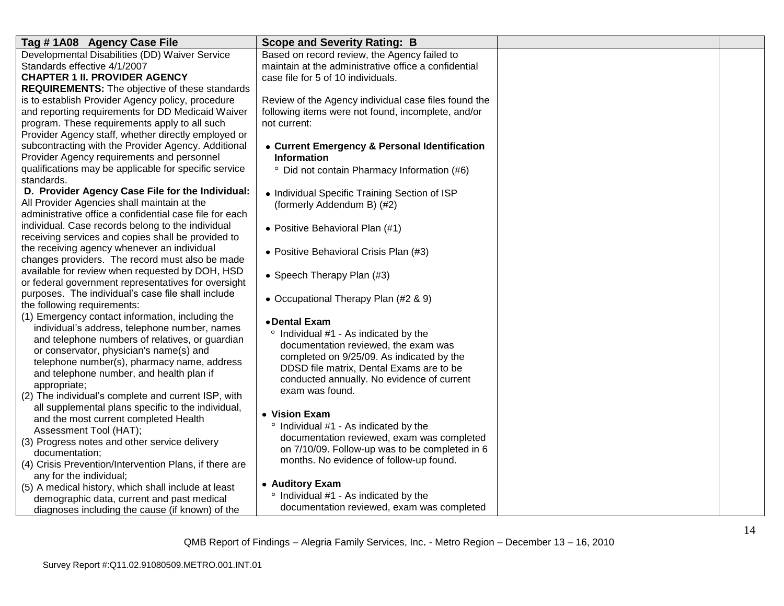| Tag #1A08 Agency Case File                              | <b>Scope and Severity Rating: B</b>                  |  |
|---------------------------------------------------------|------------------------------------------------------|--|
| Developmental Disabilities (DD) Waiver Service          | Based on record review, the Agency failed to         |  |
| Standards effective 4/1/2007                            | maintain at the administrative office a confidential |  |
| <b>CHAPTER 1 II. PROVIDER AGENCY</b>                    | case file for 5 of 10 individuals.                   |  |
| <b>REQUIREMENTS:</b> The objective of these standards   |                                                      |  |
| is to establish Provider Agency policy, procedure       | Review of the Agency individual case files found the |  |
| and reporting requirements for DD Medicaid Waiver       | following items were not found, incomplete, and/or   |  |
| program. These requirements apply to all such           | not current:                                         |  |
| Provider Agency staff, whether directly employed or     |                                                      |  |
| subcontracting with the Provider Agency. Additional     | • Current Emergency & Personal Identification        |  |
| Provider Agency requirements and personnel              | <b>Information</b>                                   |  |
| qualifications may be applicable for specific service   | Did not contain Pharmacy Information (#6)            |  |
| standards.                                              |                                                      |  |
| D. Provider Agency Case File for the Individual:        | • Individual Specific Training Section of ISP        |  |
| All Provider Agencies shall maintain at the             | (formerly Addendum B) (#2)                           |  |
| administrative office a confidential case file for each |                                                      |  |
| individual. Case records belong to the individual       | • Positive Behavioral Plan (#1)                      |  |
| receiving services and copies shall be provided to      |                                                      |  |
| the receiving agency whenever an individual             | • Positive Behavioral Crisis Plan (#3)               |  |
| changes providers. The record must also be made         |                                                      |  |
| available for review when requested by DOH, HSD         | • Speech Therapy Plan (#3)                           |  |
| or federal government representatives for oversight     |                                                      |  |
| purposes. The individual's case file shall include      | • Occupational Therapy Plan (#2 & 9)                 |  |
| the following requirements:                             |                                                      |  |
| (1) Emergency contact information, including the        | • Dental Exam                                        |  |
| individual's address, telephone number, names           | ° Individual #1 - As indicated by the                |  |
| and telephone numbers of relatives, or guardian         | documentation reviewed, the exam was                 |  |
| or conservator, physician's name(s) and                 | completed on 9/25/09. As indicated by the            |  |
| telephone number(s), pharmacy name, address             | DDSD file matrix, Dental Exams are to be             |  |
| and telephone number, and health plan if                | conducted annually. No evidence of current           |  |
| appropriate;                                            | exam was found.                                      |  |
| (2) The individual's complete and current ISP, with     |                                                      |  |
| all supplemental plans specific to the individual,      | • Vision Exam                                        |  |
| and the most current completed Health                   | <sup>o</sup> Individual #1 - As indicated by the     |  |
| Assessment Tool (HAT);                                  | documentation reviewed, exam was completed           |  |
| (3) Progress notes and other service delivery           | on 7/10/09. Follow-up was to be completed in 6       |  |
| documentation;                                          | months. No evidence of follow-up found.              |  |
| (4) Crisis Prevention/Intervention Plans, if there are  |                                                      |  |
| any for the individual;                                 |                                                      |  |
| (5) A medical history, which shall include at least     | • Auditory Exam                                      |  |
| demographic data, current and past medical              | <sup>o</sup> Individual #1 - As indicated by the     |  |
| diagnoses including the cause (if known) of the         | documentation reviewed, exam was completed           |  |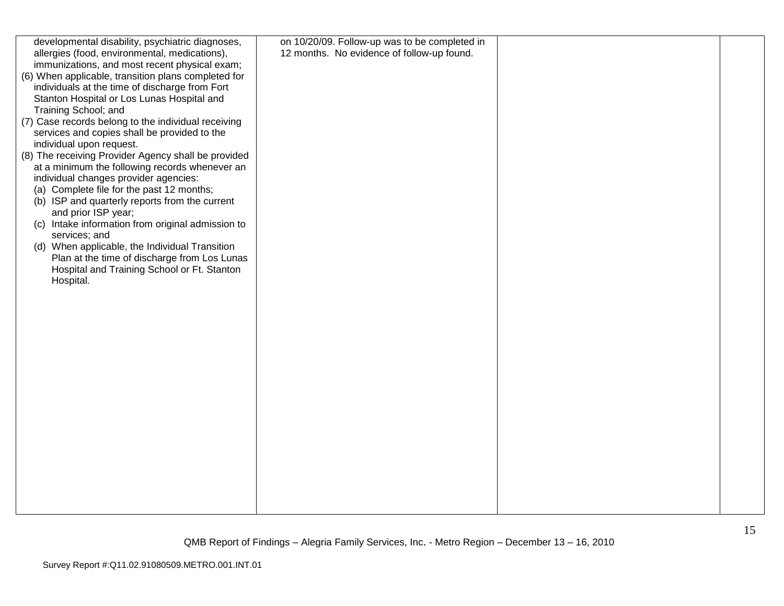| developmental disability, psychiatric diagnoses,    | on 10/20/09. Follow-up was to be completed in |  |
|-----------------------------------------------------|-----------------------------------------------|--|
| allergies (food, environmental, medications),       | 12 months. No evidence of follow-up found.    |  |
| immunizations, and most recent physical exam;       |                                               |  |
| (6) When applicable, transition plans completed for |                                               |  |
| individuals at the time of discharge from Fort      |                                               |  |
|                                                     |                                               |  |
| Stanton Hospital or Los Lunas Hospital and          |                                               |  |
| Training School; and                                |                                               |  |
| (7) Case records belong to the individual receiving |                                               |  |
| services and copies shall be provided to the        |                                               |  |
| individual upon request.                            |                                               |  |
| (8) The receiving Provider Agency shall be provided |                                               |  |
| at a minimum the following records whenever an      |                                               |  |
| individual changes provider agencies:               |                                               |  |
| (a) Complete file for the past 12 months;           |                                               |  |
| (b) ISP and quarterly reports from the current      |                                               |  |
| and prior ISP year;                                 |                                               |  |
| (c) Intake information from original admission to   |                                               |  |
| services; and                                       |                                               |  |
| (d) When applicable, the Individual Transition      |                                               |  |
| Plan at the time of discharge from Los Lunas        |                                               |  |
| Hospital and Training School or Ft. Stanton         |                                               |  |
| Hospital.                                           |                                               |  |
|                                                     |                                               |  |
|                                                     |                                               |  |
|                                                     |                                               |  |
|                                                     |                                               |  |
|                                                     |                                               |  |
|                                                     |                                               |  |
|                                                     |                                               |  |
|                                                     |                                               |  |
|                                                     |                                               |  |
|                                                     |                                               |  |
|                                                     |                                               |  |
|                                                     |                                               |  |
|                                                     |                                               |  |
|                                                     |                                               |  |
|                                                     |                                               |  |
|                                                     |                                               |  |
|                                                     |                                               |  |
|                                                     |                                               |  |
|                                                     |                                               |  |
|                                                     |                                               |  |
|                                                     |                                               |  |
|                                                     |                                               |  |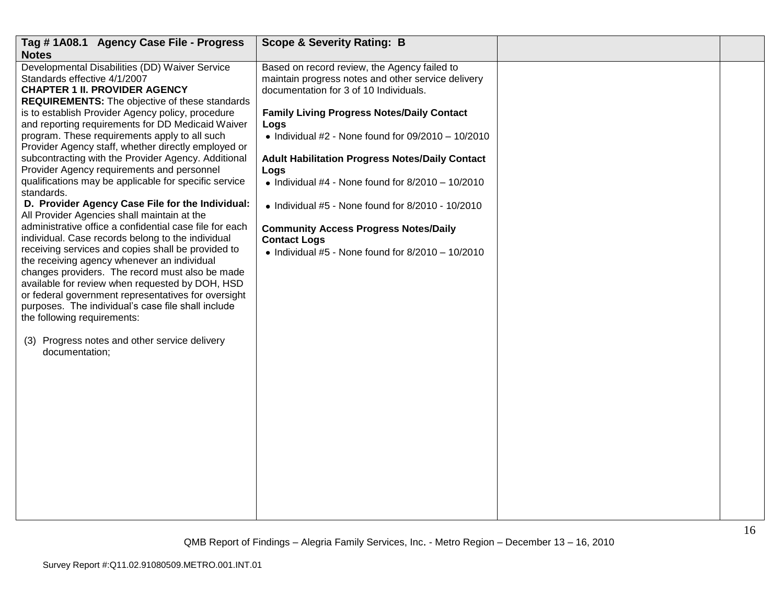| Tag #1A08.1 Agency Case File - Progress                                                                                                                                                                                                                                                                                                                                                                                                                                                                                                                                                                                                                                                                                                                                                                                                                                                                                                                                                                                                                                                                                                                                                                                                    | <b>Scope &amp; Severity Rating: B</b>                                                                                                                                                                                                                                                                                                                                                                                                                                                                                                                                                       |  |
|--------------------------------------------------------------------------------------------------------------------------------------------------------------------------------------------------------------------------------------------------------------------------------------------------------------------------------------------------------------------------------------------------------------------------------------------------------------------------------------------------------------------------------------------------------------------------------------------------------------------------------------------------------------------------------------------------------------------------------------------------------------------------------------------------------------------------------------------------------------------------------------------------------------------------------------------------------------------------------------------------------------------------------------------------------------------------------------------------------------------------------------------------------------------------------------------------------------------------------------------|---------------------------------------------------------------------------------------------------------------------------------------------------------------------------------------------------------------------------------------------------------------------------------------------------------------------------------------------------------------------------------------------------------------------------------------------------------------------------------------------------------------------------------------------------------------------------------------------|--|
| <b>Notes</b><br>Developmental Disabilities (DD) Waiver Service<br>Standards effective 4/1/2007<br><b>CHAPTER 1 II. PROVIDER AGENCY</b><br><b>REQUIREMENTS:</b> The objective of these standards<br>is to establish Provider Agency policy, procedure<br>and reporting requirements for DD Medicaid Waiver<br>program. These requirements apply to all such<br>Provider Agency staff, whether directly employed or<br>subcontracting with the Provider Agency. Additional<br>Provider Agency requirements and personnel<br>qualifications may be applicable for specific service<br>standards.<br>D. Provider Agency Case File for the Individual:<br>All Provider Agencies shall maintain at the<br>administrative office a confidential case file for each<br>individual. Case records belong to the individual<br>receiving services and copies shall be provided to<br>the receiving agency whenever an individual<br>changes providers. The record must also be made<br>available for review when requested by DOH, HSD<br>or federal government representatives for oversight<br>purposes. The individual's case file shall include<br>the following requirements:<br>(3) Progress notes and other service delivery<br>documentation; | Based on record review, the Agency failed to<br>maintain progress notes and other service delivery<br>documentation for 3 of 10 Individuals.<br><b>Family Living Progress Notes/Daily Contact</b><br>Logs<br>$\bullet$ Individual #2 - None found for 09/2010 - 10/2010<br><b>Adult Habilitation Progress Notes/Daily Contact</b><br>Logs<br>• Individual #4 - None found for $8/2010 - 10/2010$<br>$\bullet$ Individual #5 - None found for 8/2010 - 10/2010<br><b>Community Access Progress Notes/Daily</b><br><b>Contact Logs</b><br>• Individual #5 - None found for $8/2010 - 10/2010$ |  |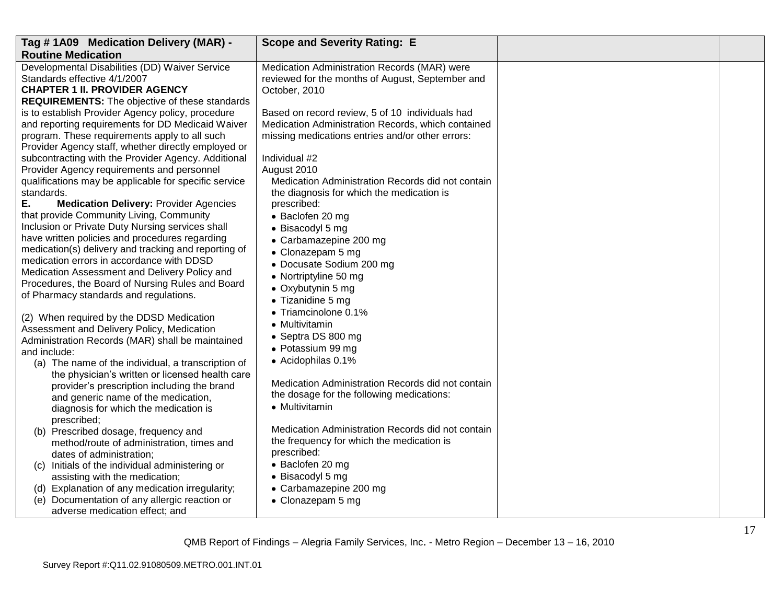| Tag #1A09 Medication Delivery (MAR) -                                                        | <b>Scope and Severity Rating: E</b>                |  |
|----------------------------------------------------------------------------------------------|----------------------------------------------------|--|
| <b>Routine Medication</b>                                                                    |                                                    |  |
| Developmental Disabilities (DD) Waiver Service                                               | Medication Administration Records (MAR) were       |  |
| Standards effective 4/1/2007                                                                 | reviewed for the months of August, September and   |  |
| <b>CHAPTER 1 II. PROVIDER AGENCY</b>                                                         | October, 2010                                      |  |
| <b>REQUIREMENTS:</b> The objective of these standards                                        |                                                    |  |
| is to establish Provider Agency policy, procedure                                            | Based on record review, 5 of 10 individuals had    |  |
| and reporting requirements for DD Medicaid Waiver                                            | Medication Administration Records, which contained |  |
| program. These requirements apply to all such                                                | missing medications entries and/or other errors:   |  |
| Provider Agency staff, whether directly employed or                                          |                                                    |  |
| subcontracting with the Provider Agency. Additional                                          | Individual #2                                      |  |
| Provider Agency requirements and personnel                                                   | August 2010                                        |  |
| qualifications may be applicable for specific service                                        | Medication Administration Records did not contain  |  |
| standards.                                                                                   | the diagnosis for which the medication is          |  |
| Ε.<br><b>Medication Delivery: Provider Agencies</b>                                          | prescribed:                                        |  |
| that provide Community Living, Community<br>Inclusion or Private Duty Nursing services shall | • Baclofen 20 mg                                   |  |
| have written policies and procedures regarding                                               | • Bisacodyl 5 mg                                   |  |
| medication(s) delivery and tracking and reporting of                                         | • Carbamazepine 200 mg                             |  |
| medication errors in accordance with DDSD                                                    | • Clonazepam 5 mg                                  |  |
| Medication Assessment and Delivery Policy and                                                | • Docusate Sodium 200 mg                           |  |
| Procedures, the Board of Nursing Rules and Board                                             | • Nortriptyline 50 mg                              |  |
| of Pharmacy standards and regulations.                                                       | • Oxybutynin 5 mg                                  |  |
|                                                                                              | • Tizanidine 5 mg                                  |  |
| (2) When required by the DDSD Medication                                                     | • Triamcinolone 0.1%                               |  |
| Assessment and Delivery Policy, Medication                                                   | • Multivitamin                                     |  |
| Administration Records (MAR) shall be maintained                                             | • Septra DS 800 mg                                 |  |
| and include:                                                                                 | • Potassium 99 mg                                  |  |
| (a) The name of the individual, a transcription of                                           | • Acidophilas 0.1%                                 |  |
| the physician's written or licensed health care                                              |                                                    |  |
| provider's prescription including the brand                                                  | Medication Administration Records did not contain  |  |
| and generic name of the medication,                                                          | the dosage for the following medications:          |  |
| diagnosis for which the medication is                                                        | • Multivitamin                                     |  |
| prescribed;                                                                                  |                                                    |  |
| (b) Prescribed dosage, frequency and                                                         | Medication Administration Records did not contain  |  |
| method/route of administration, times and                                                    | the frequency for which the medication is          |  |
| dates of administration;                                                                     | prescribed:                                        |  |
| (c) Initials of the individual administering or                                              | • Baclofen 20 mg                                   |  |
| assisting with the medication;                                                               | • Bisacodyl 5 mg                                   |  |
| (d) Explanation of any medication irregularity;                                              | • Carbamazepine 200 mg                             |  |
| Documentation of any allergic reaction or<br>(e)                                             | • Clonazepam 5 mg                                  |  |
| adverse medication effect; and                                                               |                                                    |  |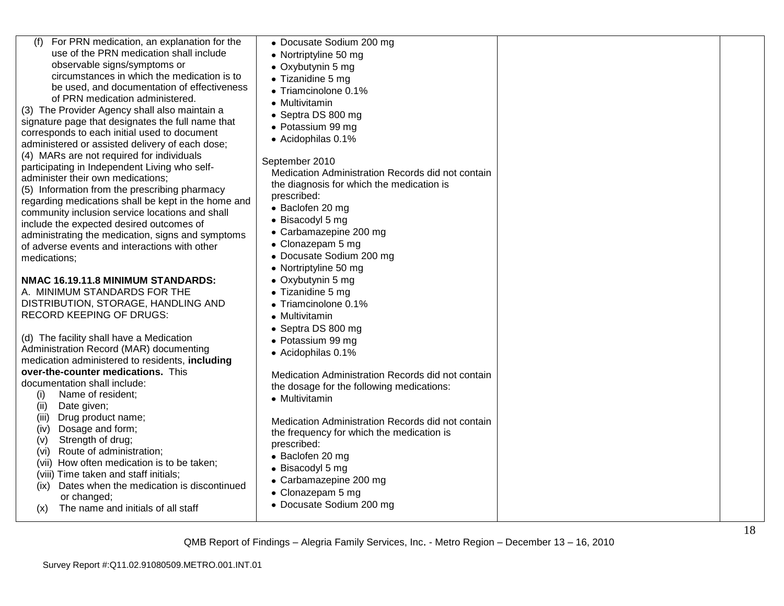| For PRN medication, an explanation for the          | • Docusate Sodium 200 mg                          |  |
|-----------------------------------------------------|---------------------------------------------------|--|
| use of the PRN medication shall include             | • Nortriptyline 50 mg                             |  |
| observable signs/symptoms or                        | • Oxybutynin 5 mg                                 |  |
| circumstances in which the medication is to         | • Tizanidine 5 mg                                 |  |
| be used, and documentation of effectiveness         | • Triamcinolone 0.1%                              |  |
| of PRN medication administered.                     | • Multivitamin                                    |  |
| (3) The Provider Agency shall also maintain a       | • Septra DS 800 mg                                |  |
| signature page that designates the full name that   |                                                   |  |
| corresponds to each initial used to document        | • Potassium 99 mg                                 |  |
| administered or assisted delivery of each dose;     | • Acidophilas 0.1%                                |  |
| (4) MARs are not required for individuals           |                                                   |  |
| participating in Independent Living who self-       | September 2010                                    |  |
| administer their own medications;                   | Medication Administration Records did not contain |  |
| (5) Information from the prescribing pharmacy       | the diagnosis for which the medication is         |  |
| regarding medications shall be kept in the home and | prescribed:                                       |  |
| community inclusion service locations and shall     | • Baclofen 20 mg                                  |  |
| include the expected desired outcomes of            | • Bisacodyl 5 mg                                  |  |
| administrating the medication, signs and symptoms   | • Carbamazepine 200 mg                            |  |
| of adverse events and interactions with other       | • Clonazepam 5 mg                                 |  |
| medications:                                        | • Docusate Sodium 200 mg                          |  |
|                                                     | • Nortriptyline 50 mg                             |  |
| NMAC 16.19.11.8 MINIMUM STANDARDS:                  | • Oxybutynin 5 mg                                 |  |
| A. MINIMUM STANDARDS FOR THE                        | • Tizanidine 5 mg                                 |  |
| DISTRIBUTION, STORAGE, HANDLING AND                 | $\bullet$ Triamcinolone 0.1%                      |  |
| <b>RECORD KEEPING OF DRUGS:</b>                     |                                                   |  |
|                                                     | • Multivitamin                                    |  |
|                                                     | • Septra DS 800 mg                                |  |
| (d) The facility shall have a Medication            | • Potassium 99 mg                                 |  |
| Administration Record (MAR) documenting             | • Acidophilas 0.1%                                |  |
| medication administered to residents, including     |                                                   |  |
| over-the-counter medications. This                  | Medication Administration Records did not contain |  |
| documentation shall include:                        | the dosage for the following medications:         |  |
| Name of resident;<br>(i)                            | • Multivitamin                                    |  |
| Date given;<br>(ii)                                 |                                                   |  |
| Drug product name;<br>(iii)                         | Medication Administration Records did not contain |  |
| Dosage and form;<br>(iv)                            | the frequency for which the medication is         |  |
| Strength of drug;<br>(v)                            | prescribed:                                       |  |
| Route of administration;<br>(vi)                    | • Baclofen 20 mg                                  |  |
| (vii) How often medication is to be taken;          | • Bisacodyl 5 mg                                  |  |
| (viii) Time taken and staff initials;               | • Carbamazepine 200 mg                            |  |
| Dates when the medication is discontinued<br>(ix)   | • Clonazepam 5 mg                                 |  |
| or changed;                                         | • Docusate Sodium 200 mg                          |  |
| The name and initials of all staff<br>(x)           |                                                   |  |
|                                                     |                                                   |  |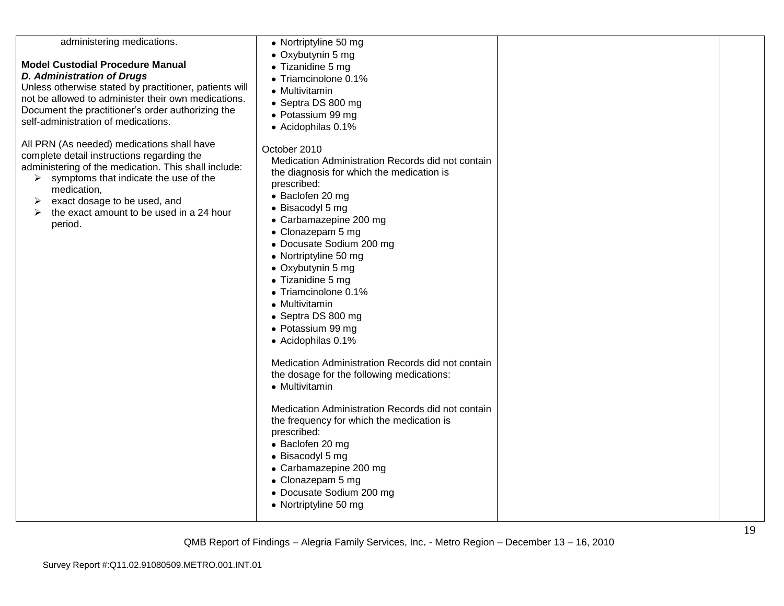| administering medications.<br><b>Model Custodial Procedure Manual</b><br><b>D. Administration of Drugs</b><br>Unless otherwise stated by practitioner, patients will<br>not be allowed to administer their own medications.<br>Document the practitioner's order authorizing the<br>self-administration of medications.<br>All PRN (As needed) medications shall have<br>complete detail instructions regarding the<br>administering of the medication. This shall include:<br>symptoms that indicate the use of the<br>➤<br>medication,<br>exact dosage to be used, and<br>➤<br>the exact amount to be used in a 24 hour<br>➤<br>period. | • Nortriptyline 50 mg<br>• Oxybutynin 5 mg<br>• Tizanidine 5 mg<br>• Triamcinolone 0.1%<br>• Multivitamin<br>• Septra DS 800 mg<br>· Potassium 99 mg<br>• Acidophilas 0.1%<br>October 2010<br>Medication Administration Records did not contain<br>the diagnosis for which the medication is<br>prescribed:<br>• Baclofen 20 mg<br>• Bisacodyl 5 mg<br>• Carbamazepine 200 mg<br>• Clonazepam 5 mg<br>• Docusate Sodium 200 mg<br>• Nortriptyline 50 mg<br>• Oxybutynin 5 mg<br>• Tizanidine 5 mg<br>• Triamcinolone 0.1%<br>• Multivitamin<br>• Septra DS 800 mg<br>• Potassium 99 mg<br>• Acidophilas 0.1%<br>Medication Administration Records did not contain<br>the dosage for the following medications:<br>• Multivitamin |  |
|-------------------------------------------------------------------------------------------------------------------------------------------------------------------------------------------------------------------------------------------------------------------------------------------------------------------------------------------------------------------------------------------------------------------------------------------------------------------------------------------------------------------------------------------------------------------------------------------------------------------------------------------|----------------------------------------------------------------------------------------------------------------------------------------------------------------------------------------------------------------------------------------------------------------------------------------------------------------------------------------------------------------------------------------------------------------------------------------------------------------------------------------------------------------------------------------------------------------------------------------------------------------------------------------------------------------------------------------------------------------------------------|--|
|                                                                                                                                                                                                                                                                                                                                                                                                                                                                                                                                                                                                                                           | Medication Administration Records did not contain<br>the frequency for which the medication is<br>prescribed:<br>• Baclofen 20 mg<br>• Bisacodyl 5 mg<br>• Carbamazepine 200 mg<br>• Clonazepam 5 mg<br>• Docusate Sodium 200 mg<br>• Nortriptyline 50 mg                                                                                                                                                                                                                                                                                                                                                                                                                                                                        |  |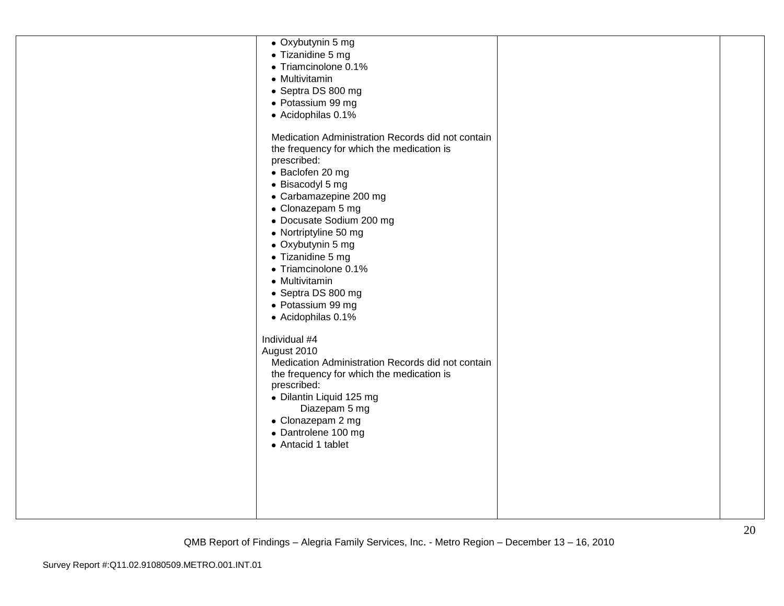| • Oxybutynin 5 mg                                 |  |
|---------------------------------------------------|--|
| • Tizanidine 5 mg                                 |  |
| • Triamcinolone 0.1%                              |  |
| • Multivitamin                                    |  |
| • Septra DS 800 mg                                |  |
| • Potassium 99 mg                                 |  |
| • Acidophilas 0.1%                                |  |
| Medication Administration Records did not contain |  |
| the frequency for which the medication is         |  |
| prescribed:                                       |  |
| • Baclofen 20 mg                                  |  |
| • Bisacodyl 5 mg                                  |  |
| • Carbamazepine 200 mg                            |  |
| • Clonazepam 5 mg                                 |  |
| • Docusate Sodium 200 mg                          |  |
| • Nortriptyline 50 mg                             |  |
| • Oxybutynin 5 mg                                 |  |
| • Tizanidine 5 mg                                 |  |
| • Triamcinolone 0.1%                              |  |
| • Multivitamin                                    |  |
| • Septra DS 800 mg                                |  |
| • Potassium 99 mg                                 |  |
| • Acidophilas 0.1%                                |  |
| Individual #4                                     |  |
| August 2010                                       |  |
| Medication Administration Records did not contain |  |
| the frequency for which the medication is         |  |
| prescribed:                                       |  |
| · Dilantin Liquid 125 mg                          |  |
| Diazepam 5 mg                                     |  |
| • Clonazepam 2 mg                                 |  |
| • Dantrolene 100 mg                               |  |
| • Antacid 1 tablet                                |  |
|                                                   |  |
|                                                   |  |
|                                                   |  |
|                                                   |  |
|                                                   |  |
|                                                   |  |
|                                                   |  |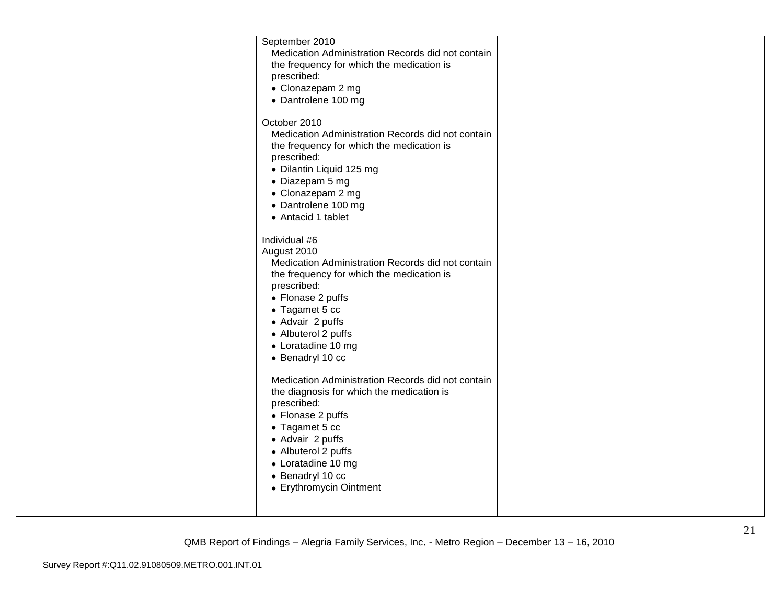| Medication Administration Records did not contain<br>the frequency for which the medication is<br>prescribed:<br>• Clonazepam 2 mg<br>• Dantrolene 100 mg<br>October 2010<br>Medication Administration Records did not contain<br>the frequency for which the medication is<br>prescribed:<br>• Dilantin Liquid 125 mg<br>• Diazepam 5 mg<br>• Clonazepam 2 mg<br>• Dantrolene 100 mg |
|---------------------------------------------------------------------------------------------------------------------------------------------------------------------------------------------------------------------------------------------------------------------------------------------------------------------------------------------------------------------------------------|
|---------------------------------------------------------------------------------------------------------------------------------------------------------------------------------------------------------------------------------------------------------------------------------------------------------------------------------------------------------------------------------------|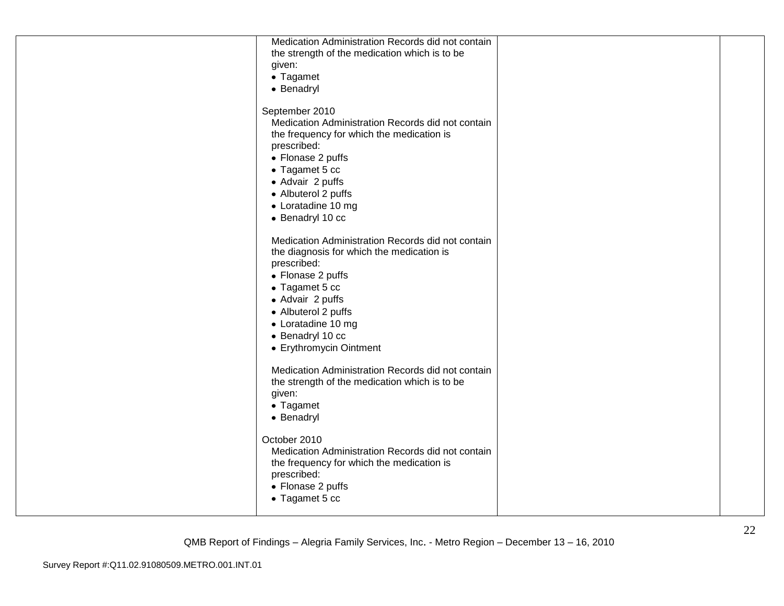| Medication Administration Records did not contain |  |
|---------------------------------------------------|--|
| the strength of the medication which is to be     |  |
| given:                                            |  |
| • Tagamet                                         |  |
| • Benadryl                                        |  |
|                                                   |  |
| September 2010                                    |  |
| Medication Administration Records did not contain |  |
| the frequency for which the medication is         |  |
| prescribed:                                       |  |
| • Flonase 2 puffs                                 |  |
| • Tagamet 5 cc                                    |  |
| • Advair 2 puffs                                  |  |
| • Albuterol 2 puffs                               |  |
| • Loratadine 10 mg                                |  |
| • Benadryl 10 cc                                  |  |
|                                                   |  |
| Medication Administration Records did not contain |  |
| the diagnosis for which the medication is         |  |
| prescribed:                                       |  |
|                                                   |  |
| • Flonase 2 puffs                                 |  |
| • Tagamet 5 cc                                    |  |
| • Advair 2 puffs                                  |  |
| • Albuterol 2 puffs                               |  |
| • Loratadine 10 mg                                |  |
| • Benadryl 10 cc                                  |  |
| • Erythromycin Ointment                           |  |
|                                                   |  |
| Medication Administration Records did not contain |  |
| the strength of the medication which is to be     |  |
| given:                                            |  |
| • Tagamet                                         |  |
| • Benadryl                                        |  |
|                                                   |  |
| October 2010                                      |  |
| Medication Administration Records did not contain |  |
| the frequency for which the medication is         |  |
| prescribed:                                       |  |
| • Flonase 2 puffs                                 |  |
| • Tagamet 5 cc                                    |  |
|                                                   |  |
|                                                   |  |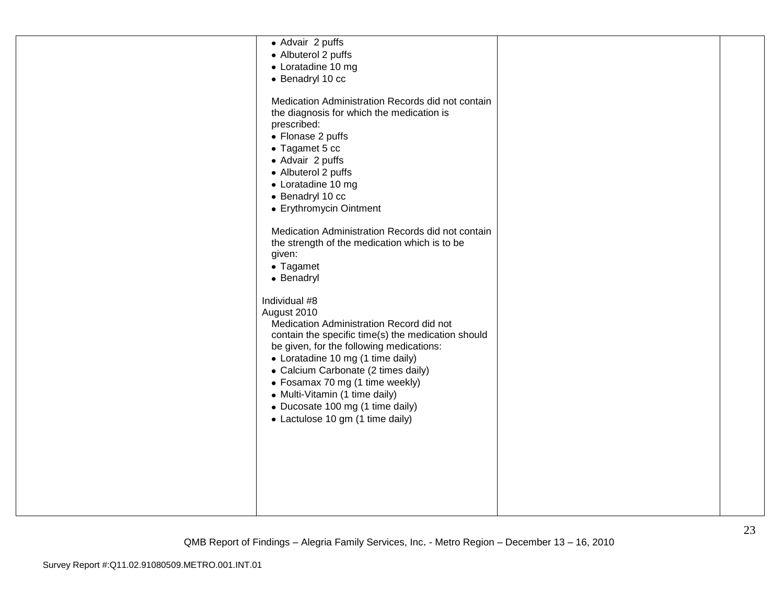| • Advair 2 puffs<br>• Albuterol 2 puffs<br>• Loratadine 10 mg<br>• Benadryl 10 cc<br>Medication Administration Records did not contain<br>the diagnosis for which the medication is<br>prescribed:<br>• Flonase 2 puffs<br>• Tagamet 5 cc                                                                                                                                                           |  |
|-----------------------------------------------------------------------------------------------------------------------------------------------------------------------------------------------------------------------------------------------------------------------------------------------------------------------------------------------------------------------------------------------------|--|
| • Advair 2 puffs<br>• Albuterol 2 puffs<br>• Loratadine 10 mg<br>• Benadryl 10 cc<br>• Erythromycin Ointment                                                                                                                                                                                                                                                                                        |  |
| Medication Administration Records did not contain<br>the strength of the medication which is to be<br>given:<br>• Tagamet<br>• Benadryl                                                                                                                                                                                                                                                             |  |
| Individual #8<br>August 2010<br>Medication Administration Record did not<br>contain the specific time(s) the medication should<br>be given, for the following medications:<br>• Loratadine 10 mg (1 time daily)<br>• Calcium Carbonate (2 times daily)<br>• Fosamax 70 mg (1 time weekly)<br>• Multi-Vitamin (1 time daily)<br>• Ducosate 100 mg (1 time daily)<br>• Lactulose 10 gm (1 time daily) |  |
|                                                                                                                                                                                                                                                                                                                                                                                                     |  |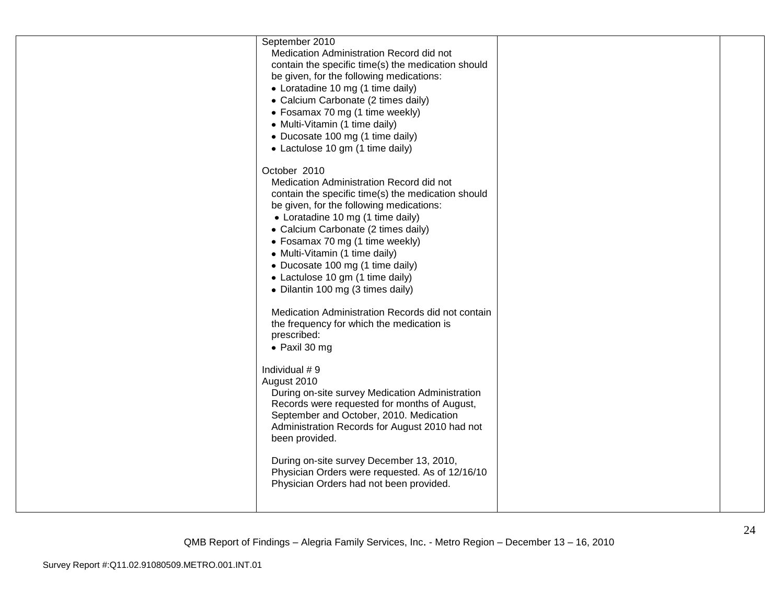| September 2010<br>Medication Administration Record did not<br>contain the specific time(s) the medication should<br>be given, for the following medications:<br>• Loratadine 10 mg (1 time daily)<br>• Calcium Carbonate (2 times daily)<br>• Fosamax 70 mg (1 time weekly)<br>• Multi-Vitamin (1 time daily)<br>• Ducosate 100 mg (1 time daily)<br>• Lactulose 10 gm (1 time daily)                                    |  |
|--------------------------------------------------------------------------------------------------------------------------------------------------------------------------------------------------------------------------------------------------------------------------------------------------------------------------------------------------------------------------------------------------------------------------|--|
| October 2010<br>Medication Administration Record did not<br>contain the specific time(s) the medication should<br>be given, for the following medications:<br>• Loratadine 10 mg (1 time daily)<br>• Calcium Carbonate (2 times daily)<br>• Fosamax 70 mg (1 time weekly)<br>• Multi-Vitamin (1 time daily)<br>• Ducosate 100 mg (1 time daily)<br>• Lactulose 10 gm (1 time daily)<br>• Dilantin 100 mg (3 times daily) |  |
| Medication Administration Records did not contain<br>the frequency for which the medication is<br>prescribed:<br>• Paxil 30 mg                                                                                                                                                                                                                                                                                           |  |
| Individual #9<br>August 2010<br>During on-site survey Medication Administration<br>Records were requested for months of August,<br>September and October, 2010. Medication<br>Administration Records for August 2010 had not<br>been provided.                                                                                                                                                                           |  |
| During on-site survey December 13, 2010,<br>Physician Orders were requested. As of 12/16/10<br>Physician Orders had not been provided.                                                                                                                                                                                                                                                                                   |  |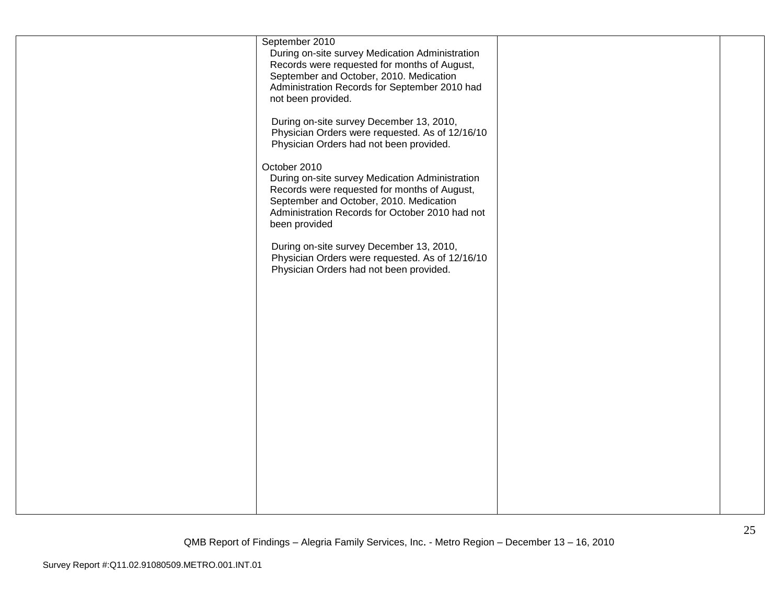| September 2010                                  |  |
|-------------------------------------------------|--|
| During on-site survey Medication Administration |  |
| Records were requested for months of August,    |  |
| September and October, 2010. Medication         |  |
| Administration Records for September 2010 had   |  |
| not been provided.                              |  |
|                                                 |  |
| During on-site survey December 13, 2010,        |  |
| Physician Orders were requested. As of 12/16/10 |  |
| Physician Orders had not been provided.         |  |
|                                                 |  |
| October 2010                                    |  |
| During on-site survey Medication Administration |  |
| Records were requested for months of August,    |  |
| September and October, 2010. Medication         |  |
| Administration Records for October 2010 had not |  |
| been provided                                   |  |
| During on-site survey December 13, 2010,        |  |
| Physician Orders were requested. As of 12/16/10 |  |
| Physician Orders had not been provided.         |  |
|                                                 |  |
|                                                 |  |
|                                                 |  |
|                                                 |  |
|                                                 |  |
|                                                 |  |
|                                                 |  |
|                                                 |  |
|                                                 |  |
|                                                 |  |
|                                                 |  |
|                                                 |  |
|                                                 |  |
|                                                 |  |
|                                                 |  |
|                                                 |  |
|                                                 |  |
|                                                 |  |
|                                                 |  |
|                                                 |  |
|                                                 |  |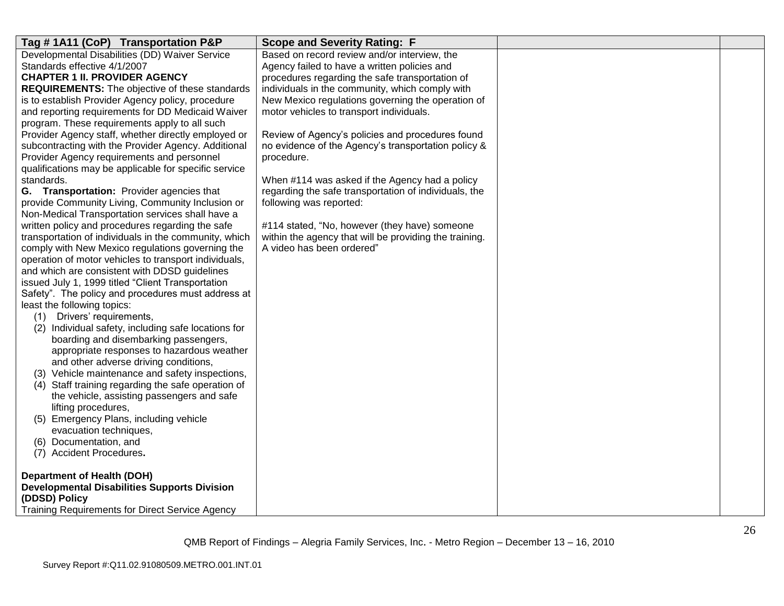| Tag #1A11 (CoP) Transportation P&P                    | <b>Scope and Severity Rating: F</b>                    |  |
|-------------------------------------------------------|--------------------------------------------------------|--|
| Developmental Disabilities (DD) Waiver Service        | Based on record review and/or interview, the           |  |
| Standards effective 4/1/2007                          | Agency failed to have a written policies and           |  |
| <b>CHAPTER 1 II. PROVIDER AGENCY</b>                  | procedures regarding the safe transportation of        |  |
| <b>REQUIREMENTS:</b> The objective of these standards | individuals in the community, which comply with        |  |
| is to establish Provider Agency policy, procedure     | New Mexico regulations governing the operation of      |  |
| and reporting requirements for DD Medicaid Waiver     | motor vehicles to transport individuals.               |  |
| program. These requirements apply to all such         |                                                        |  |
| Provider Agency staff, whether directly employed or   | Review of Agency's policies and procedures found       |  |
| subcontracting with the Provider Agency. Additional   | no evidence of the Agency's transportation policy &    |  |
| Provider Agency requirements and personnel            | procedure.                                             |  |
| qualifications may be applicable for specific service |                                                        |  |
| standards.                                            | When #114 was asked if the Agency had a policy         |  |
| G. Transportation: Provider agencies that             | regarding the safe transportation of individuals, the  |  |
| provide Community Living, Community Inclusion or      | following was reported:                                |  |
| Non-Medical Transportation services shall have a      |                                                        |  |
| written policy and procedures regarding the safe      | #114 stated, "No, however (they have) someone          |  |
| transportation of individuals in the community, which | within the agency that will be providing the training. |  |
| comply with New Mexico regulations governing the      | A video has been ordered"                              |  |
| operation of motor vehicles to transport individuals, |                                                        |  |
| and which are consistent with DDSD guidelines         |                                                        |  |
| issued July 1, 1999 titled "Client Transportation     |                                                        |  |
| Safety". The policy and procedures must address at    |                                                        |  |
| least the following topics:                           |                                                        |  |
| (1) Drivers' requirements,                            |                                                        |  |
| (2) Individual safety, including safe locations for   |                                                        |  |
| boarding and disembarking passengers,                 |                                                        |  |
| appropriate responses to hazardous weather            |                                                        |  |
| and other adverse driving conditions,                 |                                                        |  |
| (3) Vehicle maintenance and safety inspections,       |                                                        |  |
| (4) Staff training regarding the safe operation of    |                                                        |  |
| the vehicle, assisting passengers and safe            |                                                        |  |
| lifting procedures,                                   |                                                        |  |
| (5) Emergency Plans, including vehicle                |                                                        |  |
| evacuation techniques,                                |                                                        |  |
| (6) Documentation, and                                |                                                        |  |
| (7) Accident Procedures.                              |                                                        |  |
|                                                       |                                                        |  |
| <b>Department of Health (DOH)</b>                     |                                                        |  |
| <b>Developmental Disabilities Supports Division</b>   |                                                        |  |
| (DDSD) Policy                                         |                                                        |  |
| Training Requirements for Direct Service Agency       |                                                        |  |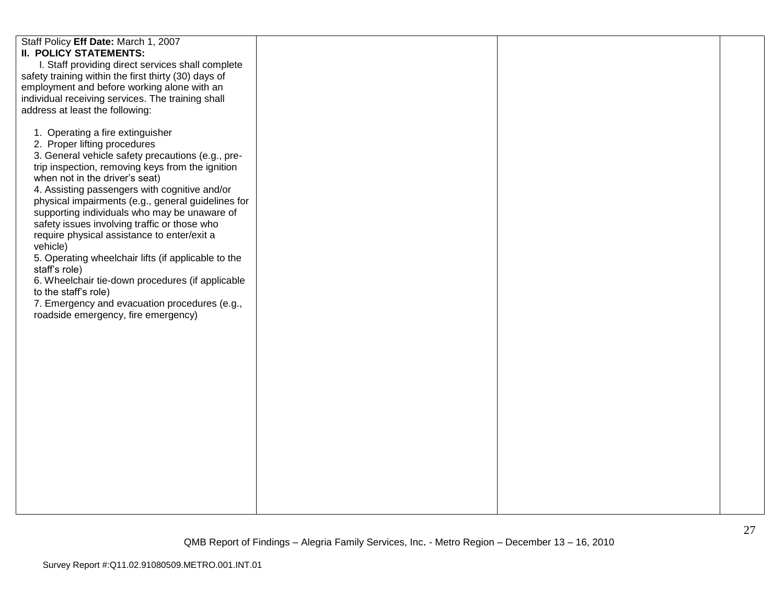| Staff Policy Eff Date: March 1, 2007<br><b>II. POLICY STATEMENTS:</b><br>I. Staff providing direct services shall complete<br>safety training within the first thirty (30) days of<br>employment and before working alone with an<br>individual receiving services. The training shall<br>address at least the following:<br>1. Operating a fire extinguisher<br>2. Proper lifting procedures<br>3. General vehicle safety precautions (e.g., pre-<br>trip inspection, removing keys from the ignition<br>when not in the driver's seat)<br>4. Assisting passengers with cognitive and/or<br>physical impairments (e.g., general guidelines for<br>supporting individuals who may be unaware of<br>safety issues involving traffic or those who<br>require physical assistance to enter/exit a<br>vehicle)<br>5. Operating wheelchair lifts (if applicable to the<br>staff's role)<br>6. Wheelchair tie-down procedures (if applicable<br>to the staff's role)<br>7. Emergency and evacuation procedures (e.g.,<br>roadside emergency, fire emergency) |  |  |
|--------------------------------------------------------------------------------------------------------------------------------------------------------------------------------------------------------------------------------------------------------------------------------------------------------------------------------------------------------------------------------------------------------------------------------------------------------------------------------------------------------------------------------------------------------------------------------------------------------------------------------------------------------------------------------------------------------------------------------------------------------------------------------------------------------------------------------------------------------------------------------------------------------------------------------------------------------------------------------------------------------------------------------------------------------|--|--|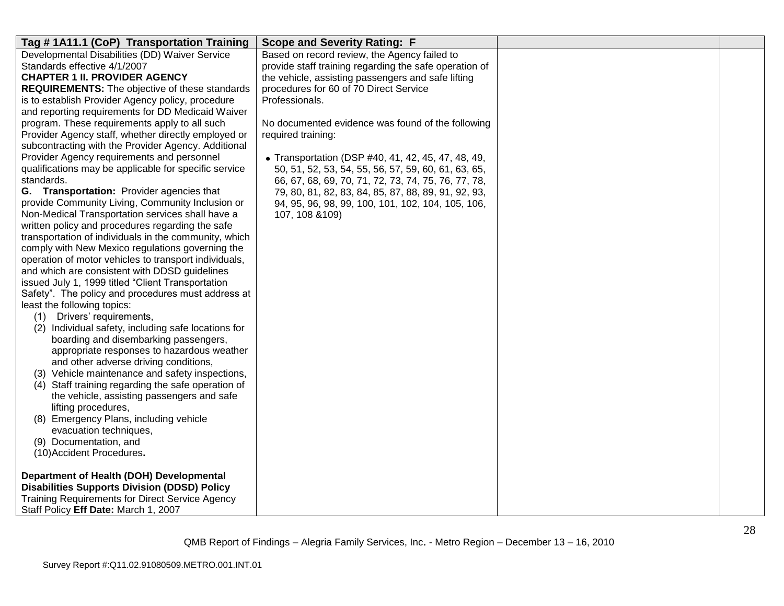| Tag #1A11.1 (CoP) Transportation Training<br><b>Scope and Severity Rating: F</b>                             |  |
|--------------------------------------------------------------------------------------------------------------|--|
| Developmental Disabilities (DD) Waiver Service<br>Based on record review, the Agency failed to               |  |
| Standards effective 4/1/2007<br>provide staff training regarding the safe operation of                       |  |
| the vehicle, assisting passengers and safe lifting<br><b>CHAPTER 1 II. PROVIDER AGENCY</b>                   |  |
| procedures for 60 of 70 Direct Service<br><b>REQUIREMENTS:</b> The objective of these standards              |  |
| is to establish Provider Agency policy, procedure<br>Professionals.                                          |  |
| and reporting requirements for DD Medicaid Waiver                                                            |  |
| program. These requirements apply to all such<br>No documented evidence was found of the following           |  |
| Provider Agency staff, whether directly employed or<br>required training:                                    |  |
| subcontracting with the Provider Agency. Additional                                                          |  |
| Provider Agency requirements and personnel<br>• Transportation (DSP #40, 41, 42, 45, 47, 48, 49,             |  |
| qualifications may be applicable for specific service<br>50, 51, 52, 53, 54, 55, 56, 57, 59, 60, 61, 63, 65, |  |
| standards.<br>66, 67, 68, 69, 70, 71, 72, 73, 74, 75, 76, 77, 78,                                            |  |
| G. Transportation: Provider agencies that<br>79, 80, 81, 82, 83, 84, 85, 87, 88, 89, 91, 92, 93,             |  |
| provide Community Living, Community Inclusion or<br>94, 95, 96, 98, 99, 100, 101, 102, 104, 105, 106,        |  |
| Non-Medical Transportation services shall have a<br>107, 108 & 109)                                          |  |
| written policy and procedures regarding the safe                                                             |  |
| transportation of individuals in the community, which                                                        |  |
| comply with New Mexico regulations governing the                                                             |  |
| operation of motor vehicles to transport individuals,                                                        |  |
| and which are consistent with DDSD guidelines                                                                |  |
| issued July 1, 1999 titled "Client Transportation                                                            |  |
| Safety". The policy and procedures must address at                                                           |  |
| least the following topics:                                                                                  |  |
| Drivers' requirements,<br>(1)                                                                                |  |
| (2) Individual safety, including safe locations for                                                          |  |
| boarding and disembarking passengers,                                                                        |  |
| appropriate responses to hazardous weather                                                                   |  |
| and other adverse driving conditions,                                                                        |  |
| (3) Vehicle maintenance and safety inspections,                                                              |  |
| (4) Staff training regarding the safe operation of                                                           |  |
| the vehicle, assisting passengers and safe                                                                   |  |
| lifting procedures,                                                                                          |  |
| (8) Emergency Plans, including vehicle                                                                       |  |
| evacuation techniques,                                                                                       |  |
| (9) Documentation, and                                                                                       |  |
| (10) Accident Procedures.                                                                                    |  |
| Department of Health (DOH) Developmental                                                                     |  |
| <b>Disabilities Supports Division (DDSD) Policy</b>                                                          |  |
| Training Requirements for Direct Service Agency                                                              |  |
| Staff Policy Eff Date: March 1, 2007                                                                         |  |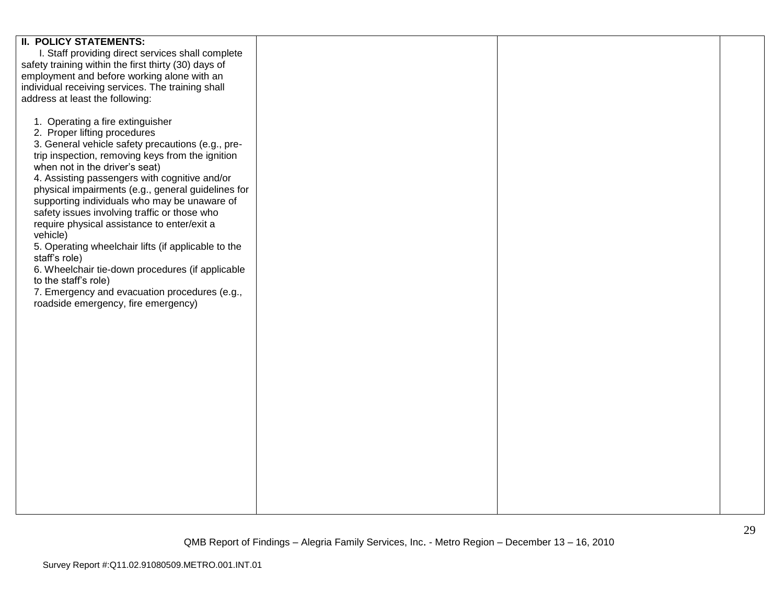| <b>II. POLICY STATEMENTS:</b>                        |  |  |
|------------------------------------------------------|--|--|
| I. Staff providing direct services shall complete    |  |  |
|                                                      |  |  |
| safety training within the first thirty (30) days of |  |  |
| employment and before working alone with an          |  |  |
|                                                      |  |  |
| individual receiving services. The training shall    |  |  |
| address at least the following:                      |  |  |
|                                                      |  |  |
|                                                      |  |  |
| 1. Operating a fire extinguisher                     |  |  |
| 2. Proper lifting procedures                         |  |  |
| 3. General vehicle safety precautions (e.g., pre-    |  |  |
|                                                      |  |  |
| trip inspection, removing keys from the ignition     |  |  |
| when not in the driver's seat)                       |  |  |
| 4. Assisting passengers with cognitive and/or        |  |  |
|                                                      |  |  |
| physical impairments (e.g., general guidelines for   |  |  |
| supporting individuals who may be unaware of         |  |  |
| safety issues involving traffic or those who         |  |  |
|                                                      |  |  |
| require physical assistance to enter/exit a          |  |  |
| vehicle)                                             |  |  |
| 5. Operating wheelchair lifts (if applicable to the  |  |  |
|                                                      |  |  |
| staff's role)                                        |  |  |
| 6. Wheelchair tie-down procedures (if applicable     |  |  |
| to the staff's role)                                 |  |  |
|                                                      |  |  |
| 7. Emergency and evacuation procedures (e.g.,        |  |  |
| roadside emergency, fire emergency)                  |  |  |
|                                                      |  |  |
|                                                      |  |  |
|                                                      |  |  |
|                                                      |  |  |
|                                                      |  |  |
|                                                      |  |  |
|                                                      |  |  |
|                                                      |  |  |
|                                                      |  |  |
|                                                      |  |  |
|                                                      |  |  |
|                                                      |  |  |
|                                                      |  |  |
|                                                      |  |  |
|                                                      |  |  |
|                                                      |  |  |
|                                                      |  |  |
|                                                      |  |  |
|                                                      |  |  |
|                                                      |  |  |
|                                                      |  |  |
|                                                      |  |  |
|                                                      |  |  |
|                                                      |  |  |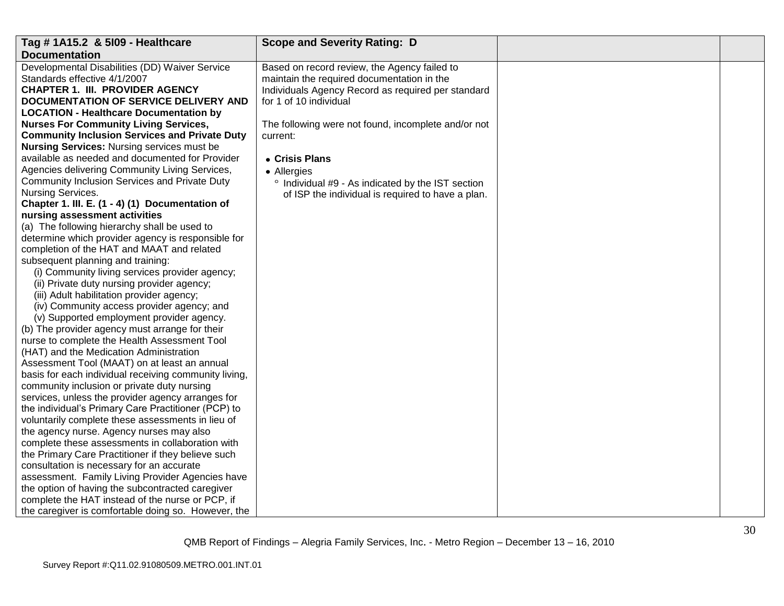| Tag # 1A15.2 & 5109 - Healthcare                      | <b>Scope and Severity Rating: D</b>                          |  |
|-------------------------------------------------------|--------------------------------------------------------------|--|
| <b>Documentation</b>                                  |                                                              |  |
| Developmental Disabilities (DD) Waiver Service        | Based on record review, the Agency failed to                 |  |
| Standards effective 4/1/2007                          | maintain the required documentation in the                   |  |
| <b>CHAPTER 1. III. PROVIDER AGENCY</b>                | Individuals Agency Record as required per standard           |  |
| DOCUMENTATION OF SERVICE DELIVERY AND                 | for 1 of 10 individual                                       |  |
| <b>LOCATION - Healthcare Documentation by</b>         |                                                              |  |
| <b>Nurses For Community Living Services,</b>          | The following were not found, incomplete and/or not          |  |
| <b>Community Inclusion Services and Private Duty</b>  | current:                                                     |  |
| <b>Nursing Services: Nursing services must be</b>     |                                                              |  |
| available as needed and documented for Provider       | • Crisis Plans                                               |  |
| Agencies delivering Community Living Services,        | • Allergies                                                  |  |
| Community Inclusion Services and Private Duty         | <sup>o</sup> Individual #9 - As indicated by the IST section |  |
| Nursing Services.                                     | of ISP the individual is required to have a plan.            |  |
| Chapter 1. III. E. (1 - 4) (1) Documentation of       |                                                              |  |
| nursing assessment activities                         |                                                              |  |
| (a) The following hierarchy shall be used to          |                                                              |  |
| determine which provider agency is responsible for    |                                                              |  |
| completion of the HAT and MAAT and related            |                                                              |  |
| subsequent planning and training:                     |                                                              |  |
| (i) Community living services provider agency;        |                                                              |  |
| (ii) Private duty nursing provider agency;            |                                                              |  |
| (iii) Adult habilitation provider agency;             |                                                              |  |
| (iv) Community access provider agency; and            |                                                              |  |
| (v) Supported employment provider agency.             |                                                              |  |
| (b) The provider agency must arrange for their        |                                                              |  |
| nurse to complete the Health Assessment Tool          |                                                              |  |
| (HAT) and the Medication Administration               |                                                              |  |
| Assessment Tool (MAAT) on at least an annual          |                                                              |  |
| basis for each individual receiving community living, |                                                              |  |
| community inclusion or private duty nursing           |                                                              |  |
| services, unless the provider agency arranges for     |                                                              |  |
| the individual's Primary Care Practitioner (PCP) to   |                                                              |  |
| voluntarily complete these assessments in lieu of     |                                                              |  |
| the agency nurse. Agency nurses may also              |                                                              |  |
| complete these assessments in collaboration with      |                                                              |  |
| the Primary Care Practitioner if they believe such    |                                                              |  |
| consultation is necessary for an accurate             |                                                              |  |
| assessment. Family Living Provider Agencies have      |                                                              |  |
| the option of having the subcontracted caregiver      |                                                              |  |
| complete the HAT instead of the nurse or PCP, if      |                                                              |  |
| the caregiver is comfortable doing so. However, the   |                                                              |  |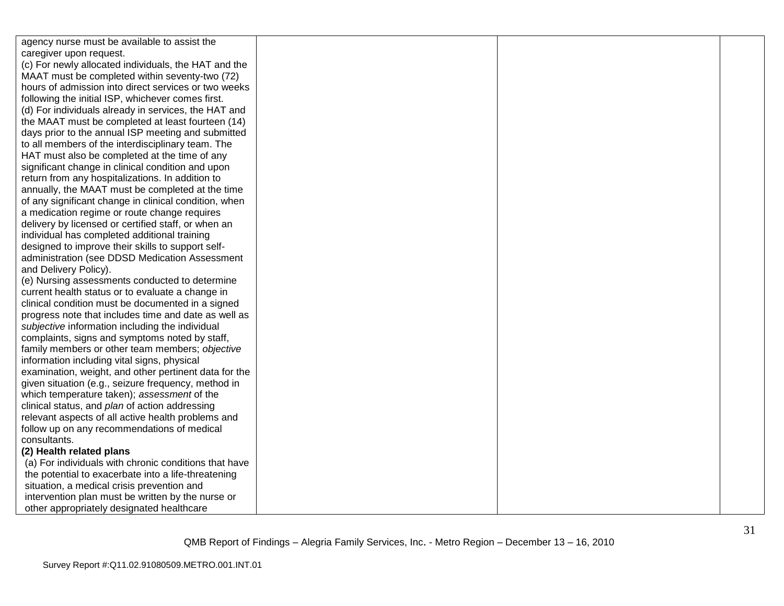| agency nurse must be available to assist the          |  |  |
|-------------------------------------------------------|--|--|
| caregiver upon request.                               |  |  |
| (c) For newly allocated individuals, the HAT and the  |  |  |
| MAAT must be completed within seventy-two (72)        |  |  |
| hours of admission into direct services or two weeks  |  |  |
| following the initial ISP, whichever comes first.     |  |  |
| (d) For individuals already in services, the HAT and  |  |  |
| the MAAT must be completed at least fourteen (14)     |  |  |
| days prior to the annual ISP meeting and submitted    |  |  |
| to all members of the interdisciplinary team. The     |  |  |
| HAT must also be completed at the time of any         |  |  |
| significant change in clinical condition and upon     |  |  |
| return from any hospitalizations. In addition to      |  |  |
| annually, the MAAT must be completed at the time      |  |  |
| of any significant change in clinical condition, when |  |  |
| a medication regime or route change requires          |  |  |
| delivery by licensed or certified staff, or when an   |  |  |
| individual has completed additional training          |  |  |
| designed to improve their skills to support self-     |  |  |
| administration (see DDSD Medication Assessment        |  |  |
| and Delivery Policy).                                 |  |  |
| (e) Nursing assessments conducted to determine        |  |  |
| current health status or to evaluate a change in      |  |  |
| clinical condition must be documented in a signed     |  |  |
| progress note that includes time and date as well as  |  |  |
| subjective information including the individual       |  |  |
| complaints, signs and symptoms noted by staff,        |  |  |
| family members or other team members; objective       |  |  |
| information including vital signs, physical           |  |  |
| examination, weight, and other pertinent data for the |  |  |
| given situation (e.g., seizure frequency, method in   |  |  |
| which temperature taken); assessment of the           |  |  |
| clinical status, and plan of action addressing        |  |  |
| relevant aspects of all active health problems and    |  |  |
| follow up on any recommendations of medical           |  |  |
| consultants.                                          |  |  |
| (2) Health related plans                              |  |  |
| (a) For individuals with chronic conditions that have |  |  |
| the potential to exacerbate into a life-threatening   |  |  |
| situation, a medical crisis prevention and            |  |  |
| intervention plan must be written by the nurse or     |  |  |
| other appropriately designated healthcare             |  |  |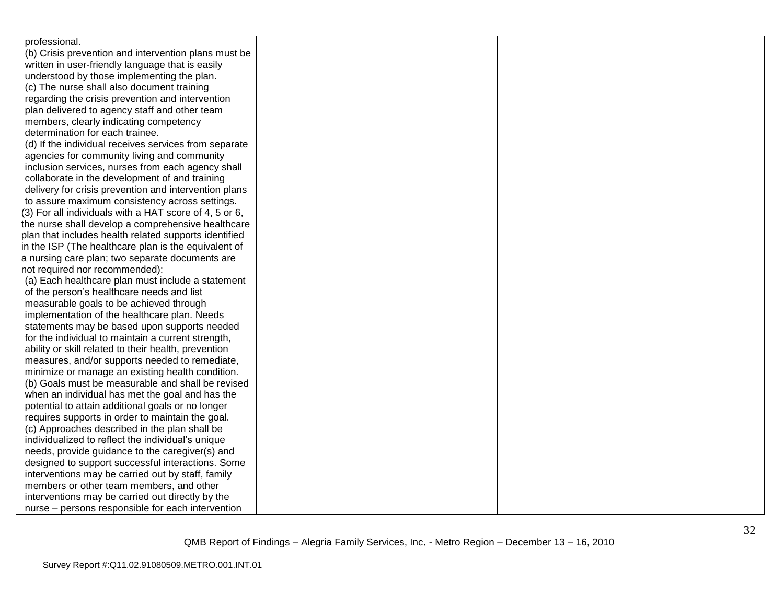| professional.                                          |  |  |
|--------------------------------------------------------|--|--|
| (b) Crisis prevention and intervention plans must be   |  |  |
| written in user-friendly language that is easily       |  |  |
| understood by those implementing the plan.             |  |  |
| (c) The nurse shall also document training             |  |  |
| regarding the crisis prevention and intervention       |  |  |
| plan delivered to agency staff and other team          |  |  |
| members, clearly indicating competency                 |  |  |
| determination for each trainee.                        |  |  |
| (d) If the individual receives services from separate  |  |  |
| agencies for community living and community            |  |  |
| inclusion services, nurses from each agency shall      |  |  |
| collaborate in the development of and training         |  |  |
| delivery for crisis prevention and intervention plans  |  |  |
| to assure maximum consistency across settings.         |  |  |
| (3) For all individuals with a HAT score of 4, 5 or 6, |  |  |
| the nurse shall develop a comprehensive healthcare     |  |  |
| plan that includes health related supports identified  |  |  |
| in the ISP (The healthcare plan is the equivalent of   |  |  |
| a nursing care plan; two separate documents are        |  |  |
| not required nor recommended):                         |  |  |
| (a) Each healthcare plan must include a statement      |  |  |
| of the person's healthcare needs and list              |  |  |
| measurable goals to be achieved through                |  |  |
| implementation of the healthcare plan. Needs           |  |  |
| statements may be based upon supports needed           |  |  |
| for the individual to maintain a current strength,     |  |  |
| ability or skill related to their health, prevention   |  |  |
| measures, and/or supports needed to remediate,         |  |  |
| minimize or manage an existing health condition.       |  |  |
| (b) Goals must be measurable and shall be revised      |  |  |
| when an individual has met the goal and has the        |  |  |
| potential to attain additional goals or no longer      |  |  |
| requires supports in order to maintain the goal.       |  |  |
| (c) Approaches described in the plan shall be          |  |  |
| individualized to reflect the individual's unique      |  |  |
| needs, provide guidance to the caregiver(s) and        |  |  |
| designed to support successful interactions. Some      |  |  |
| interventions may be carried out by staff, family      |  |  |
| members or other team members, and other               |  |  |
| interventions may be carried out directly by the       |  |  |
| nurse - persons responsible for each intervention      |  |  |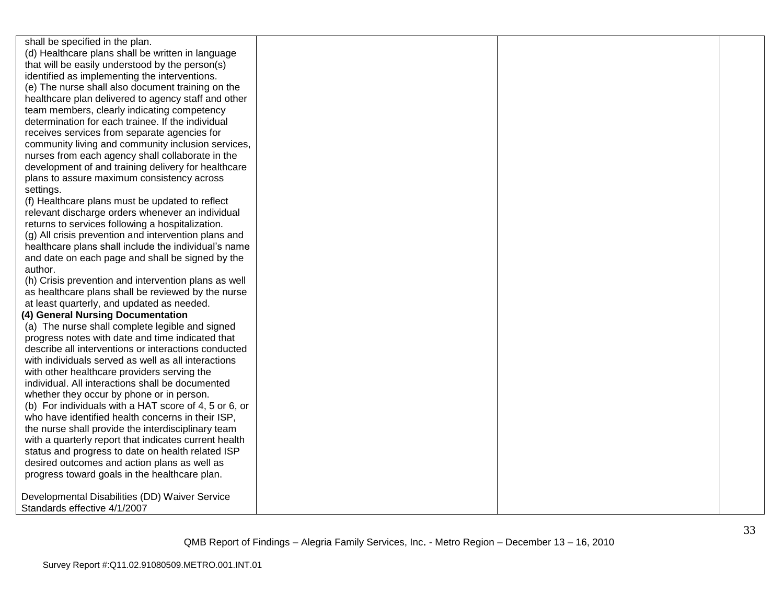shall be specified in the plan. (d) Healthcare plans shall be written in language that will be easily understood by the person(s) identified as implementing the interventions. (e) The nurse shall also document training on the healthcare plan delivered to agency staff and other team members, clearly indicating competency determination for each trainee. If the individual receives services from separate agencies for community living and community inclusion services, nurses from each agency shall collaborate in the development of and training delivery for healthcare plans to assure maximum consistency across settings.

(f) Healthcare plans must be updated to reflect relevant discharge orders whenever an individual returns to services following a hospitalization.

(g) All crisis prevention and intervention plans and healthcare plans shall include the individual's name and date on each page and shall be signed by the author.

(h) Crisis prevention and intervention plans as well as healthcare plans shall be reviewed by the nurse at least quarterly, and updated as needed.

#### **(4) General Nursing Documentation**

(a) The nurse shall complete legible and signed progress notes with date and time indicated that describe all interventions or interactions conducted with individuals served as well as all interactions with other healthcare providers serving the individual. All interactions shall be documented whether they occur by phone or in person. (b) For individuals with a HAT score of 4, 5 or 6, or who have identified health concerns in their ISP, the nurse shall provide the interdisciplinary team with a quarterly report that indicates current health status and progress to date on health related ISP desired outcomes and action plans as well as progress toward goals in the healthcare plan.

Developmental Disabilities (DD) Waiver Service Standards effective 4/1/2007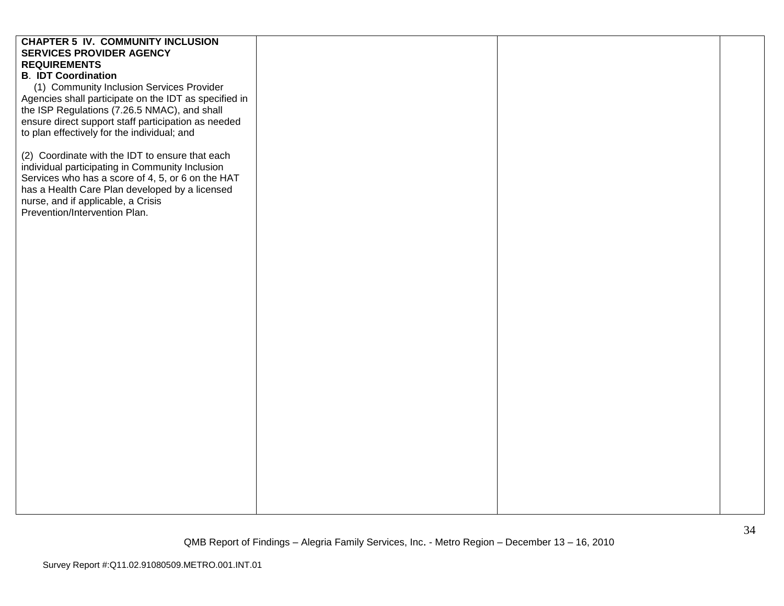| <b>CHAPTER 5 IV. COMMUNITY INCLUSION</b>                                                           |  |  |
|----------------------------------------------------------------------------------------------------|--|--|
| <b>SERVICES PROVIDER AGENCY</b>                                                                    |  |  |
| <b>REQUIREMENTS</b>                                                                                |  |  |
| <b>B. IDT Coordination</b>                                                                         |  |  |
| (1) Community Inclusion Services Provider                                                          |  |  |
| Agencies shall participate on the IDT as specified in                                              |  |  |
| the ISP Regulations (7.26.5 NMAC), and shall                                                       |  |  |
| ensure direct support staff participation as needed                                                |  |  |
| to plan effectively for the individual; and                                                        |  |  |
| (2) Coordinate with the IDT to ensure that each<br>individual participating in Community Inclusion |  |  |
| Services who has a score of 4, 5, or 6 on the HAT                                                  |  |  |
| has a Health Care Plan developed by a licensed                                                     |  |  |
| nurse, and if applicable, a Crisis<br>Prevention/Intervention Plan.                                |  |  |
|                                                                                                    |  |  |
|                                                                                                    |  |  |
|                                                                                                    |  |  |
|                                                                                                    |  |  |
|                                                                                                    |  |  |
|                                                                                                    |  |  |
|                                                                                                    |  |  |
|                                                                                                    |  |  |
|                                                                                                    |  |  |
|                                                                                                    |  |  |
|                                                                                                    |  |  |
|                                                                                                    |  |  |
|                                                                                                    |  |  |
|                                                                                                    |  |  |
|                                                                                                    |  |  |
|                                                                                                    |  |  |
|                                                                                                    |  |  |
|                                                                                                    |  |  |
|                                                                                                    |  |  |
|                                                                                                    |  |  |
|                                                                                                    |  |  |
|                                                                                                    |  |  |
|                                                                                                    |  |  |
|                                                                                                    |  |  |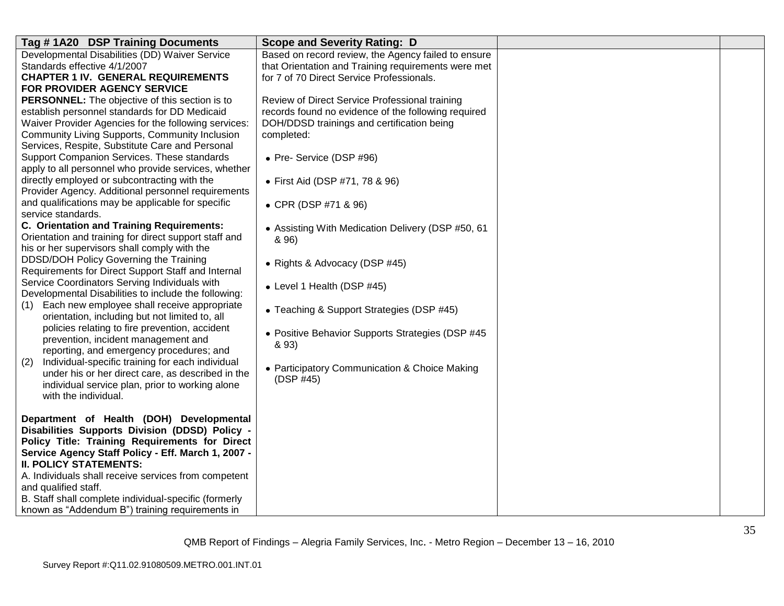| Tag #1A20 DSP Training Documents                                                                                                                                                                                                                                                                                                                                                                                                                                                                                                                                                                                                                                                                                                                                                                                                                                                                                                                                                                                                                                                                                                 | <b>Scope and Severity Rating: D</b>                 |  |
|----------------------------------------------------------------------------------------------------------------------------------------------------------------------------------------------------------------------------------------------------------------------------------------------------------------------------------------------------------------------------------------------------------------------------------------------------------------------------------------------------------------------------------------------------------------------------------------------------------------------------------------------------------------------------------------------------------------------------------------------------------------------------------------------------------------------------------------------------------------------------------------------------------------------------------------------------------------------------------------------------------------------------------------------------------------------------------------------------------------------------------|-----------------------------------------------------|--|
| Developmental Disabilities (DD) Waiver Service                                                                                                                                                                                                                                                                                                                                                                                                                                                                                                                                                                                                                                                                                                                                                                                                                                                                                                                                                                                                                                                                                   | Based on record review, the Agency failed to ensure |  |
| Standards effective 4/1/2007                                                                                                                                                                                                                                                                                                                                                                                                                                                                                                                                                                                                                                                                                                                                                                                                                                                                                                                                                                                                                                                                                                     | that Orientation and Training requirements were met |  |
| <b>CHAPTER 1 IV. GENERAL REQUIREMENTS</b>                                                                                                                                                                                                                                                                                                                                                                                                                                                                                                                                                                                                                                                                                                                                                                                                                                                                                                                                                                                                                                                                                        | for 7 of 70 Direct Service Professionals.           |  |
| FOR PROVIDER AGENCY SERVICE                                                                                                                                                                                                                                                                                                                                                                                                                                                                                                                                                                                                                                                                                                                                                                                                                                                                                                                                                                                                                                                                                                      |                                                     |  |
| PERSONNEL: The objective of this section is to                                                                                                                                                                                                                                                                                                                                                                                                                                                                                                                                                                                                                                                                                                                                                                                                                                                                                                                                                                                                                                                                                   | Review of Direct Service Professional training      |  |
| establish personnel standards for DD Medicaid                                                                                                                                                                                                                                                                                                                                                                                                                                                                                                                                                                                                                                                                                                                                                                                                                                                                                                                                                                                                                                                                                    | records found no evidence of the following required |  |
| Waiver Provider Agencies for the following services:                                                                                                                                                                                                                                                                                                                                                                                                                                                                                                                                                                                                                                                                                                                                                                                                                                                                                                                                                                                                                                                                             | DOH/DDSD trainings and certification being          |  |
| Community Living Supports, Community Inclusion                                                                                                                                                                                                                                                                                                                                                                                                                                                                                                                                                                                                                                                                                                                                                                                                                                                                                                                                                                                                                                                                                   | completed:                                          |  |
| Services, Respite, Substitute Care and Personal                                                                                                                                                                                                                                                                                                                                                                                                                                                                                                                                                                                                                                                                                                                                                                                                                                                                                                                                                                                                                                                                                  |                                                     |  |
| Support Companion Services. These standards                                                                                                                                                                                                                                                                                                                                                                                                                                                                                                                                                                                                                                                                                                                                                                                                                                                                                                                                                                                                                                                                                      | • Pre- Service (DSP #96)                            |  |
| apply to all personnel who provide services, whether                                                                                                                                                                                                                                                                                                                                                                                                                                                                                                                                                                                                                                                                                                                                                                                                                                                                                                                                                                                                                                                                             |                                                     |  |
| directly employed or subcontracting with the                                                                                                                                                                                                                                                                                                                                                                                                                                                                                                                                                                                                                                                                                                                                                                                                                                                                                                                                                                                                                                                                                     | • First Aid (DSP #71, 78 & 96)                      |  |
| Provider Agency. Additional personnel requirements                                                                                                                                                                                                                                                                                                                                                                                                                                                                                                                                                                                                                                                                                                                                                                                                                                                                                                                                                                                                                                                                               |                                                     |  |
| and qualifications may be applicable for specific                                                                                                                                                                                                                                                                                                                                                                                                                                                                                                                                                                                                                                                                                                                                                                                                                                                                                                                                                                                                                                                                                | • CPR (DSP #71 & 96)                                |  |
| service standards.                                                                                                                                                                                                                                                                                                                                                                                                                                                                                                                                                                                                                                                                                                                                                                                                                                                                                                                                                                                                                                                                                                               |                                                     |  |
| C. Orientation and Training Requirements:                                                                                                                                                                                                                                                                                                                                                                                                                                                                                                                                                                                                                                                                                                                                                                                                                                                                                                                                                                                                                                                                                        | • Assisting With Medication Delivery (DSP #50, 61   |  |
| Orientation and training for direct support staff and                                                                                                                                                                                                                                                                                                                                                                                                                                                                                                                                                                                                                                                                                                                                                                                                                                                                                                                                                                                                                                                                            | & 96)                                               |  |
|                                                                                                                                                                                                                                                                                                                                                                                                                                                                                                                                                                                                                                                                                                                                                                                                                                                                                                                                                                                                                                                                                                                                  |                                                     |  |
|                                                                                                                                                                                                                                                                                                                                                                                                                                                                                                                                                                                                                                                                                                                                                                                                                                                                                                                                                                                                                                                                                                                                  | • Rights & Advocacy (DSP #45)                       |  |
|                                                                                                                                                                                                                                                                                                                                                                                                                                                                                                                                                                                                                                                                                                                                                                                                                                                                                                                                                                                                                                                                                                                                  |                                                     |  |
|                                                                                                                                                                                                                                                                                                                                                                                                                                                                                                                                                                                                                                                                                                                                                                                                                                                                                                                                                                                                                                                                                                                                  | • Level 1 Health (DSP #45)                          |  |
|                                                                                                                                                                                                                                                                                                                                                                                                                                                                                                                                                                                                                                                                                                                                                                                                                                                                                                                                                                                                                                                                                                                                  |                                                     |  |
|                                                                                                                                                                                                                                                                                                                                                                                                                                                                                                                                                                                                                                                                                                                                                                                                                                                                                                                                                                                                                                                                                                                                  | • Teaching & Support Strategies (DSP #45)           |  |
|                                                                                                                                                                                                                                                                                                                                                                                                                                                                                                                                                                                                                                                                                                                                                                                                                                                                                                                                                                                                                                                                                                                                  |                                                     |  |
|                                                                                                                                                                                                                                                                                                                                                                                                                                                                                                                                                                                                                                                                                                                                                                                                                                                                                                                                                                                                                                                                                                                                  |                                                     |  |
|                                                                                                                                                                                                                                                                                                                                                                                                                                                                                                                                                                                                                                                                                                                                                                                                                                                                                                                                                                                                                                                                                                                                  | & 93)                                               |  |
|                                                                                                                                                                                                                                                                                                                                                                                                                                                                                                                                                                                                                                                                                                                                                                                                                                                                                                                                                                                                                                                                                                                                  |                                                     |  |
|                                                                                                                                                                                                                                                                                                                                                                                                                                                                                                                                                                                                                                                                                                                                                                                                                                                                                                                                                                                                                                                                                                                                  | • Participatory Communication & Choice Making       |  |
|                                                                                                                                                                                                                                                                                                                                                                                                                                                                                                                                                                                                                                                                                                                                                                                                                                                                                                                                                                                                                                                                                                                                  | (DSP #45)                                           |  |
|                                                                                                                                                                                                                                                                                                                                                                                                                                                                                                                                                                                                                                                                                                                                                                                                                                                                                                                                                                                                                                                                                                                                  |                                                     |  |
|                                                                                                                                                                                                                                                                                                                                                                                                                                                                                                                                                                                                                                                                                                                                                                                                                                                                                                                                                                                                                                                                                                                                  |                                                     |  |
|                                                                                                                                                                                                                                                                                                                                                                                                                                                                                                                                                                                                                                                                                                                                                                                                                                                                                                                                                                                                                                                                                                                                  |                                                     |  |
|                                                                                                                                                                                                                                                                                                                                                                                                                                                                                                                                                                                                                                                                                                                                                                                                                                                                                                                                                                                                                                                                                                                                  |                                                     |  |
|                                                                                                                                                                                                                                                                                                                                                                                                                                                                                                                                                                                                                                                                                                                                                                                                                                                                                                                                                                                                                                                                                                                                  |                                                     |  |
|                                                                                                                                                                                                                                                                                                                                                                                                                                                                                                                                                                                                                                                                                                                                                                                                                                                                                                                                                                                                                                                                                                                                  |                                                     |  |
|                                                                                                                                                                                                                                                                                                                                                                                                                                                                                                                                                                                                                                                                                                                                                                                                                                                                                                                                                                                                                                                                                                                                  |                                                     |  |
|                                                                                                                                                                                                                                                                                                                                                                                                                                                                                                                                                                                                                                                                                                                                                                                                                                                                                                                                                                                                                                                                                                                                  |                                                     |  |
|                                                                                                                                                                                                                                                                                                                                                                                                                                                                                                                                                                                                                                                                                                                                                                                                                                                                                                                                                                                                                                                                                                                                  |                                                     |  |
|                                                                                                                                                                                                                                                                                                                                                                                                                                                                                                                                                                                                                                                                                                                                                                                                                                                                                                                                                                                                                                                                                                                                  |                                                     |  |
|                                                                                                                                                                                                                                                                                                                                                                                                                                                                                                                                                                                                                                                                                                                                                                                                                                                                                                                                                                                                                                                                                                                                  |                                                     |  |
| his or her supervisors shall comply with the<br>DDSD/DOH Policy Governing the Training<br>Requirements for Direct Support Staff and Internal<br>Service Coordinators Serving Individuals with<br>Developmental Disabilities to include the following:<br>Each new employee shall receive appropriate<br>(1)<br>orientation, including but not limited to, all<br>policies relating to fire prevention, accident<br>prevention, incident management and<br>reporting, and emergency procedures; and<br>Individual-specific training for each individual<br>(2)<br>under his or her direct care, as described in the<br>individual service plan, prior to working alone<br>with the individual.<br>Department of Health (DOH) Developmental<br>Disabilities Supports Division (DDSD) Policy -<br>Policy Title: Training Requirements for Direct<br>Service Agency Staff Policy - Eff. March 1, 2007 -<br><b>II. POLICY STATEMENTS:</b><br>A. Individuals shall receive services from competent<br>and qualified staff.<br>B. Staff shall complete individual-specific (formerly<br>known as "Addendum B") training requirements in | • Positive Behavior Supports Strategies (DSP #45    |  |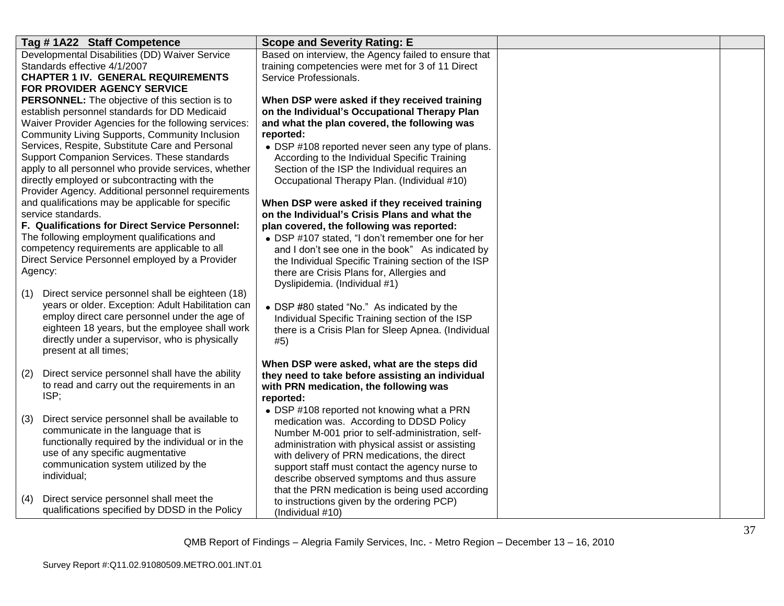| Tag #1A22 Staff Competence                                                                                    | <b>Scope and Severity Rating: E</b>                                                                       |  |
|---------------------------------------------------------------------------------------------------------------|-----------------------------------------------------------------------------------------------------------|--|
| Developmental Disabilities (DD) Waiver Service<br>Standards effective 4/1/2007                                | Based on interview, the Agency failed to ensure that<br>training competencies were met for 3 of 11 Direct |  |
| <b>CHAPTER 1 IV. GENERAL REQUIREMENTS</b>                                                                     | Service Professionals.                                                                                    |  |
| <b>FOR PROVIDER AGENCY SERVICE</b>                                                                            |                                                                                                           |  |
| PERSONNEL: The objective of this section is to                                                                | When DSP were asked if they received training                                                             |  |
| establish personnel standards for DD Medicaid                                                                 | on the Individual's Occupational Therapy Plan                                                             |  |
| Waiver Provider Agencies for the following services:<br><b>Community Living Supports, Community Inclusion</b> | and what the plan covered, the following was                                                              |  |
| Services, Respite, Substitute Care and Personal                                                               | reported:<br>• DSP #108 reported never seen any type of plans.                                            |  |
| Support Companion Services. These standards                                                                   | According to the Individual Specific Training                                                             |  |
| apply to all personnel who provide services, whether                                                          | Section of the ISP the Individual requires an                                                             |  |
| directly employed or subcontracting with the                                                                  | Occupational Therapy Plan. (Individual #10)                                                               |  |
| Provider Agency. Additional personnel requirements                                                            |                                                                                                           |  |
| and qualifications may be applicable for specific<br>service standards.                                       | When DSP were asked if they received training                                                             |  |
| F. Qualifications for Direct Service Personnel:                                                               | on the Individual's Crisis Plans and what the<br>plan covered, the following was reported:                |  |
| The following employment qualifications and                                                                   | • DSP #107 stated, "I don't remember one for her                                                          |  |
| competency requirements are applicable to all                                                                 | and I don't see one in the book" As indicated by                                                          |  |
| Direct Service Personnel employed by a Provider                                                               | the Individual Specific Training section of the ISP                                                       |  |
| Agency:                                                                                                       | there are Crisis Plans for, Allergies and                                                                 |  |
|                                                                                                               | Dyslipidemia. (Individual #1)                                                                             |  |
| Direct service personnel shall be eighteen (18)<br>(1)<br>years or older. Exception: Adult Habilitation can   |                                                                                                           |  |
| employ direct care personnel under the age of                                                                 | • DSP #80 stated "No." As indicated by the<br>Individual Specific Training section of the ISP             |  |
| eighteen 18 years, but the employee shall work                                                                | there is a Crisis Plan for Sleep Apnea. (Individual                                                       |  |
| directly under a supervisor, who is physically                                                                | #5)                                                                                                       |  |
| present at all times;                                                                                         |                                                                                                           |  |
|                                                                                                               | When DSP were asked, what are the steps did                                                               |  |
| Direct service personnel shall have the ability<br>(2)<br>to read and carry out the requirements in an        | they need to take before assisting an individual                                                          |  |
| ISP;                                                                                                          | with PRN medication, the following was<br>reported:                                                       |  |
|                                                                                                               | • DSP #108 reported not knowing what a PRN                                                                |  |
| Direct service personnel shall be available to<br>(3)                                                         | medication was. According to DDSD Policy                                                                  |  |
| communicate in the language that is                                                                           | Number M-001 prior to self-administration, self-                                                          |  |
| functionally required by the individual or in the                                                             | administration with physical assist or assisting                                                          |  |
| use of any specific augmentative<br>communication system utilized by the                                      | with delivery of PRN medications, the direct                                                              |  |
| individual;                                                                                                   | support staff must contact the agency nurse to<br>describe observed symptoms and thus assure              |  |
|                                                                                                               | that the PRN medication is being used according                                                           |  |
| Direct service personnel shall meet the<br>(4)                                                                | to instructions given by the ordering PCP)                                                                |  |
| qualifications specified by DDSD in the Policy                                                                | (Individual #10)                                                                                          |  |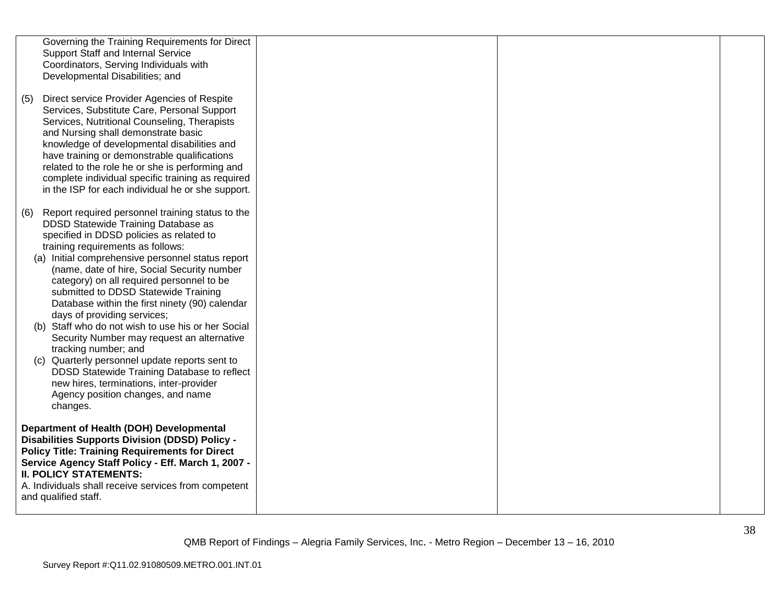|     | Governing the Training Requirements for Direct<br>Support Staff and Internal Service<br>Coordinators, Serving Individuals with<br>Developmental Disabilities; and                                                                                                                                                                                                                                                                                                                                                                                                                                                                                                                                                                                                               |  |  |
|-----|---------------------------------------------------------------------------------------------------------------------------------------------------------------------------------------------------------------------------------------------------------------------------------------------------------------------------------------------------------------------------------------------------------------------------------------------------------------------------------------------------------------------------------------------------------------------------------------------------------------------------------------------------------------------------------------------------------------------------------------------------------------------------------|--|--|
| (5) | Direct service Provider Agencies of Respite<br>Services, Substitute Care, Personal Support<br>Services, Nutritional Counseling, Therapists<br>and Nursing shall demonstrate basic<br>knowledge of developmental disabilities and<br>have training or demonstrable qualifications<br>related to the role he or she is performing and<br>complete individual specific training as required<br>in the ISP for each individual he or she support.                                                                                                                                                                                                                                                                                                                                   |  |  |
|     | (6) Report required personnel training status to the<br>DDSD Statewide Training Database as<br>specified in DDSD policies as related to<br>training requirements as follows:<br>(a) Initial comprehensive personnel status report<br>(name, date of hire, Social Security number<br>category) on all required personnel to be<br>submitted to DDSD Statewide Training<br>Database within the first ninety (90) calendar<br>days of providing services;<br>(b) Staff who do not wish to use his or her Social<br>Security Number may request an alternative<br>tracking number; and<br>(c) Quarterly personnel update reports sent to<br>DDSD Statewide Training Database to reflect<br>new hires, terminations, inter-provider<br>Agency position changes, and name<br>changes. |  |  |
|     | Department of Health (DOH) Developmental<br><b>Disabilities Supports Division (DDSD) Policy -</b><br><b>Policy Title: Training Requirements for Direct</b><br>Service Agency Staff Policy - Eff. March 1, 2007 -<br><b>II. POLICY STATEMENTS:</b><br>A. Individuals shall receive services from competent<br>and qualified staff.                                                                                                                                                                                                                                                                                                                                                                                                                                               |  |  |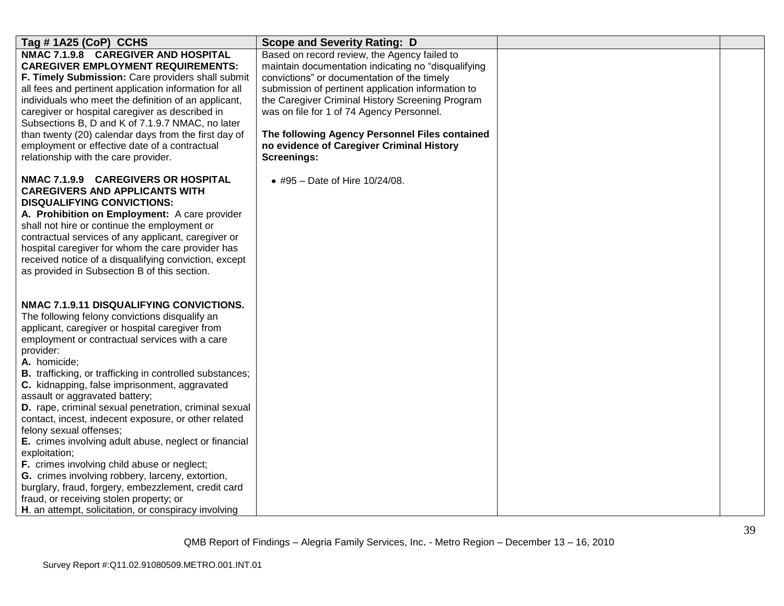| Tag #1A25 (CoP) CCHS                                                                                                                                                                                                                                                                                                                                                                                                                                                                                                                                                                                                                                                                                                                                                                                                                                                  | <b>Scope and Severity Rating: D</b>                                                                                                                                                                                                                                                                                                                                                                                     |  |
|-----------------------------------------------------------------------------------------------------------------------------------------------------------------------------------------------------------------------------------------------------------------------------------------------------------------------------------------------------------------------------------------------------------------------------------------------------------------------------------------------------------------------------------------------------------------------------------------------------------------------------------------------------------------------------------------------------------------------------------------------------------------------------------------------------------------------------------------------------------------------|-------------------------------------------------------------------------------------------------------------------------------------------------------------------------------------------------------------------------------------------------------------------------------------------------------------------------------------------------------------------------------------------------------------------------|--|
| NMAC 7.1.9.8 CAREGIVER AND HOSPITAL<br><b>CAREGIVER EMPLOYMENT REQUIREMENTS:</b><br>F. Timely Submission: Care providers shall submit<br>all fees and pertinent application information for all<br>individuals who meet the definition of an applicant,<br>caregiver or hospital caregiver as described in<br>Subsections B, D and K of 7.1.9.7 NMAC, no later<br>than twenty (20) calendar days from the first day of<br>employment or effective date of a contractual<br>relationship with the care provider.                                                                                                                                                                                                                                                                                                                                                       | Based on record review, the Agency failed to<br>maintain documentation indicating no "disqualifying<br>convictions" or documentation of the timely<br>submission of pertinent application information to<br>the Caregiver Criminal History Screening Program<br>was on file for 1 of 74 Agency Personnel.<br>The following Agency Personnel Files contained<br>no evidence of Caregiver Criminal History<br>Screenings: |  |
| NMAC 7.1.9.9 CAREGIVERS OR HOSPITAL<br><b>CAREGIVERS AND APPLICANTS WITH</b><br><b>DISQUALIFYING CONVICTIONS:</b><br>A. Prohibition on Employment: A care provider<br>shall not hire or continue the employment or<br>contractual services of any applicant, caregiver or<br>hospital caregiver for whom the care provider has<br>received notice of a disqualifying conviction, except<br>as provided in Subsection B of this section.                                                                                                                                                                                                                                                                                                                                                                                                                               | • #95 - Date of Hire 10/24/08.                                                                                                                                                                                                                                                                                                                                                                                          |  |
| NMAC 7.1.9.11 DISQUALIFYING CONVICTIONS.<br>The following felony convictions disqualify an<br>applicant, caregiver or hospital caregiver from<br>employment or contractual services with a care<br>provider:<br>A. homicide:<br><b>B.</b> trafficking, or trafficking in controlled substances;<br>C. kidnapping, false imprisonment, aggravated<br>assault or aggravated battery;<br>D. rape, criminal sexual penetration, criminal sexual<br>contact, incest, indecent exposure, or other related<br>felony sexual offenses;<br>E. crimes involving adult abuse, neglect or financial<br>exploitation;<br>F. crimes involving child abuse or neglect;<br>G. crimes involving robbery, larceny, extortion,<br>burglary, fraud, forgery, embezzlement, credit card<br>fraud, or receiving stolen property; or<br>H. an attempt, solicitation, or conspiracy involving |                                                                                                                                                                                                                                                                                                                                                                                                                         |  |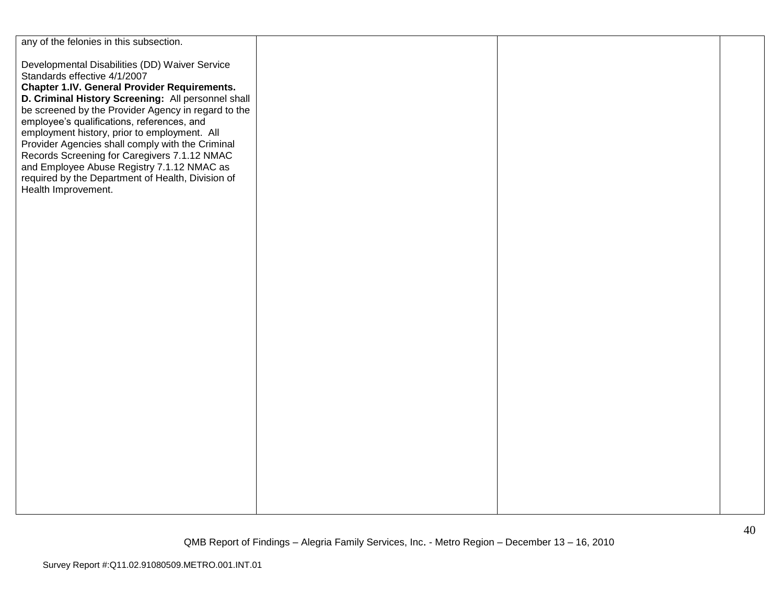| any of the felonies in this subsection.                                                                                                                                                                                                                                                                                                                                                                                                                                                                                                                                        |  |  |
|--------------------------------------------------------------------------------------------------------------------------------------------------------------------------------------------------------------------------------------------------------------------------------------------------------------------------------------------------------------------------------------------------------------------------------------------------------------------------------------------------------------------------------------------------------------------------------|--|--|
| Developmental Disabilities (DD) Waiver Service<br>Standards effective 4/1/2007<br><b>Chapter 1.IV. General Provider Requirements.</b><br>D. Criminal History Screening: All personnel shall<br>be screened by the Provider Agency in regard to the<br>employee's qualifications, references, and<br>employment history, prior to employment. All<br>Provider Agencies shall comply with the Criminal<br>Records Screening for Caregivers 7.1.12 NMAC<br>and Employee Abuse Registry 7.1.12 NMAC as<br>required by the Department of Health, Division of<br>Health Improvement. |  |  |
|                                                                                                                                                                                                                                                                                                                                                                                                                                                                                                                                                                                |  |  |
|                                                                                                                                                                                                                                                                                                                                                                                                                                                                                                                                                                                |  |  |
|                                                                                                                                                                                                                                                                                                                                                                                                                                                                                                                                                                                |  |  |
|                                                                                                                                                                                                                                                                                                                                                                                                                                                                                                                                                                                |  |  |
|                                                                                                                                                                                                                                                                                                                                                                                                                                                                                                                                                                                |  |  |
|                                                                                                                                                                                                                                                                                                                                                                                                                                                                                                                                                                                |  |  |
|                                                                                                                                                                                                                                                                                                                                                                                                                                                                                                                                                                                |  |  |
|                                                                                                                                                                                                                                                                                                                                                                                                                                                                                                                                                                                |  |  |
|                                                                                                                                                                                                                                                                                                                                                                                                                                                                                                                                                                                |  |  |
|                                                                                                                                                                                                                                                                                                                                                                                                                                                                                                                                                                                |  |  |
|                                                                                                                                                                                                                                                                                                                                                                                                                                                                                                                                                                                |  |  |
|                                                                                                                                                                                                                                                                                                                                                                                                                                                                                                                                                                                |  |  |
|                                                                                                                                                                                                                                                                                                                                                                                                                                                                                                                                                                                |  |  |
|                                                                                                                                                                                                                                                                                                                                                                                                                                                                                                                                                                                |  |  |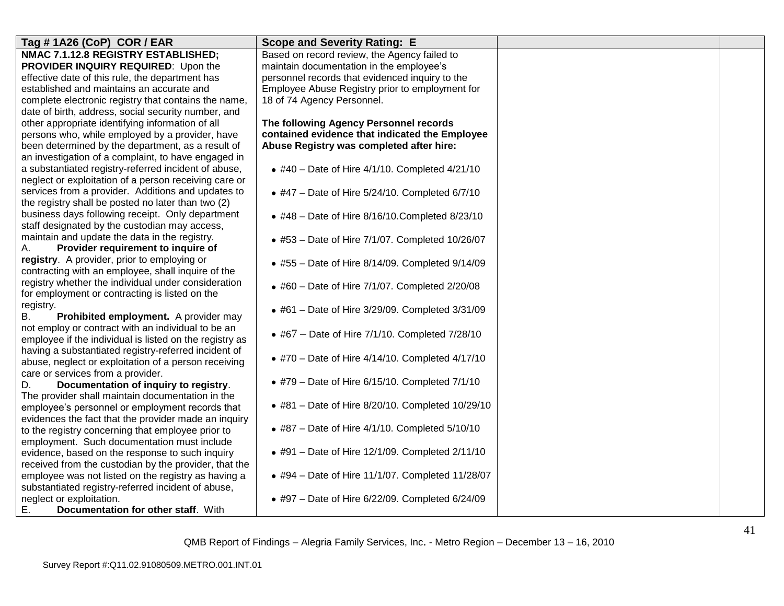| Tag # 1A26 (CoP) COR / EAR                              | <b>Scope and Severity Rating: E</b>                    |  |
|---------------------------------------------------------|--------------------------------------------------------|--|
| NMAC 7.1.12.8 REGISTRY ESTABLISHED;                     | Based on record review, the Agency failed to           |  |
| PROVIDER INQUIRY REQUIRED: Upon the                     | maintain documentation in the employee's               |  |
| effective date of this rule, the department has         | personnel records that evidenced inquiry to the        |  |
| established and maintains an accurate and               | Employee Abuse Registry prior to employment for        |  |
| complete electronic registry that contains the name,    | 18 of 74 Agency Personnel.                             |  |
| date of birth, address, social security number, and     |                                                        |  |
| other appropriate identifying information of all        | The following Agency Personnel records                 |  |
| persons who, while employed by a provider, have         | contained evidence that indicated the Employee         |  |
| been determined by the department, as a result of       | Abuse Registry was completed after hire:               |  |
| an investigation of a complaint, to have engaged in     |                                                        |  |
| a substantiated registry-referred incident of abuse,    | • #40 - Date of Hire $4/1/10$ . Completed $4/21/10$    |  |
| neglect or exploitation of a person receiving care or   |                                                        |  |
| services from a provider. Additions and updates to      | $\bullet$ #47 - Date of Hire 5/24/10. Completed 6/7/10 |  |
| the registry shall be posted no later than two (2)      |                                                        |  |
| business days following receipt. Only department        | $*$ #48 - Date of Hire 8/16/10. Completed 8/23/10      |  |
| staff designated by the custodian may access,           |                                                        |  |
| maintain and update the data in the registry.           | • #53 - Date of Hire 7/1/07. Completed 10/26/07        |  |
| Provider requirement to inquire of<br>А.                |                                                        |  |
| registry. A provider, prior to employing or             | • #55 – Date of Hire $8/14/09$ . Completed $9/14/09$   |  |
| contracting with an employee, shall inquire of the      |                                                        |  |
| registry whether the individual under consideration     | • #60 - Date of Hire 7/1/07. Completed 2/20/08         |  |
| for employment or contracting is listed on the          |                                                        |  |
| registry.                                               |                                                        |  |
| Β.<br>Prohibited employment. A provider may             | • #61 - Date of Hire 3/29/09. Completed 3/31/09        |  |
| not employ or contract with an individual to be an      |                                                        |  |
| employee if the individual is listed on the registry as | • #67 – Date of Hire $7/1/10$ . Completed $7/28/10$    |  |
| having a substantiated registry-referred incident of    |                                                        |  |
| abuse, neglect or exploitation of a person receiving    | • #70 - Date of Hire $4/14/10$ . Completed $4/17/10$   |  |
| care or services from a provider.                       |                                                        |  |
| Documentation of inquiry to registry.<br>D.             | $\bullet$ #79 – Date of Hire 6/15/10. Completed 7/1/10 |  |
| The provider shall maintain documentation in the        |                                                        |  |
| employee's personnel or employment records that         | • #81 - Date of Hire 8/20/10. Completed 10/29/10       |  |
| evidences the fact that the provider made an inquiry    |                                                        |  |
| to the registry concerning that employee prior to       | • #87 – Date of Hire $4/1/10$ . Completed $5/10/10$    |  |
| employment. Such documentation must include             |                                                        |  |
| evidence, based on the response to such inquiry         | • #91 – Date of Hire $12/1/09$ . Completed $2/11/10$   |  |
| received from the custodian by the provider, that the   |                                                        |  |
| employee was not listed on the registry as having a     | • #94 - Date of Hire 11/1/07. Completed 11/28/07       |  |
| substantiated registry-referred incident of abuse,      |                                                        |  |
| neglect or exploitation.                                | • #97 – Date of Hire $6/22/09$ . Completed $6/24/09$   |  |
| Ε.<br>Documentation for other staff. With               |                                                        |  |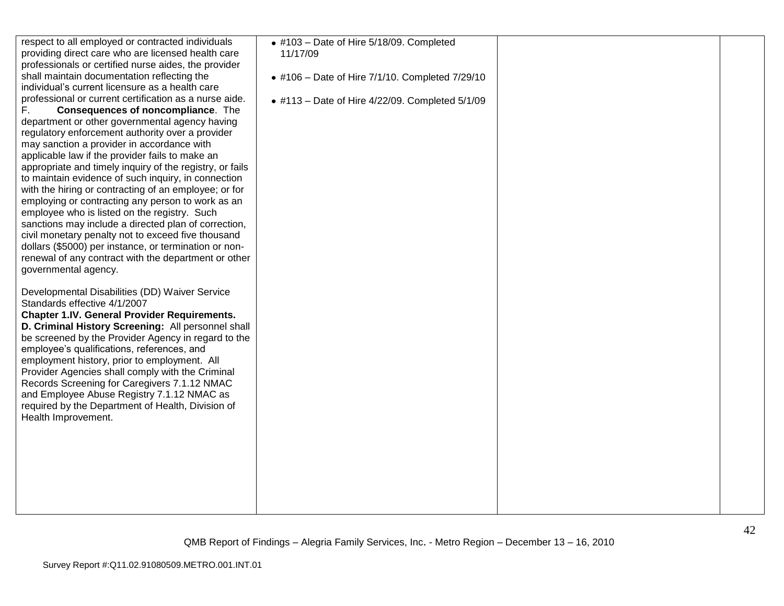| respect to all employed or contracted individuals<br>providing direct care who are licensed health care<br>professionals or certified nurse aides, the provider<br>shall maintain documentation reflecting the<br>individual's current licensure as a health care<br>professional or current certification as a nurse aide.<br>Consequences of noncompliance. The<br>F.<br>department or other governmental agency having<br>regulatory enforcement authority over a provider<br>may sanction a provider in accordance with<br>applicable law if the provider fails to make an<br>appropriate and timely inquiry of the registry, or fails<br>to maintain evidence of such inquiry, in connection<br>with the hiring or contracting of an employee; or for<br>employing or contracting any person to work as an<br>employee who is listed on the registry. Such<br>sanctions may include a directed plan of correction,<br>civil monetary penalty not to exceed five thousand<br>dollars (\$5000) per instance, or termination or non-<br>renewal of any contract with the department or other<br>governmental agency. | $\bullet$ #103 - Date of Hire 5/18/09. Completed<br>11/17/09<br>• #106 - Date of Hire 7/1/10. Completed 7/29/10<br>• #113 - Date of Hire $4/22/09$ . Completed $5/1/09$ |  |
|------------------------------------------------------------------------------------------------------------------------------------------------------------------------------------------------------------------------------------------------------------------------------------------------------------------------------------------------------------------------------------------------------------------------------------------------------------------------------------------------------------------------------------------------------------------------------------------------------------------------------------------------------------------------------------------------------------------------------------------------------------------------------------------------------------------------------------------------------------------------------------------------------------------------------------------------------------------------------------------------------------------------------------------------------------------------------------------------------------------------|-------------------------------------------------------------------------------------------------------------------------------------------------------------------------|--|
| Developmental Disabilities (DD) Waiver Service<br>Standards effective 4/1/2007<br><b>Chapter 1.IV. General Provider Requirements.</b><br>D. Criminal History Screening: All personnel shall<br>be screened by the Provider Agency in regard to the<br>employee's qualifications, references, and<br>employment history, prior to employment. All<br>Provider Agencies shall comply with the Criminal<br>Records Screening for Caregivers 7.1.12 NMAC<br>and Employee Abuse Registry 7.1.12 NMAC as<br>required by the Department of Health, Division of<br>Health Improvement.                                                                                                                                                                                                                                                                                                                                                                                                                                                                                                                                         |                                                                                                                                                                         |  |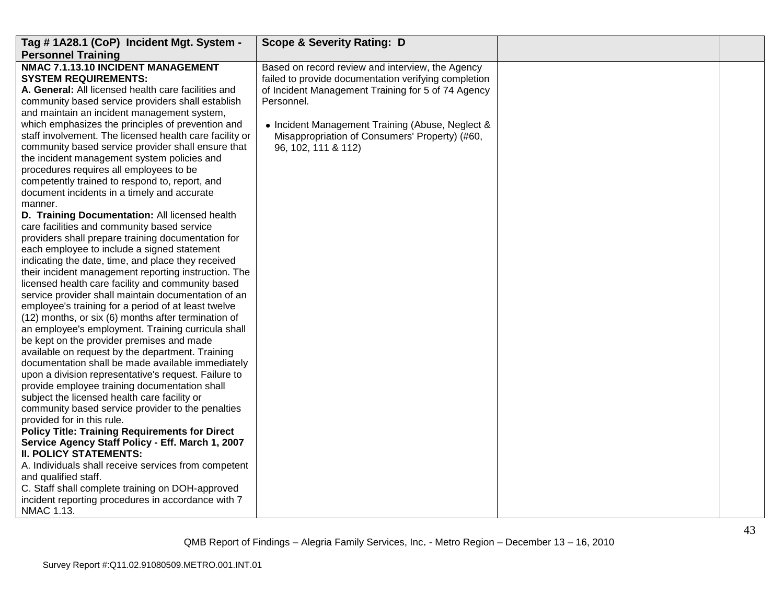| Tag #1A28.1 (CoP) Incident Mgt. System -                                                                                                                                                                                                                                                                                                                                                                                                                                                                                                                                                                                                                                                                                                                                                                                                                                                                                                                                                                                                                                                                                                                                                                                                                                                                                                                                                                                                                                                                                                                                                                                                                                                                                                                                                                                                                                                                                                                                            | <b>Scope &amp; Severity Rating: D</b>                                                                                                                                                                                                                                                                     |  |
|-------------------------------------------------------------------------------------------------------------------------------------------------------------------------------------------------------------------------------------------------------------------------------------------------------------------------------------------------------------------------------------------------------------------------------------------------------------------------------------------------------------------------------------------------------------------------------------------------------------------------------------------------------------------------------------------------------------------------------------------------------------------------------------------------------------------------------------------------------------------------------------------------------------------------------------------------------------------------------------------------------------------------------------------------------------------------------------------------------------------------------------------------------------------------------------------------------------------------------------------------------------------------------------------------------------------------------------------------------------------------------------------------------------------------------------------------------------------------------------------------------------------------------------------------------------------------------------------------------------------------------------------------------------------------------------------------------------------------------------------------------------------------------------------------------------------------------------------------------------------------------------------------------------------------------------------------------------------------------------|-----------------------------------------------------------------------------------------------------------------------------------------------------------------------------------------------------------------------------------------------------------------------------------------------------------|--|
| <b>Personnel Training</b><br>NMAC 7.1.13.10 INCIDENT MANAGEMENT<br><b>SYSTEM REQUIREMENTS:</b><br>A. General: All licensed health care facilities and<br>community based service providers shall establish<br>and maintain an incident management system,<br>which emphasizes the principles of prevention and<br>staff involvement. The licensed health care facility or<br>community based service provider shall ensure that<br>the incident management system policies and<br>procedures requires all employees to be<br>competently trained to respond to, report, and<br>document incidents in a timely and accurate<br>manner.<br>D. Training Documentation: All licensed health<br>care facilities and community based service<br>providers shall prepare training documentation for<br>each employee to include a signed statement<br>indicating the date, time, and place they received<br>their incident management reporting instruction. The<br>licensed health care facility and community based<br>service provider shall maintain documentation of an<br>employee's training for a period of at least twelve<br>(12) months, or six (6) months after termination of<br>an employee's employment. Training curricula shall<br>be kept on the provider premises and made<br>available on request by the department. Training<br>documentation shall be made available immediately<br>upon a division representative's request. Failure to<br>provide employee training documentation shall<br>subject the licensed health care facility or<br>community based service provider to the penalties<br>provided for in this rule.<br><b>Policy Title: Training Requirements for Direct</b><br>Service Agency Staff Policy - Eff. March 1, 2007<br><b>II. POLICY STATEMENTS:</b><br>A. Individuals shall receive services from competent<br>and qualified staff.<br>C. Staff shall complete training on DOH-approved<br>incident reporting procedures in accordance with 7 | Based on record review and interview, the Agency<br>failed to provide documentation verifying completion<br>of Incident Management Training for 5 of 74 Agency<br>Personnel.<br>• Incident Management Training (Abuse, Neglect &<br>Misappropriation of Consumers' Property) (#60,<br>96, 102, 111 & 112) |  |
| NMAC 1.13.                                                                                                                                                                                                                                                                                                                                                                                                                                                                                                                                                                                                                                                                                                                                                                                                                                                                                                                                                                                                                                                                                                                                                                                                                                                                                                                                                                                                                                                                                                                                                                                                                                                                                                                                                                                                                                                                                                                                                                          |                                                                                                                                                                                                                                                                                                           |  |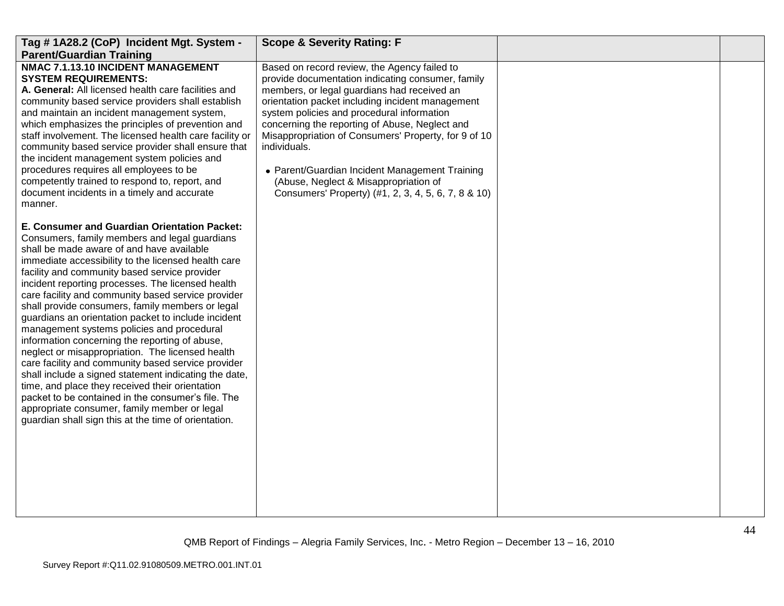| Tag #1A28.2 (CoP) Incident Mgt. System -                                                                                                                                                                                                                                                                                                                                                                                                                                                                                                                                                                                                                                                                                                                                                                                                                                                                                                                     | <b>Scope &amp; Severity Rating: F</b>                                                                                                                                                                                                                                                                                                                                                                                                                                                                                          |  |
|--------------------------------------------------------------------------------------------------------------------------------------------------------------------------------------------------------------------------------------------------------------------------------------------------------------------------------------------------------------------------------------------------------------------------------------------------------------------------------------------------------------------------------------------------------------------------------------------------------------------------------------------------------------------------------------------------------------------------------------------------------------------------------------------------------------------------------------------------------------------------------------------------------------------------------------------------------------|--------------------------------------------------------------------------------------------------------------------------------------------------------------------------------------------------------------------------------------------------------------------------------------------------------------------------------------------------------------------------------------------------------------------------------------------------------------------------------------------------------------------------------|--|
| <b>Parent/Guardian Training</b>                                                                                                                                                                                                                                                                                                                                                                                                                                                                                                                                                                                                                                                                                                                                                                                                                                                                                                                              |                                                                                                                                                                                                                                                                                                                                                                                                                                                                                                                                |  |
| NMAC 7.1.13.10 INCIDENT MANAGEMENT<br><b>SYSTEM REQUIREMENTS:</b><br>A. General: All licensed health care facilities and<br>community based service providers shall establish<br>and maintain an incident management system,<br>which emphasizes the principles of prevention and<br>staff involvement. The licensed health care facility or<br>community based service provider shall ensure that<br>the incident management system policies and<br>procedures requires all employees to be<br>competently trained to respond to, report, and<br>document incidents in a timely and accurate<br>manner.                                                                                                                                                                                                                                                                                                                                                     | Based on record review, the Agency failed to<br>provide documentation indicating consumer, family<br>members, or legal guardians had received an<br>orientation packet including incident management<br>system policies and procedural information<br>concerning the reporting of Abuse, Neglect and<br>Misappropriation of Consumers' Property, for 9 of 10<br>individuals.<br>• Parent/Guardian Incident Management Training<br>(Abuse, Neglect & Misappropriation of<br>Consumers' Property) (#1, 2, 3, 4, 5, 6, 7, 8 & 10) |  |
| E. Consumer and Guardian Orientation Packet:<br>Consumers, family members and legal guardians<br>shall be made aware of and have available<br>immediate accessibility to the licensed health care<br>facility and community based service provider<br>incident reporting processes. The licensed health<br>care facility and community based service provider<br>shall provide consumers, family members or legal<br>guardians an orientation packet to include incident<br>management systems policies and procedural<br>information concerning the reporting of abuse,<br>neglect or misappropriation. The licensed health<br>care facility and community based service provider<br>shall include a signed statement indicating the date,<br>time, and place they received their orientation<br>packet to be contained in the consumer's file. The<br>appropriate consumer, family member or legal<br>guardian shall sign this at the time of orientation. |                                                                                                                                                                                                                                                                                                                                                                                                                                                                                                                                |  |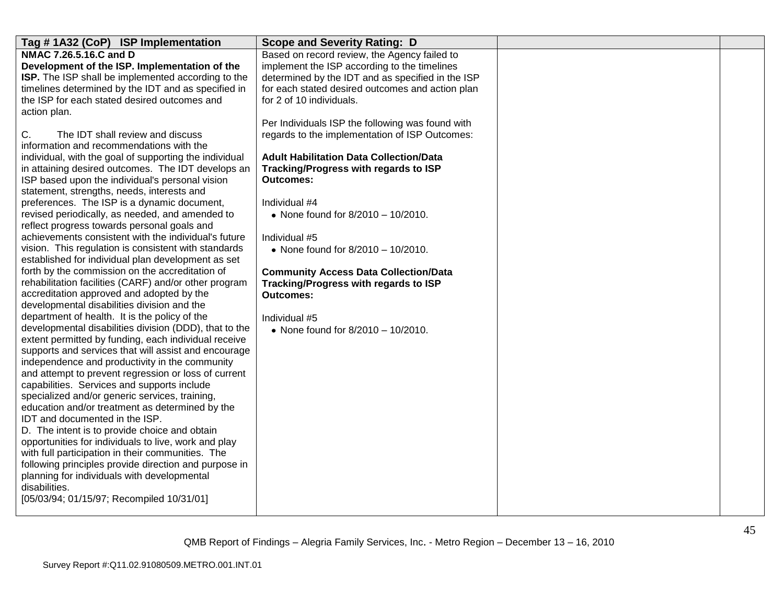| Tag #1A32 (CoP) ISP Implementation                         | <b>Scope and Severity Rating: D</b>               |  |
|------------------------------------------------------------|---------------------------------------------------|--|
| NMAC 7.26.5.16.C and D                                     | Based on record review, the Agency failed to      |  |
| Development of the ISP. Implementation of the              | implement the ISP according to the timelines      |  |
| ISP. The ISP shall be implemented according to the         | determined by the IDT and as specified in the ISP |  |
| timelines determined by the IDT and as specified in        | for each stated desired outcomes and action plan  |  |
| the ISP for each stated desired outcomes and               | for 2 of 10 individuals.                          |  |
| action plan.                                               |                                                   |  |
|                                                            | Per Individuals ISP the following was found with  |  |
| C.<br>The IDT shall review and discuss                     | regards to the implementation of ISP Outcomes:    |  |
| information and recommendations with the                   |                                                   |  |
| individual, with the goal of supporting the individual     | <b>Adult Habilitation Data Collection/Data</b>    |  |
| in attaining desired outcomes. The IDT develops an         | Tracking/Progress with regards to ISP             |  |
| ISP based upon the individual's personal vision            | <b>Outcomes:</b>                                  |  |
| statement, strengths, needs, interests and                 |                                                   |  |
| preferences. The ISP is a dynamic document,                | Individual #4                                     |  |
| revised periodically, as needed, and amended to            | • None found for 8/2010 - 10/2010.                |  |
| reflect progress towards personal goals and                |                                                   |  |
| achievements consistent with the individual's future       | Individual #5                                     |  |
| vision. This regulation is consistent with standards       | • None found for 8/2010 - 10/2010.                |  |
| established for individual plan development as set         |                                                   |  |
| forth by the commission on the accreditation of            | <b>Community Access Data Collection/Data</b>      |  |
| rehabilitation facilities (CARF) and/or other program      | Tracking/Progress with regards to ISP             |  |
| accreditation approved and adopted by the                  | <b>Outcomes:</b>                                  |  |
| developmental disabilities division and the                |                                                   |  |
| department of health. It is the policy of the              | Individual #5                                     |  |
| developmental disabilities division (DDD), that to the     | • None found for $8/2010 - 10/2010$ .             |  |
| extent permitted by funding, each individual receive       |                                                   |  |
| supports and services that will assist and encourage       |                                                   |  |
| independence and productivity in the community             |                                                   |  |
| and attempt to prevent regression or loss of current       |                                                   |  |
| capabilities. Services and supports include                |                                                   |  |
| specialized and/or generic services, training,             |                                                   |  |
| education and/or treatment as determined by the            |                                                   |  |
| IDT and documented in the ISP.                             |                                                   |  |
| D. The intent is to provide choice and obtain              |                                                   |  |
| opportunities for individuals to live, work and play       |                                                   |  |
| with full participation in their communities. The          |                                                   |  |
| following principles provide direction and purpose in      |                                                   |  |
| planning for individuals with developmental                |                                                   |  |
| disabilities.<br>[05/03/94; 01/15/97; Recompiled 10/31/01] |                                                   |  |
|                                                            |                                                   |  |
|                                                            |                                                   |  |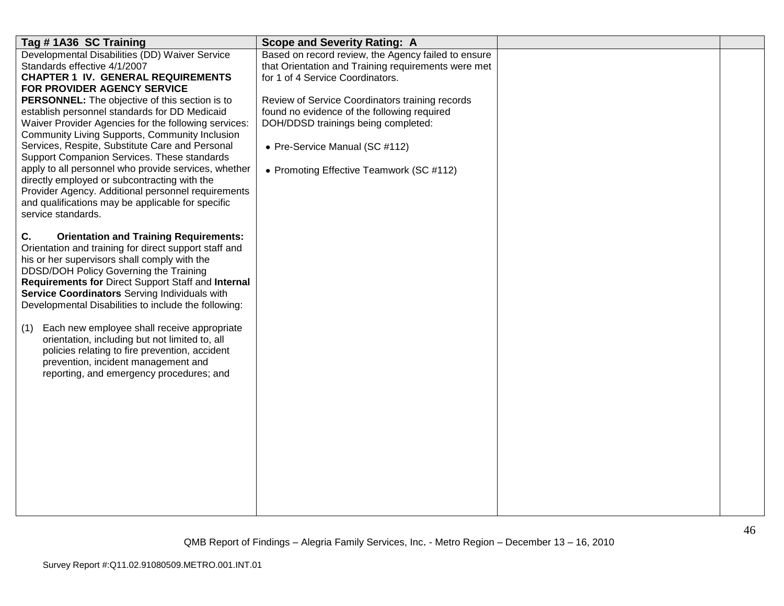| Tag #1A36 SC Training                                                                                 | <b>Scope and Severity Rating: A</b>                                                |  |
|-------------------------------------------------------------------------------------------------------|------------------------------------------------------------------------------------|--|
| Developmental Disabilities (DD) Waiver Service                                                        | Based on record review, the Agency failed to ensure                                |  |
| Standards effective 4/1/2007                                                                          | that Orientation and Training requirements were met                                |  |
| <b>CHAPTER 1 IV. GENERAL REQUIREMENTS</b>                                                             | for 1 of 4 Service Coordinators.                                                   |  |
| FOR PROVIDER AGENCY SERVICE                                                                           |                                                                                    |  |
| <b>PERSONNEL:</b> The objective of this section is to                                                 | Review of Service Coordinators training records                                    |  |
| establish personnel standards for DD Medicaid<br>Waiver Provider Agencies for the following services: | found no evidence of the following required<br>DOH/DDSD trainings being completed: |  |
| Community Living Supports, Community Inclusion                                                        |                                                                                    |  |
| Services, Respite, Substitute Care and Personal                                                       | • Pre-Service Manual (SC #112)                                                     |  |
| Support Companion Services. These standards                                                           |                                                                                    |  |
| apply to all personnel who provide services, whether                                                  | • Promoting Effective Teamwork (SC #112)                                           |  |
| directly employed or subcontracting with the                                                          |                                                                                    |  |
| Provider Agency. Additional personnel requirements                                                    |                                                                                    |  |
| and qualifications may be applicable for specific                                                     |                                                                                    |  |
| service standards.                                                                                    |                                                                                    |  |
|                                                                                                       |                                                                                    |  |
| C.<br><b>Orientation and Training Requirements:</b>                                                   |                                                                                    |  |
| Orientation and training for direct support staff and                                                 |                                                                                    |  |
| his or her supervisors shall comply with the                                                          |                                                                                    |  |
| DDSD/DOH Policy Governing the Training                                                                |                                                                                    |  |
| Requirements for Direct Support Staff and Internal                                                    |                                                                                    |  |
| Service Coordinators Serving Individuals with                                                         |                                                                                    |  |
| Developmental Disabilities to include the following:                                                  |                                                                                    |  |
|                                                                                                       |                                                                                    |  |
| Each new employee shall receive appropriate<br>(1)<br>orientation, including but not limited to, all  |                                                                                    |  |
| policies relating to fire prevention, accident                                                        |                                                                                    |  |
| prevention, incident management and                                                                   |                                                                                    |  |
| reporting, and emergency procedures; and                                                              |                                                                                    |  |
|                                                                                                       |                                                                                    |  |
|                                                                                                       |                                                                                    |  |
|                                                                                                       |                                                                                    |  |
|                                                                                                       |                                                                                    |  |
|                                                                                                       |                                                                                    |  |
|                                                                                                       |                                                                                    |  |
|                                                                                                       |                                                                                    |  |
|                                                                                                       |                                                                                    |  |
|                                                                                                       |                                                                                    |  |
|                                                                                                       |                                                                                    |  |
|                                                                                                       |                                                                                    |  |
|                                                                                                       |                                                                                    |  |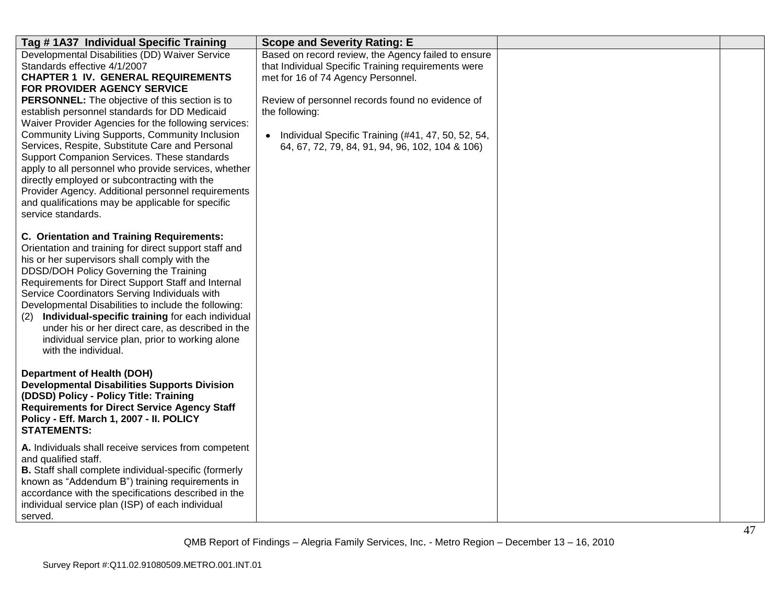| Tag #1A37 Individual Specific Training                                                                                                                                                                                                                                                                                                                                                                                                                                                                                                                                                                                                                                                                             | <b>Scope and Severity Rating: E</b>                                                                                                                                                                                                                                                                                               |  |
|--------------------------------------------------------------------------------------------------------------------------------------------------------------------------------------------------------------------------------------------------------------------------------------------------------------------------------------------------------------------------------------------------------------------------------------------------------------------------------------------------------------------------------------------------------------------------------------------------------------------------------------------------------------------------------------------------------------------|-----------------------------------------------------------------------------------------------------------------------------------------------------------------------------------------------------------------------------------------------------------------------------------------------------------------------------------|--|
| Developmental Disabilities (DD) Waiver Service<br>Standards effective 4/1/2007<br><b>CHAPTER 1 IV. GENERAL REQUIREMENTS</b><br>FOR PROVIDER AGENCY SERVICE<br>PERSONNEL: The objective of this section is to<br>establish personnel standards for DD Medicaid<br>Waiver Provider Agencies for the following services:<br>Community Living Supports, Community Inclusion<br>Services, Respite, Substitute Care and Personal<br>Support Companion Services. These standards<br>apply to all personnel who provide services, whether<br>directly employed or subcontracting with the<br>Provider Agency. Additional personnel requirements<br>and qualifications may be applicable for specific<br>service standards. | Based on record review, the Agency failed to ensure<br>that Individual Specific Training requirements were<br>met for 16 of 74 Agency Personnel.<br>Review of personnel records found no evidence of<br>the following:<br>• Individual Specific Training (#41, 47, 50, 52, 54,<br>64, 67, 72, 79, 84, 91, 94, 96, 102, 104 & 106) |  |
| <b>C. Orientation and Training Requirements:</b><br>Orientation and training for direct support staff and<br>his or her supervisors shall comply with the<br>DDSD/DOH Policy Governing the Training<br>Requirements for Direct Support Staff and Internal<br>Service Coordinators Serving Individuals with<br>Developmental Disabilities to include the following:<br>Individual-specific training for each individual<br>(2)<br>under his or her direct care, as described in the<br>individual service plan, prior to working alone<br>with the individual.                                                                                                                                                      |                                                                                                                                                                                                                                                                                                                                   |  |
| <b>Department of Health (DOH)</b><br><b>Developmental Disabilities Supports Division</b><br>(DDSD) Policy - Policy Title: Training<br><b>Requirements for Direct Service Agency Staff</b><br>Policy - Eff. March 1, 2007 - II. POLICY<br><b>STATEMENTS:</b>                                                                                                                                                                                                                                                                                                                                                                                                                                                        |                                                                                                                                                                                                                                                                                                                                   |  |
| A. Individuals shall receive services from competent<br>and qualified staff.<br>B. Staff shall complete individual-specific (formerly<br>known as "Addendum B") training requirements in<br>accordance with the specifications described in the<br>individual service plan (ISP) of each individual<br>served.                                                                                                                                                                                                                                                                                                                                                                                                     |                                                                                                                                                                                                                                                                                                                                   |  |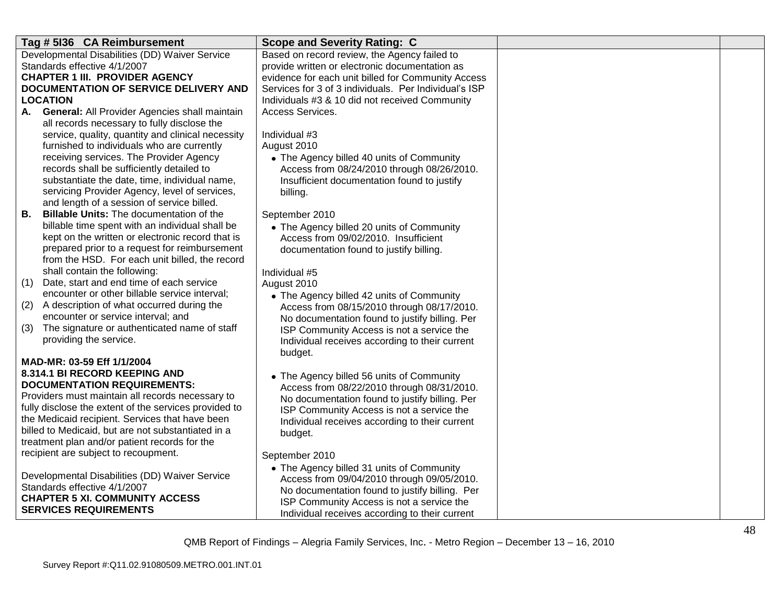| Tag # 5136 CA Reimbursement                                                            | <b>Scope and Severity Rating: C</b>                   |             |
|----------------------------------------------------------------------------------------|-------------------------------------------------------|-------------|
| Developmental Disabilities (DD) Waiver Service                                         | Based on record review, the Agency failed to          |             |
| Standards effective 4/1/2007                                                           | provide written or electronic documentation as        |             |
| <b>CHAPTER 1 III. PROVIDER AGENCY</b>                                                  | evidence for each unit billed for Community Access    |             |
| DOCUMENTATION OF SERVICE DELIVERY AND                                                  | Services for 3 of 3 individuals. Per Individual's ISP |             |
| LOCATION                                                                               | Individuals #3 & 10 did not received Community        |             |
| A. General: All Provider Agencies shall maintain                                       | Access Services.                                      |             |
| all records necessary to fully disclose the                                            |                                                       |             |
| service, quality, quantity and clinical necessity                                      | Individual #3                                         |             |
| furnished to individuals who are currently                                             | August 2010                                           |             |
| receiving services. The Provider Agency                                                | • The Agency billed 40 units of Community             |             |
| records shall be sufficiently detailed to                                              | Access from 08/24/2010 through 08/26/2010.            |             |
| substantiate the date, time, individual name,                                          | Insufficient documentation found to justify           |             |
| servicing Provider Agency, level of services,                                          | billing.                                              |             |
| and length of a session of service billed.                                             |                                                       |             |
| <b>B.</b><br><b>Billable Units: The documentation of the</b>                           | September 2010                                        |             |
| billable time spent with an individual shall be                                        | • The Agency billed 20 units of Community             |             |
| kept on the written or electronic record that is                                       | Access from 09/02/2010. Insufficient                  |             |
| prepared prior to a request for reimbursement                                          | documentation found to justify billing.               |             |
| from the HSD. For each unit billed, the record                                         |                                                       |             |
| shall contain the following:                                                           | Individual #5                                         |             |
| Date, start and end time of each service<br>(1)                                        | August 2010                                           |             |
| encounter or other billable service interval;                                          | • The Agency billed 42 units of Community             |             |
| A description of what occurred during the<br>(2)<br>encounter or service interval; and | Access from 08/15/2010 through 08/17/2010.            |             |
| The signature or authenticated name of staff<br>(3)                                    | No documentation found to justify billing. Per        |             |
| providing the service.                                                                 | ISP Community Access is not a service the             |             |
|                                                                                        | Individual receives according to their current        |             |
| MAD-MR: 03-59 Eff 1/1/2004                                                             | budget.                                               |             |
| 8.314.1 BI RECORD KEEPING AND                                                          | • The Agency billed 56 units of Community             |             |
| <b>DOCUMENTATION REQUIREMENTS:</b>                                                     | Access from 08/22/2010 through 08/31/2010.            |             |
| Providers must maintain all records necessary to                                       | No documentation found to justify billing. Per        |             |
| fully disclose the extent of the services provided to                                  | ISP Community Access is not a service the             |             |
| the Medicaid recipient. Services that have been                                        | Individual receives according to their current        |             |
| billed to Medicaid, but are not substantiated in a                                     | budget.                                               |             |
| treatment plan and/or patient records for the                                          |                                                       |             |
| recipient are subject to recoupment.                                                   | September 2010                                        |             |
|                                                                                        | • The Agency billed 31 units of Community             |             |
| Developmental Disabilities (DD) Waiver Service                                         | Access from 09/04/2010 through 09/05/2010.            |             |
| Standards effective 4/1/2007                                                           | No documentation found to justify billing. Per        |             |
| <b>CHAPTER 5 XI. COMMUNITY ACCESS</b>                                                  | ISP Community Access is not a service the             |             |
| <b>SERVICES REQUIREMENTS</b>                                                           | Individual receives according to their current        |             |
|                                                                                        |                                                       | $\Lambda$ O |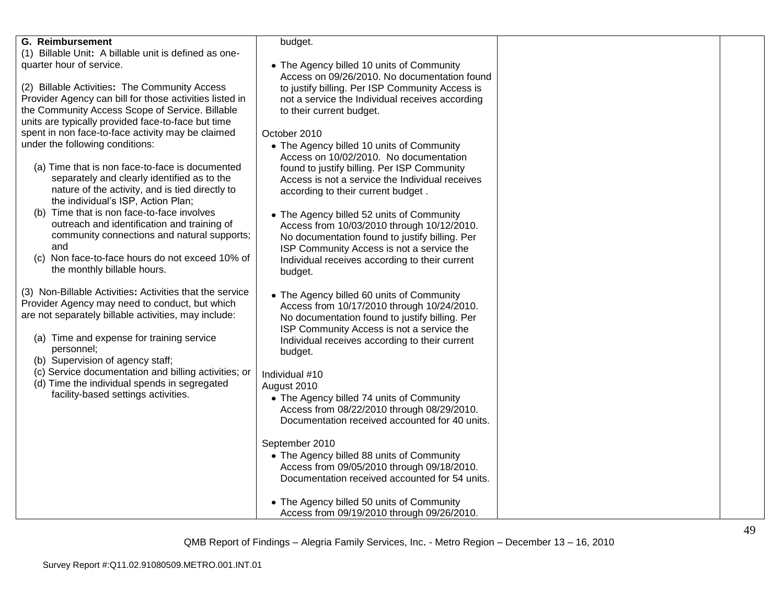| <b>G. Reimbursement</b>                                                                                | budget.                                                                                            |  |
|--------------------------------------------------------------------------------------------------------|----------------------------------------------------------------------------------------------------|--|
| (1) Billable Unit: A billable unit is defined as one-                                                  |                                                                                                    |  |
| quarter hour of service.                                                                               | • The Agency billed 10 units of Community                                                          |  |
| (2) Billable Activities: The Community Access                                                          | Access on 09/26/2010. No documentation found                                                       |  |
| Provider Agency can bill for those activities listed in                                                | to justify billing. Per ISP Community Access is<br>not a service the Individual receives according |  |
| the Community Access Scope of Service. Billable                                                        | to their current budget.                                                                           |  |
| units are typically provided face-to-face but time                                                     |                                                                                                    |  |
| spent in non face-to-face activity may be claimed                                                      | October 2010                                                                                       |  |
| under the following conditions:                                                                        | • The Agency billed 10 units of Community                                                          |  |
|                                                                                                        | Access on 10/02/2010. No documentation                                                             |  |
| (a) Time that is non face-to-face is documented                                                        | found to justify billing. Per ISP Community                                                        |  |
| separately and clearly identified as to the                                                            | Access is not a service the Individual receives                                                    |  |
| nature of the activity, and is tied directly to                                                        | according to their current budget.                                                                 |  |
| the individual's ISP, Action Plan;                                                                     |                                                                                                    |  |
| (b) Time that is non face-to-face involves                                                             | • The Agency billed 52 units of Community                                                          |  |
| outreach and identification and training of                                                            | Access from 10/03/2010 through 10/12/2010.                                                         |  |
| community connections and natural supports;                                                            | No documentation found to justify billing. Per                                                     |  |
| and                                                                                                    | ISP Community Access is not a service the                                                          |  |
| (c) Non face-to-face hours do not exceed 10% of                                                        | Individual receives according to their current                                                     |  |
| the monthly billable hours.                                                                            | budget.                                                                                            |  |
|                                                                                                        |                                                                                                    |  |
| (3) Non-Billable Activities: Activities that the service                                               | • The Agency billed 60 units of Community                                                          |  |
| Provider Agency may need to conduct, but which<br>are not separately billable activities, may include: | Access from 10/17/2010 through 10/24/2010.                                                         |  |
|                                                                                                        | No documentation found to justify billing. Per                                                     |  |
| (a) Time and expense for training service                                                              | ISP Community Access is not a service the                                                          |  |
| personnel;                                                                                             | Individual receives according to their current                                                     |  |
| (b) Supervision of agency staff;                                                                       | budget.                                                                                            |  |
| (c) Service documentation and billing activities; or                                                   | Individual #10                                                                                     |  |
| (d) Time the individual spends in segregated                                                           | August 2010                                                                                        |  |
| facility-based settings activities.                                                                    | • The Agency billed 74 units of Community                                                          |  |
|                                                                                                        | Access from 08/22/2010 through 08/29/2010.                                                         |  |
|                                                                                                        | Documentation received accounted for 40 units.                                                     |  |
|                                                                                                        |                                                                                                    |  |
|                                                                                                        | September 2010                                                                                     |  |
|                                                                                                        | • The Agency billed 88 units of Community                                                          |  |
|                                                                                                        | Access from 09/05/2010 through 09/18/2010.                                                         |  |
|                                                                                                        | Documentation received accounted for 54 units.                                                     |  |
|                                                                                                        |                                                                                                    |  |
|                                                                                                        | • The Agency billed 50 units of Community                                                          |  |
|                                                                                                        | Access from 09/19/2010 through 09/26/2010.                                                         |  |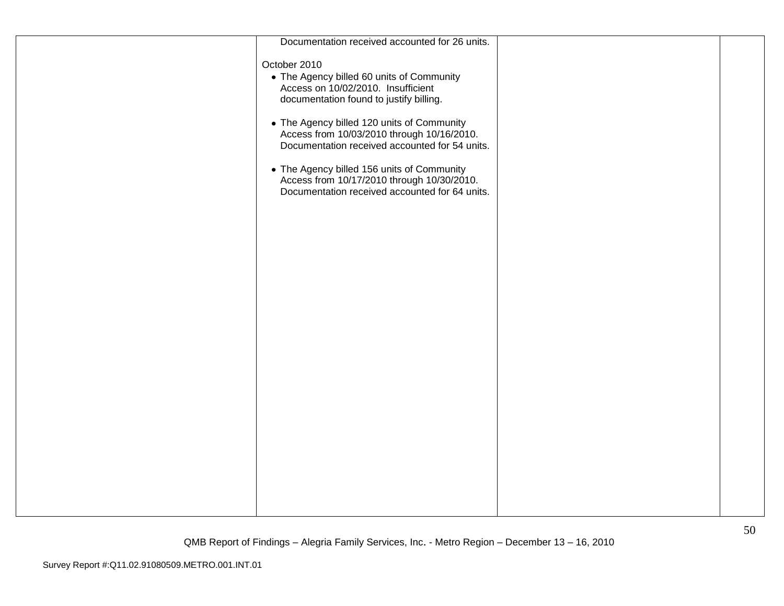| Documentation received accounted for 26 units.                                                                                                                                                                                                                                                                                                                                                                                         |  |
|----------------------------------------------------------------------------------------------------------------------------------------------------------------------------------------------------------------------------------------------------------------------------------------------------------------------------------------------------------------------------------------------------------------------------------------|--|
| October 2010<br>• The Agency billed 60 units of Community<br>Access on 10/02/2010. Insufficient<br>documentation found to justify billing.<br>• The Agency billed 120 units of Community<br>Access from 10/03/2010 through 10/16/2010.<br>Documentation received accounted for 54 units.<br>• The Agency billed 156 units of Community<br>Access from 10/17/2010 through 10/30/2010.<br>Documentation received accounted for 64 units. |  |
|                                                                                                                                                                                                                                                                                                                                                                                                                                        |  |
|                                                                                                                                                                                                                                                                                                                                                                                                                                        |  |
|                                                                                                                                                                                                                                                                                                                                                                                                                                        |  |
|                                                                                                                                                                                                                                                                                                                                                                                                                                        |  |
|                                                                                                                                                                                                                                                                                                                                                                                                                                        |  |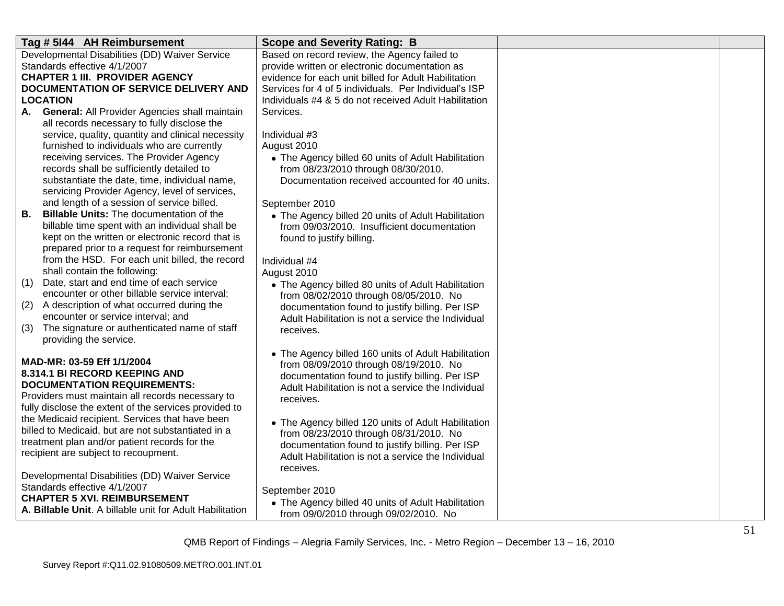| Tag # 5144 AH Reimbursement                                         | <b>Scope and Severity Rating: B</b>                                                         |  |
|---------------------------------------------------------------------|---------------------------------------------------------------------------------------------|--|
| Developmental Disabilities (DD) Waiver Service                      | Based on record review, the Agency failed to                                                |  |
| Standards effective 4/1/2007                                        | provide written or electronic documentation as                                              |  |
| <b>CHAPTER 1 III. PROVIDER AGENCY</b>                               | evidence for each unit billed for Adult Habilitation                                        |  |
| DOCUMENTATION OF SERVICE DELIVERY AND                               | Services for 4 of 5 individuals. Per Individual's ISP                                       |  |
| <b>LOCATION</b>                                                     | Individuals #4 & 5 do not received Adult Habilitation                                       |  |
| General: All Provider Agencies shall maintain<br>А.                 | Services.                                                                                   |  |
| all records necessary to fully disclose the                         |                                                                                             |  |
| service, quality, quantity and clinical necessity                   | Individual #3                                                                               |  |
| furnished to individuals who are currently                          | August 2010                                                                                 |  |
| receiving services. The Provider Agency                             | • The Agency billed 60 units of Adult Habilitation                                          |  |
| records shall be sufficiently detailed to                           | from 08/23/2010 through 08/30/2010.                                                         |  |
| substantiate the date, time, individual name,                       | Documentation received accounted for 40 units.                                              |  |
| servicing Provider Agency, level of services,                       |                                                                                             |  |
| and length of a session of service billed.                          | September 2010                                                                              |  |
| <b>Billable Units: The documentation of the</b><br>В.               | • The Agency billed 20 units of Adult Habilitation                                          |  |
| billable time spent with an individual shall be                     | from 09/03/2010. Insufficient documentation                                                 |  |
| kept on the written or electronic record that is                    | found to justify billing.                                                                   |  |
| prepared prior to a request for reimbursement                       |                                                                                             |  |
| from the HSD. For each unit billed, the record                      | Individual #4                                                                               |  |
| shall contain the following:                                        | August 2010                                                                                 |  |
| Date, start and end time of each service<br>(1)                     | • The Agency billed 80 units of Adult Habilitation                                          |  |
| encounter or other billable service interval;                       | from 08/02/2010 through 08/05/2010. No                                                      |  |
| (2)<br>A description of what occurred during the                    | documentation found to justify billing. Per ISP                                             |  |
| encounter or service interval; and                                  | Adult Habilitation is not a service the Individual                                          |  |
| The signature or authenticated name of staff<br>(3)                 | receives.                                                                                   |  |
| providing the service.                                              |                                                                                             |  |
|                                                                     | • The Agency billed 160 units of Adult Habilitation                                         |  |
| MAD-MR: 03-59 Eff 1/1/2004                                          | from 08/09/2010 through 08/19/2010. No                                                      |  |
| 8.314.1 BI RECORD KEEPING AND<br><b>DOCUMENTATION REQUIREMENTS:</b> | documentation found to justify billing. Per ISP                                             |  |
| Providers must maintain all records necessary to                    | Adult Habilitation is not a service the Individual                                          |  |
| fully disclose the extent of the services provided to               | receives.                                                                                   |  |
| the Medicaid recipient. Services that have been                     |                                                                                             |  |
| billed to Medicaid, but are not substantiated in a                  | • The Agency billed 120 units of Adult Habilitation                                         |  |
| treatment plan and/or patient records for the                       | from 08/23/2010 through 08/31/2010. No                                                      |  |
| recipient are subject to recoupment.                                | documentation found to justify billing. Per ISP                                             |  |
|                                                                     | Adult Habilitation is not a service the Individual                                          |  |
| Developmental Disabilities (DD) Waiver Service                      | receives.                                                                                   |  |
| Standards effective 4/1/2007                                        | September 2010                                                                              |  |
| <b>CHAPTER 5 XVI. REIMBURSEMENT</b>                                 |                                                                                             |  |
| A. Billable Unit. A billable unit for Adult Habilitation            | • The Agency billed 40 units of Adult Habilitation<br>from 09/0/2010 through 09/02/2010. No |  |
|                                                                     |                                                                                             |  |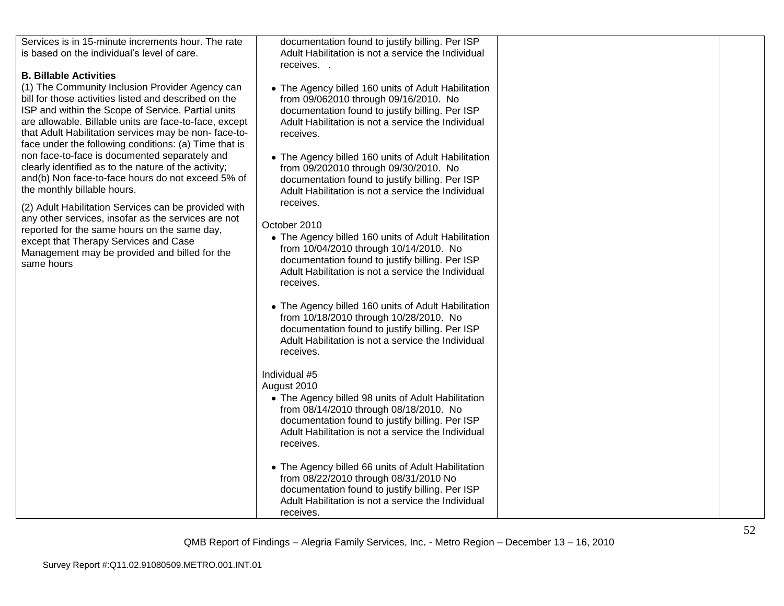| Services is in 15-minute increments hour. The rate<br>is based on the individual's level of care.<br><b>B. Billable Activities</b><br>(1) The Community Inclusion Provider Agency can<br>bill for those activities listed and described on the<br>ISP and within the Scope of Service. Partial units<br>are allowable. Billable units are face-to-face, except<br>that Adult Habilitation services may be non-face-to-<br>face under the following conditions: (a) Time that is<br>non face-to-face is documented separately and<br>clearly identified as to the nature of the activity;<br>and(b) Non face-to-face hours do not exceed 5% of<br>the monthly billable hours.<br>(2) Adult Habilitation Services can be provided with<br>any other services, insofar as the services are not<br>reported for the same hours on the same day,<br>except that Therapy Services and Case<br>Management may be provided and billed for the<br>same hours | documentation found to justify billing. Per ISP<br>Adult Habilitation is not a service the Individual<br>receives<br>• The Agency billed 160 units of Adult Habilitation<br>from 09/062010 through 09/16/2010. No<br>documentation found to justify billing. Per ISP<br>Adult Habilitation is not a service the Individual<br>receives.<br>• The Agency billed 160 units of Adult Habilitation<br>from 09/202010 through 09/30/2010. No<br>documentation found to justify billing. Per ISP<br>Adult Habilitation is not a service the Individual<br>receives.<br>October 2010<br>• The Agency billed 160 units of Adult Habilitation<br>from 10/04/2010 through 10/14/2010. No<br>documentation found to justify billing. Per ISP<br>Adult Habilitation is not a service the Individual<br>receives.<br>• The Agency billed 160 units of Adult Habilitation<br>from 10/18/2010 through 10/28/2010. No<br>documentation found to justify billing. Per ISP<br>Adult Habilitation is not a service the Individual<br>receives.<br>Individual #5<br>August 2010<br>• The Agency billed 98 units of Adult Habilitation<br>from 08/14/2010 through 08/18/2010. No<br>documentation found to justify billing. Per ISP<br>Adult Habilitation is not a service the Individual<br>receives.<br>• The Agency billed 66 units of Adult Habilitation |  |
|-----------------------------------------------------------------------------------------------------------------------------------------------------------------------------------------------------------------------------------------------------------------------------------------------------------------------------------------------------------------------------------------------------------------------------------------------------------------------------------------------------------------------------------------------------------------------------------------------------------------------------------------------------------------------------------------------------------------------------------------------------------------------------------------------------------------------------------------------------------------------------------------------------------------------------------------------------|-----------------------------------------------------------------------------------------------------------------------------------------------------------------------------------------------------------------------------------------------------------------------------------------------------------------------------------------------------------------------------------------------------------------------------------------------------------------------------------------------------------------------------------------------------------------------------------------------------------------------------------------------------------------------------------------------------------------------------------------------------------------------------------------------------------------------------------------------------------------------------------------------------------------------------------------------------------------------------------------------------------------------------------------------------------------------------------------------------------------------------------------------------------------------------------------------------------------------------------------------------------------------------------------------------------------------------------------|--|
|                                                                                                                                                                                                                                                                                                                                                                                                                                                                                                                                                                                                                                                                                                                                                                                                                                                                                                                                                     | from 08/22/2010 through 08/31/2010 No<br>documentation found to justify billing. Per ISP<br>Adult Habilitation is not a service the Individual<br>receives.                                                                                                                                                                                                                                                                                                                                                                                                                                                                                                                                                                                                                                                                                                                                                                                                                                                                                                                                                                                                                                                                                                                                                                             |  |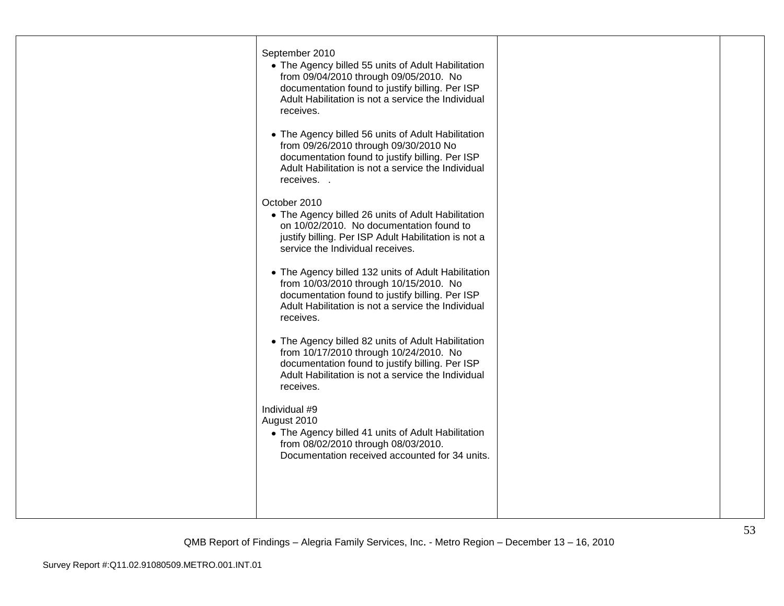| September 2010<br>• The Agency billed 55 units of Adult Habilitation<br>from 09/04/2010 through 09/05/2010. No<br>documentation found to justify billing. Per ISP<br>Adult Habilitation is not a service the Individual<br>receives. |  |
|--------------------------------------------------------------------------------------------------------------------------------------------------------------------------------------------------------------------------------------|--|
| • The Agency billed 56 units of Adult Habilitation<br>from 09/26/2010 through 09/30/2010 No<br>documentation found to justify billing. Per ISP<br>Adult Habilitation is not a service the Individual<br>receives                     |  |
| October 2010<br>• The Agency billed 26 units of Adult Habilitation<br>on 10/02/2010. No documentation found to<br>justify billing. Per ISP Adult Habilitation is not a<br>service the Individual receives.                           |  |
| • The Agency billed 132 units of Adult Habilitation<br>from 10/03/2010 through 10/15/2010. No<br>documentation found to justify billing. Per ISP<br>Adult Habilitation is not a service the Individual<br>receives.                  |  |
| • The Agency billed 82 units of Adult Habilitation<br>from 10/17/2010 through 10/24/2010. No<br>documentation found to justify billing. Per ISP<br>Adult Habilitation is not a service the Individual<br>receives.                   |  |
| Individual #9<br>August 2010<br>• The Agency billed 41 units of Adult Habilitation<br>from 08/02/2010 through 08/03/2010.<br>Documentation received accounted for 34 units.                                                          |  |
|                                                                                                                                                                                                                                      |  |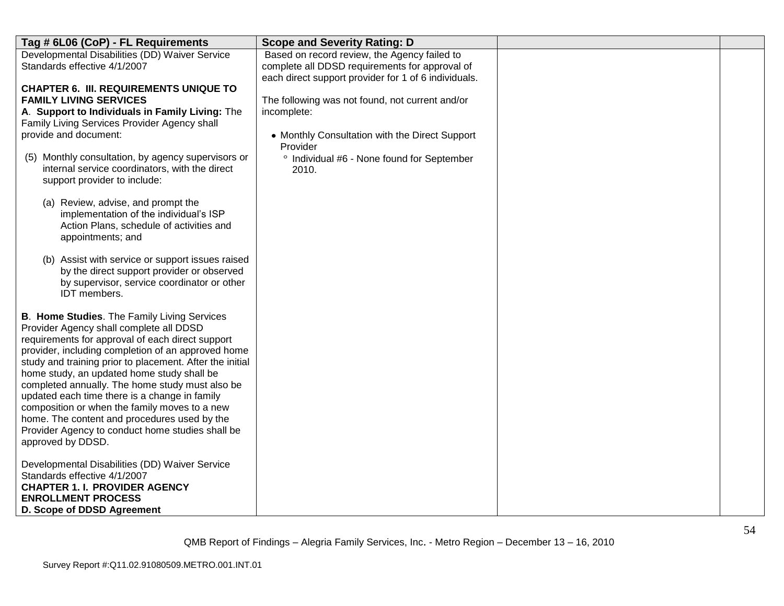| Tag # 6L06 (CoP) - FL Requirements                                                                                                   | <b>Scope and Severity Rating: D</b>                        |  |
|--------------------------------------------------------------------------------------------------------------------------------------|------------------------------------------------------------|--|
| Developmental Disabilities (DD) Waiver Service                                                                                       | Based on record review, the Agency failed to               |  |
| Standards effective 4/1/2007                                                                                                         | complete all DDSD requirements for approval of             |  |
| <b>CHAPTER 6. III. REQUIREMENTS UNIQUE TO</b>                                                                                        | each direct support provider for 1 of 6 individuals.       |  |
| <b>FAMILY LIVING SERVICES</b>                                                                                                        | The following was not found, not current and/or            |  |
| A. Support to Individuals in Family Living: The                                                                                      | incomplete:                                                |  |
| Family Living Services Provider Agency shall                                                                                         |                                                            |  |
| provide and document:                                                                                                                | • Monthly Consultation with the Direct Support<br>Provider |  |
| (5) Monthly consultation, by agency supervisors or<br>internal service coordinators, with the direct<br>support provider to include: | ° Individual #6 - None found for September<br>2010.        |  |
| (a) Review, advise, and prompt the                                                                                                   |                                                            |  |
| implementation of the individual's ISP<br>Action Plans, schedule of activities and                                                   |                                                            |  |
| appointments; and                                                                                                                    |                                                            |  |
| (b) Assist with service or support issues raised                                                                                     |                                                            |  |
| by the direct support provider or observed<br>by supervisor, service coordinator or other                                            |                                                            |  |
| IDT members.                                                                                                                         |                                                            |  |
|                                                                                                                                      |                                                            |  |
| B. Home Studies. The Family Living Services<br>Provider Agency shall complete all DDSD                                               |                                                            |  |
| requirements for approval of each direct support                                                                                     |                                                            |  |
| provider, including completion of an approved home                                                                                   |                                                            |  |
| study and training prior to placement. After the initial                                                                             |                                                            |  |
| home study, an updated home study shall be<br>completed annually. The home study must also be                                        |                                                            |  |
| updated each time there is a change in family                                                                                        |                                                            |  |
| composition or when the family moves to a new                                                                                        |                                                            |  |
| home. The content and procedures used by the                                                                                         |                                                            |  |
| Provider Agency to conduct home studies shall be<br>approved by DDSD.                                                                |                                                            |  |
|                                                                                                                                      |                                                            |  |
| Developmental Disabilities (DD) Waiver Service                                                                                       |                                                            |  |
| Standards effective 4/1/2007<br><b>CHAPTER 1. I. PROVIDER AGENCY</b>                                                                 |                                                            |  |
| <b>ENROLLMENT PROCESS</b>                                                                                                            |                                                            |  |
| D. Scope of DDSD Agreement                                                                                                           |                                                            |  |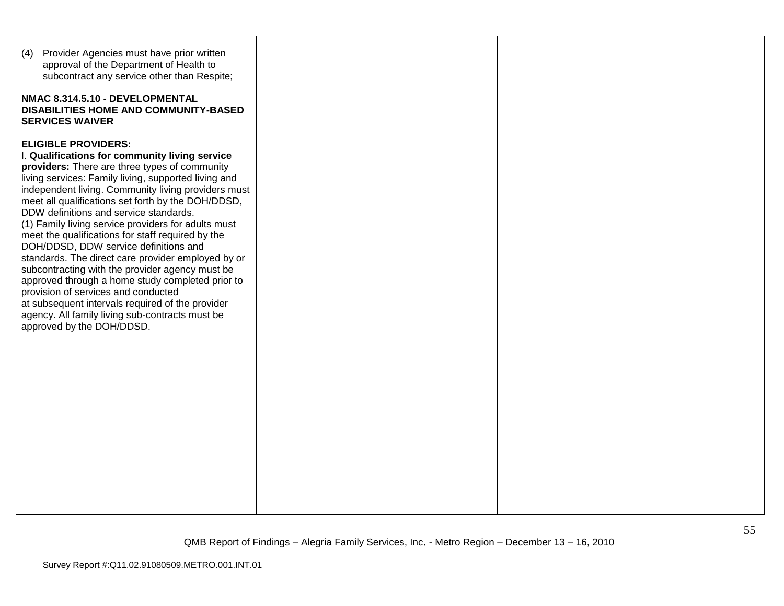| (4) Provider Agencies must have prior written<br>approval of the Department of Health to<br>subcontract any service other than Respite;<br>NMAC 8.314.5.10 - DEVELOPMENTAL<br>DISABILITIES HOME AND COMMUNITY-BASED<br><b>SERVICES WAIVER</b>                                                                                                                                                                                                                                                                                                                                                                                                                                                                                                                                                                                             |  |  |
|-------------------------------------------------------------------------------------------------------------------------------------------------------------------------------------------------------------------------------------------------------------------------------------------------------------------------------------------------------------------------------------------------------------------------------------------------------------------------------------------------------------------------------------------------------------------------------------------------------------------------------------------------------------------------------------------------------------------------------------------------------------------------------------------------------------------------------------------|--|--|
| <b>ELIGIBLE PROVIDERS:</b><br>I. Qualifications for community living service<br>providers: There are three types of community<br>living services: Family living, supported living and<br>independent living. Community living providers must<br>meet all qualifications set forth by the DOH/DDSD,<br>DDW definitions and service standards.<br>(1) Family living service providers for adults must<br>meet the qualifications for staff required by the<br>DOH/DDSD, DDW service definitions and<br>standards. The direct care provider employed by or<br>subcontracting with the provider agency must be<br>approved through a home study completed prior to<br>provision of services and conducted<br>at subsequent intervals required of the provider<br>agency. All family living sub-contracts must be<br>approved by the DOH/DDSD. |  |  |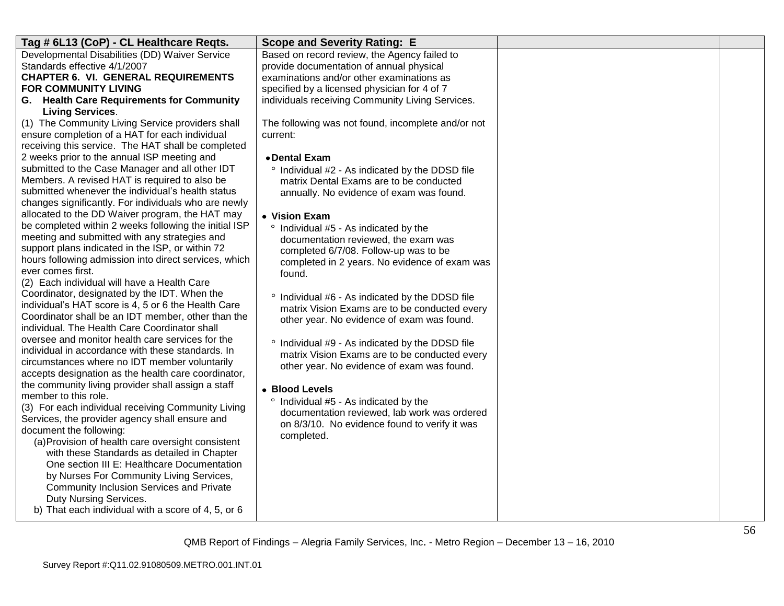| Developmental Disabilities (DD) Waiver Service<br>Based on record review, the Agency failed to<br>Standards effective 4/1/2007<br>provide documentation of annual physical<br><b>CHAPTER 6. VI. GENERAL REQUIREMENTS</b><br>examinations and/or other examinations as<br><b>FOR COMMUNITY LIVING</b><br>specified by a licensed physician for 4 of 7<br>G. Health Care Requirements for Community<br>individuals receiving Community Living Services.<br><b>Living Services.</b><br>(1) The Community Living Service providers shall<br>The following was not found, incomplete and/or not<br>ensure completion of a HAT for each individual<br>current:<br>receiving this service. The HAT shall be completed<br>2 weeks prior to the annual ISP meeting and<br>• Dental Exam<br>submitted to the Case Manager and all other IDT<br>° Individual #2 - As indicated by the DDSD file<br>Members. A revised HAT is required to also be<br>matrix Dental Exams are to be conducted<br>submitted whenever the individual's health status<br>annually. No evidence of exam was found.<br>changes significantly. For individuals who are newly<br>allocated to the DD Waiver program, the HAT may<br>• Vision Exam<br>be completed within 2 weeks following the initial ISP<br>° Individual #5 - As indicated by the<br>meeting and submitted with any strategies and<br>documentation reviewed, the exam was<br>support plans indicated in the ISP, or within 72<br>completed 6/7/08. Follow-up was to be<br>hours following admission into direct services, which<br>completed in 2 years. No evidence of exam was<br>ever comes first.<br>found.<br>(2) Each individual will have a Health Care<br>Coordinator, designated by the IDT. When the<br>Individual #6 - As indicated by the DDSD file<br>individual's HAT score is 4, 5 or 6 the Health Care<br>matrix Vision Exams are to be conducted every<br>Coordinator shall be an IDT member, other than the<br>other year. No evidence of exam was found.<br>individual. The Health Care Coordinator shall<br>oversee and monitor health care services for the<br>° Individual #9 - As indicated by the DDSD file<br>individual in accordance with these standards. In<br>matrix Vision Exams are to be conducted every<br>circumstances where no IDT member voluntarily<br>other year. No evidence of exam was found.<br>accepts designation as the health care coordinator,<br>the community living provider shall assign a staff<br>• Blood Levels<br>member to this role.<br>° Individual #5 - As indicated by the<br>(3) For each individual receiving Community Living<br>documentation reviewed, lab work was ordered<br>Services, the provider agency shall ensure and<br>on 8/3/10. No evidence found to verify it was<br>document the following:<br>completed.<br>(a) Provision of health care oversight consistent<br>with these Standards as detailed in Chapter<br>One section III E: Healthcare Documentation<br>by Nurses For Community Living Services,<br>Community Inclusion Services and Private<br>Duty Nursing Services.<br>b) That each individual with a score of 4, 5, or 6 | Tag # 6L13 (CoP) - CL Healthcare Reqts. | <b>Scope and Severity Rating: E</b> |  |
|------------------------------------------------------------------------------------------------------------------------------------------------------------------------------------------------------------------------------------------------------------------------------------------------------------------------------------------------------------------------------------------------------------------------------------------------------------------------------------------------------------------------------------------------------------------------------------------------------------------------------------------------------------------------------------------------------------------------------------------------------------------------------------------------------------------------------------------------------------------------------------------------------------------------------------------------------------------------------------------------------------------------------------------------------------------------------------------------------------------------------------------------------------------------------------------------------------------------------------------------------------------------------------------------------------------------------------------------------------------------------------------------------------------------------------------------------------------------------------------------------------------------------------------------------------------------------------------------------------------------------------------------------------------------------------------------------------------------------------------------------------------------------------------------------------------------------------------------------------------------------------------------------------------------------------------------------------------------------------------------------------------------------------------------------------------------------------------------------------------------------------------------------------------------------------------------------------------------------------------------------------------------------------------------------------------------------------------------------------------------------------------------------------------------------------------------------------------------------------------------------------------------------------------------------------------------------------------------------------------------------------------------------------------------------------------------------------------------------------------------------------------------------------------------------------------------------------------------------------------------------------------------------------------------------------------------------------------------------------------------------------------------------------------------------------------------------------------------------------------------------------------------------|-----------------------------------------|-------------------------------------|--|
|                                                                                                                                                                                                                                                                                                                                                                                                                                                                                                                                                                                                                                                                                                                                                                                                                                                                                                                                                                                                                                                                                                                                                                                                                                                                                                                                                                                                                                                                                                                                                                                                                                                                                                                                                                                                                                                                                                                                                                                                                                                                                                                                                                                                                                                                                                                                                                                                                                                                                                                                                                                                                                                                                                                                                                                                                                                                                                                                                                                                                                                                                                                                                      |                                         |                                     |  |
|                                                                                                                                                                                                                                                                                                                                                                                                                                                                                                                                                                                                                                                                                                                                                                                                                                                                                                                                                                                                                                                                                                                                                                                                                                                                                                                                                                                                                                                                                                                                                                                                                                                                                                                                                                                                                                                                                                                                                                                                                                                                                                                                                                                                                                                                                                                                                                                                                                                                                                                                                                                                                                                                                                                                                                                                                                                                                                                                                                                                                                                                                                                                                      |                                         |                                     |  |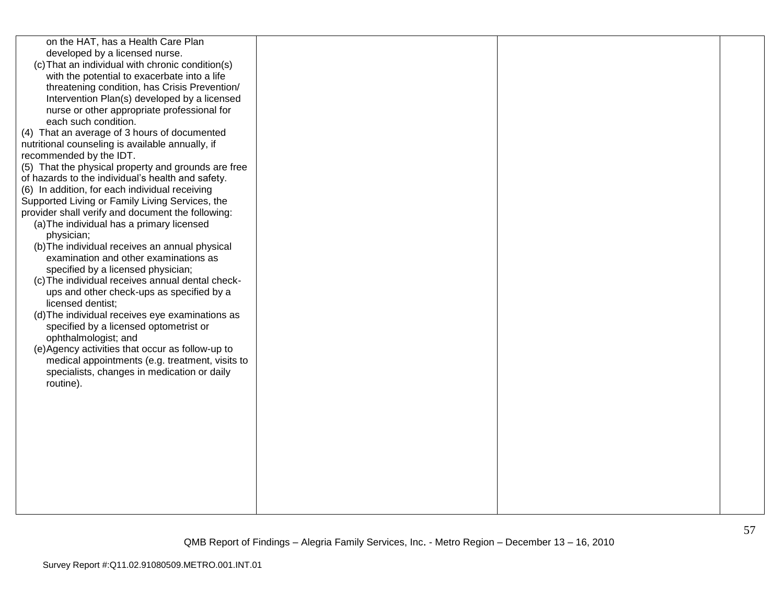| on the HAT, has a Health Care Plan<br>developed by a licensed nurse.<br>(c) That an individual with chronic condition(s)<br>with the potential to exacerbate into a life<br>threatening condition, has Crisis Prevention/<br>Intervention Plan(s) developed by a licensed<br>nurse or other appropriate professional for<br>each such condition.<br>(4) That an average of 3 hours of documented<br>nutritional counseling is available annually, if<br>recommended by the IDT.<br>(5) That the physical property and grounds are free<br>of hazards to the individual's health and safety.<br>(6) In addition, for each individual receiving<br>Supported Living or Family Living Services, the<br>provider shall verify and document the following:<br>(a) The individual has a primary licensed<br>physician;<br>(b) The individual receives an annual physical<br>examination and other examinations as<br>specified by a licensed physician;<br>(c) The individual receives annual dental check-<br>ups and other check-ups as specified by a<br>licensed dentist;<br>(d) The individual receives eye examinations as<br>specified by a licensed optometrist or<br>ophthalmologist; and<br>(e) Agency activities that occur as follow-up to<br>medical appointments (e.g. treatment, visits to<br>specialists, changes in medication or daily<br>routine). |  |  |
|-----------------------------------------------------------------------------------------------------------------------------------------------------------------------------------------------------------------------------------------------------------------------------------------------------------------------------------------------------------------------------------------------------------------------------------------------------------------------------------------------------------------------------------------------------------------------------------------------------------------------------------------------------------------------------------------------------------------------------------------------------------------------------------------------------------------------------------------------------------------------------------------------------------------------------------------------------------------------------------------------------------------------------------------------------------------------------------------------------------------------------------------------------------------------------------------------------------------------------------------------------------------------------------------------------------------------------------------------------------------|--|--|
|                                                                                                                                                                                                                                                                                                                                                                                                                                                                                                                                                                                                                                                                                                                                                                                                                                                                                                                                                                                                                                                                                                                                                                                                                                                                                                                                                                 |  |  |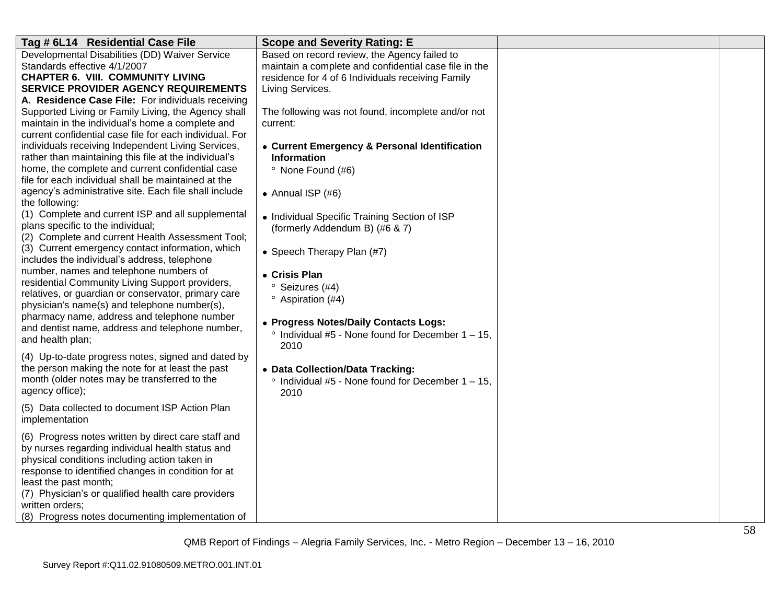| Tag # 6L14 Residential Case File                                    | <b>Scope and Severity Rating: E</b>                       |  |
|---------------------------------------------------------------------|-----------------------------------------------------------|--|
| Developmental Disabilities (DD) Waiver Service                      | Based on record review, the Agency failed to              |  |
| Standards effective 4/1/2007                                        | maintain a complete and confidential case file in the     |  |
| <b>CHAPTER 6. VIII. COMMUNITY LIVING</b>                            | residence for 4 of 6 Individuals receiving Family         |  |
| <b>SERVICE PROVIDER AGENCY REQUIREMENTS</b>                         | Living Services.                                          |  |
| A. Residence Case File: For individuals receiving                   |                                                           |  |
| Supported Living or Family Living, the Agency shall                 | The following was not found, incomplete and/or not        |  |
| maintain in the individual's home a complete and                    | current:                                                  |  |
| current confidential case file for each individual. For             |                                                           |  |
| individuals receiving Independent Living Services,                  | • Current Emergency & Personal Identification             |  |
| rather than maintaining this file at the individual's               | <b>Information</b>                                        |  |
| home, the complete and current confidential case                    | <sup>o</sup> None Found (#6)                              |  |
| file for each individual shall be maintained at the                 |                                                           |  |
| agency's administrative site. Each file shall include               | • Annual ISP $(#6)$                                       |  |
| the following:<br>(1) Complete and current ISP and all supplemental |                                                           |  |
| plans specific to the individual;                                   | • Individual Specific Training Section of ISP             |  |
| (2) Complete and current Health Assessment Tool;                    | (formerly Addendum B) (#6 & 7)                            |  |
| (3) Current emergency contact information, which                    |                                                           |  |
| includes the individual's address, telephone                        | • Speech Therapy Plan (#7)                                |  |
| number, names and telephone numbers of                              |                                                           |  |
| residential Community Living Support providers,                     | • Crisis Plan                                             |  |
| relatives, or guardian or conservator, primary care                 | <sup>o</sup> Seizures (#4)                                |  |
| physician's name(s) and telephone number(s),                        | <sup>o</sup> Aspiration (#4)                              |  |
| pharmacy name, address and telephone number                         |                                                           |  |
| and dentist name, address and telephone number,                     | • Progress Notes/Daily Contacts Logs:                     |  |
| and health plan;                                                    | $\degree$ Individual #5 - None found for December 1 - 15. |  |
|                                                                     | 2010                                                      |  |
| (4) Up-to-date progress notes, signed and dated by                  |                                                           |  |
| the person making the note for at least the past                    | • Data Collection/Data Tracking:                          |  |
| month (older notes may be transferred to the                        | $\degree$ Individual #5 - None found for December 1 - 15, |  |
| agency office);                                                     | 2010                                                      |  |
| (5) Data collected to document ISP Action Plan                      |                                                           |  |
| implementation                                                      |                                                           |  |
| (6) Progress notes written by direct care staff and                 |                                                           |  |
| by nurses regarding individual health status and                    |                                                           |  |
| physical conditions including action taken in                       |                                                           |  |
| response to identified changes in condition for at                  |                                                           |  |
| least the past month;                                               |                                                           |  |
| (7) Physician's or qualified health care providers                  |                                                           |  |
| written orders;                                                     |                                                           |  |
| (8) Progress notes documenting implementation of                    |                                                           |  |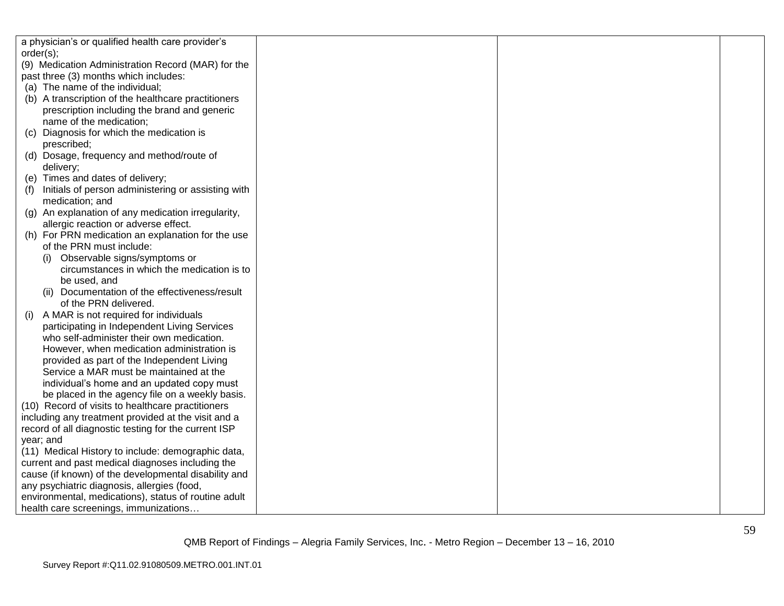| a physician's or qualified health care provider's    |  |  |
|------------------------------------------------------|--|--|
| order(s);                                            |  |  |
| (9) Medication Administration Record (MAR) for the   |  |  |
| past three (3) months which includes:                |  |  |
| (a) The name of the individual;                      |  |  |
| (b) A transcription of the healthcare practitioners  |  |  |
| prescription including the brand and generic         |  |  |
| name of the medication;                              |  |  |
| Diagnosis for which the medication is<br>(C)         |  |  |
| prescribed;                                          |  |  |
| (d) Dosage, frequency and method/route of            |  |  |
| delivery;                                            |  |  |
| (e) Times and dates of delivery;                     |  |  |
| Initials of person administering or assisting with   |  |  |
| medication; and                                      |  |  |
| (g) An explanation of any medication irregularity,   |  |  |
| allergic reaction or adverse effect.                 |  |  |
| (h) For PRN medication an explanation for the use    |  |  |
| of the PRN must include:                             |  |  |
| (i) Observable signs/symptoms or                     |  |  |
| circumstances in which the medication is to          |  |  |
| be used, and                                         |  |  |
| (ii) Documentation of the effectiveness/result       |  |  |
| of the PRN delivered.                                |  |  |
| A MAR is not required for individuals<br>(1)         |  |  |
| participating in Independent Living Services         |  |  |
| who self-administer their own medication.            |  |  |
| However, when medication administration is           |  |  |
| provided as part of the Independent Living           |  |  |
| Service a MAR must be maintained at the              |  |  |
| individual's home and an updated copy must           |  |  |
| be placed in the agency file on a weekly basis.      |  |  |
| (10) Record of visits to healthcare practitioners    |  |  |
| including any treatment provided at the visit and a  |  |  |
| record of all diagnostic testing for the current ISP |  |  |
| year; and                                            |  |  |
| (11) Medical History to include: demographic data,   |  |  |
| current and past medical diagnoses including the     |  |  |
| cause (if known) of the developmental disability and |  |  |
| any psychiatric diagnosis, allergies (food,          |  |  |
| environmental, medications), status of routine adult |  |  |
| health care screenings, immunizations                |  |  |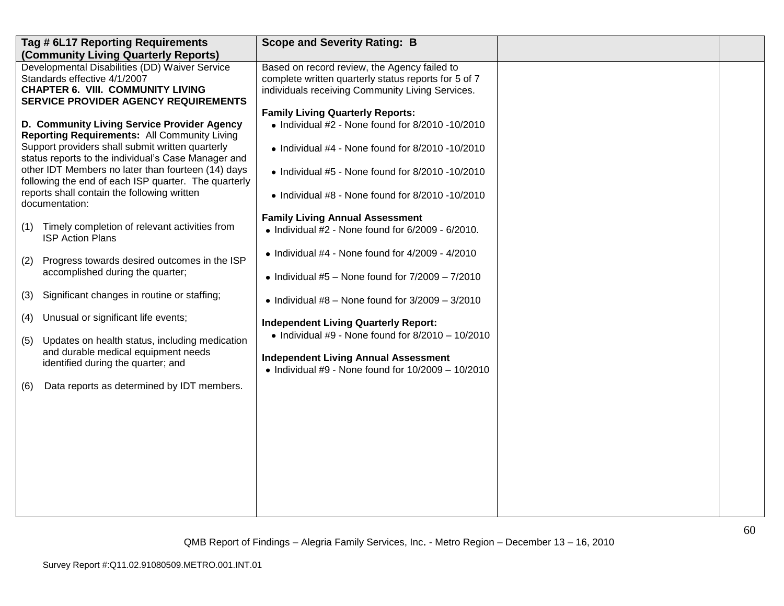| Tag # 6L17 Reporting Requirements<br>(Community Living Quarterly Reports)                                                                                                                                                                                                                                                                                                                                                                     | <b>Scope and Severity Rating: B</b>                                                                                                                                                                                                                                                                                                                                                            |  |
|-----------------------------------------------------------------------------------------------------------------------------------------------------------------------------------------------------------------------------------------------------------------------------------------------------------------------------------------------------------------------------------------------------------------------------------------------|------------------------------------------------------------------------------------------------------------------------------------------------------------------------------------------------------------------------------------------------------------------------------------------------------------------------------------------------------------------------------------------------|--|
| Developmental Disabilities (DD) Waiver Service<br>Standards effective 4/1/2007<br><b>CHAPTER 6. VIII. COMMUNITY LIVING</b><br><b>SERVICE PROVIDER AGENCY REQUIREMENTS</b>                                                                                                                                                                                                                                                                     | Based on record review, the Agency failed to<br>complete written quarterly status reports for 5 of 7<br>individuals receiving Community Living Services.                                                                                                                                                                                                                                       |  |
| D. Community Living Service Provider Agency<br>Reporting Requirements: All Community Living<br>Support providers shall submit written quarterly<br>status reports to the individual's Case Manager and<br>other IDT Members no later than fourteen (14) days<br>following the end of each ISP quarter. The quarterly<br>reports shall contain the following written<br>documentation:<br>Timely completion of relevant activities from<br>(1) | <b>Family Living Quarterly Reports:</b><br>$\bullet$ Individual #2 - None found for 8/2010 -10/2010<br>$\bullet$ Individual #4 - None found for 8/2010 -10/2010<br>$\bullet$ Individual #5 - None found for 8/2010 -10/2010<br>$\bullet$ Individual #8 - None found for 8/2010 -10/2010<br><b>Family Living Annual Assessment</b><br>$\bullet$ Individual #2 - None found for 6/2009 - 6/2010. |  |
| <b>ISP Action Plans</b><br>Progress towards desired outcomes in the ISP<br>(2)<br>accomplished during the quarter;                                                                                                                                                                                                                                                                                                                            | $\bullet$ Individual #4 - None found for 4/2009 - 4/2010<br>• Individual $#5$ – None found for $7/2009$ – $7/2010$                                                                                                                                                                                                                                                                             |  |
| Significant changes in routine or staffing;<br>(3)                                                                                                                                                                                                                                                                                                                                                                                            | • Individual $#8$ – None found for $3/2009 - 3/2010$                                                                                                                                                                                                                                                                                                                                           |  |
| Unusual or significant life events;<br>(4)<br>Updates on health status, including medication<br>(5)                                                                                                                                                                                                                                                                                                                                           | <b>Independent Living Quarterly Report:</b><br>$\bullet$ Individual #9 - None found for 8/2010 - 10/2010                                                                                                                                                                                                                                                                                       |  |
| and durable medical equipment needs<br>identified during the quarter; and                                                                                                                                                                                                                                                                                                                                                                     | <b>Independent Living Annual Assessment</b><br>• Individual #9 - None found for $10/2009 - 10/2010$                                                                                                                                                                                                                                                                                            |  |
| Data reports as determined by IDT members.<br>(6)                                                                                                                                                                                                                                                                                                                                                                                             |                                                                                                                                                                                                                                                                                                                                                                                                |  |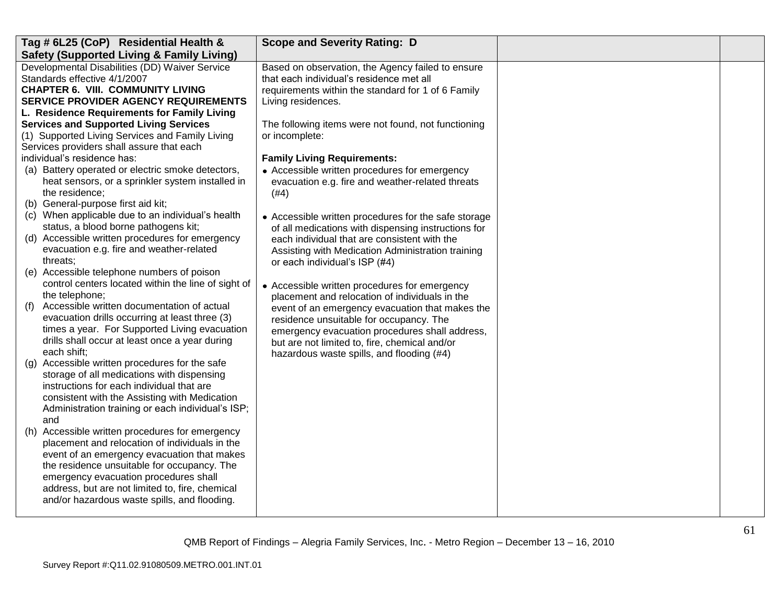| Tag # 6L25 (CoP) Residential Health &                | <b>Scope and Severity Rating: D</b>                  |  |
|------------------------------------------------------|------------------------------------------------------|--|
| <b>Safety (Supported Living &amp; Family Living)</b> |                                                      |  |
| Developmental Disabilities (DD) Waiver Service       | Based on observation, the Agency failed to ensure    |  |
| Standards effective 4/1/2007                         | that each individual's residence met all             |  |
| <b>CHAPTER 6. VIII. COMMUNITY LIVING</b>             | requirements within the standard for 1 of 6 Family   |  |
| <b>SERVICE PROVIDER AGENCY REQUIREMENTS</b>          | Living residences.                                   |  |
| L. Residence Requirements for Family Living          |                                                      |  |
| <b>Services and Supported Living Services</b>        | The following items were not found, not functioning  |  |
| (1) Supported Living Services and Family Living      | or incomplete:                                       |  |
| Services providers shall assure that each            |                                                      |  |
| individual's residence has:                          | <b>Family Living Requirements:</b>                   |  |
| (a) Battery operated or electric smoke detectors,    | • Accessible written procedures for emergency        |  |
| heat sensors, or a sprinkler system installed in     | evacuation e.g. fire and weather-related threats     |  |
| the residence;                                       | (#4)                                                 |  |
| (b) General-purpose first aid kit;                   |                                                      |  |
| (c) When applicable due to an individual's health    | • Accessible written procedures for the safe storage |  |
| status, a blood borne pathogens kit;                 | of all medications with dispensing instructions for  |  |
| (d) Accessible written procedures for emergency      | each individual that are consistent with the         |  |
| evacuation e.g. fire and weather-related             | Assisting with Medication Administration training    |  |
| threats;                                             | or each individual's ISP (#4)                        |  |
| (e) Accessible telephone numbers of poison           |                                                      |  |
| control centers located within the line of sight of  | • Accessible written procedures for emergency        |  |
| the telephone;                                       | placement and relocation of individuals in the       |  |
| Accessible written documentation of actual<br>(f)    | event of an emergency evacuation that makes the      |  |
| evacuation drills occurring at least three (3)       | residence unsuitable for occupancy. The              |  |
| times a year. For Supported Living evacuation        | emergency evacuation procedures shall address,       |  |
| drills shall occur at least once a year during       | but are not limited to, fire, chemical and/or        |  |
| each shift;                                          | hazardous waste spills, and flooding (#4)            |  |
| Accessible written procedures for the safe<br>(q)    |                                                      |  |
| storage of all medications with dispensing           |                                                      |  |
| instructions for each individual that are            |                                                      |  |
| consistent with the Assisting with Medication        |                                                      |  |
| Administration training or each individual's ISP;    |                                                      |  |
| and                                                  |                                                      |  |
| Accessible written procedures for emergency<br>(h)   |                                                      |  |
| placement and relocation of individuals in the       |                                                      |  |
| event of an emergency evacuation that makes          |                                                      |  |
| the residence unsuitable for occupancy. The          |                                                      |  |
| emergency evacuation procedures shall                |                                                      |  |
| address, but are not limited to, fire, chemical      |                                                      |  |
| and/or hazardous waste spills, and flooding.         |                                                      |  |
|                                                      |                                                      |  |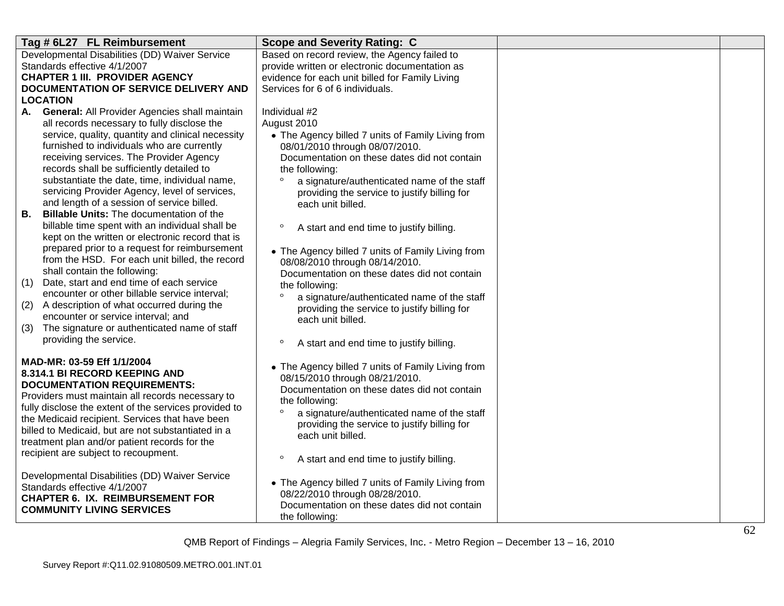| Tag # 6L27 FL Reimbursement                                                   | <b>Scope and Severity Rating: C</b>                 |  |
|-------------------------------------------------------------------------------|-----------------------------------------------------|--|
| Developmental Disabilities (DD) Waiver Service                                | Based on record review, the Agency failed to        |  |
| Standards effective 4/1/2007                                                  | provide written or electronic documentation as      |  |
| <b>CHAPTER 1 III. PROVIDER AGENCY</b>                                         | evidence for each unit billed for Family Living     |  |
| DOCUMENTATION OF SERVICE DELIVERY AND                                         | Services for 6 of 6 individuals.                    |  |
| LOCATION                                                                      |                                                     |  |
| A. General: All Provider Agencies shall maintain                              | Individual #2                                       |  |
| all records necessary to fully disclose the                                   | August 2010                                         |  |
| service, quality, quantity and clinical necessity                             | • The Agency billed 7 units of Family Living from   |  |
| furnished to individuals who are currently                                    | 08/01/2010 through 08/07/2010.                      |  |
| receiving services. The Provider Agency                                       | Documentation on these dates did not contain        |  |
| records shall be sufficiently detailed to                                     | the following:                                      |  |
| substantiate the date, time, individual name,                                 | a signature/authenticated name of the staff         |  |
| servicing Provider Agency, level of services,                                 | providing the service to justify billing for        |  |
| and length of a session of service billed.                                    | each unit billed.                                   |  |
| В.<br>Billable Units: The documentation of the                                |                                                     |  |
| billable time spent with an individual shall be                               | $\circ$<br>A start and end time to justify billing. |  |
| kept on the written or electronic record that is                              |                                                     |  |
| prepared prior to a request for reimbursement                                 | • The Agency billed 7 units of Family Living from   |  |
| from the HSD. For each unit billed, the record                                | 08/08/2010 through 08/14/2010.                      |  |
| shall contain the following:                                                  | Documentation on these dates did not contain        |  |
| Date, start and end time of each service<br>(1)                               | the following:                                      |  |
| encounter or other billable service interval;                                 | a signature/authenticated name of the staff         |  |
| A description of what occurred during the<br>(2)                              | providing the service to justify billing for        |  |
| encounter or service interval; and                                            | each unit billed.                                   |  |
| The signature or authenticated name of staff<br>(3)<br>providing the service. |                                                     |  |
|                                                                               | $\circ$<br>A start and end time to justify billing. |  |
| MAD-MR: 03-59 Eff 1/1/2004                                                    |                                                     |  |
| <b>8.314.1 BI RECORD KEEPING AND</b>                                          | • The Agency billed 7 units of Family Living from   |  |
| <b>DOCUMENTATION REQUIREMENTS:</b>                                            | 08/15/2010 through 08/21/2010.                      |  |
| Providers must maintain all records necessary to                              | Documentation on these dates did not contain        |  |
| fully disclose the extent of the services provided to                         | the following:                                      |  |
| the Medicaid recipient. Services that have been                               | a signature/authenticated name of the staff         |  |
| billed to Medicaid, but are not substantiated in a                            | providing the service to justify billing for        |  |
| treatment plan and/or patient records for the                                 | each unit billed.                                   |  |
| recipient are subject to recoupment.                                          | $\circ$                                             |  |
|                                                                               | A start and end time to justify billing.            |  |
| Developmental Disabilities (DD) Waiver Service                                | • The Agency billed 7 units of Family Living from   |  |
| Standards effective 4/1/2007                                                  | 08/22/2010 through 08/28/2010.                      |  |
| <b>CHAPTER 6. IX. REIMBURSEMENT FOR</b>                                       | Documentation on these dates did not contain        |  |
| <b>COMMUNITY LIVING SERVICES</b>                                              | the following:                                      |  |
|                                                                               |                                                     |  |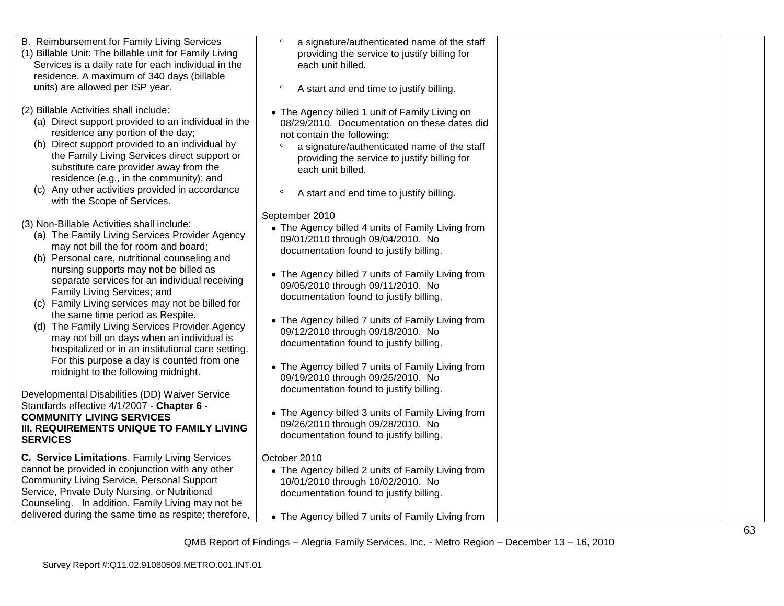| B. Reimbursement for Family Living Services<br>(1) Billable Unit: The billable unit for Family Living                                                                                                                                                                                                                                                                                                        | $\circ$<br>a signature/authenticated name of the staff<br>providing the service to justify billing for                                                                                                                                                                                                  |  |
|--------------------------------------------------------------------------------------------------------------------------------------------------------------------------------------------------------------------------------------------------------------------------------------------------------------------------------------------------------------------------------------------------------------|---------------------------------------------------------------------------------------------------------------------------------------------------------------------------------------------------------------------------------------------------------------------------------------------------------|--|
| Services is a daily rate for each individual in the                                                                                                                                                                                                                                                                                                                                                          | each unit billed.                                                                                                                                                                                                                                                                                       |  |
| residence. A maximum of 340 days (billable<br>units) are allowed per ISP year.                                                                                                                                                                                                                                                                                                                               | $\circ$                                                                                                                                                                                                                                                                                                 |  |
|                                                                                                                                                                                                                                                                                                                                                                                                              | A start and end time to justify billing.                                                                                                                                                                                                                                                                |  |
| (2) Billable Activities shall include:<br>(a) Direct support provided to an individual in the<br>residence any portion of the day;<br>(b) Direct support provided to an individual by<br>the Family Living Services direct support or<br>substitute care provider away from the<br>residence (e.g., in the community); and<br>(c) Any other activities provided in accordance<br>with the Scope of Services. | • The Agency billed 1 unit of Family Living on<br>08/29/2010. Documentation on these dates did<br>not contain the following:<br>a signature/authenticated name of the staff<br>providing the service to justify billing for<br>each unit billed.<br>$\circ$<br>A start and end time to justify billing. |  |
|                                                                                                                                                                                                                                                                                                                                                                                                              | September 2010                                                                                                                                                                                                                                                                                          |  |
| (3) Non-Billable Activities shall include:<br>(a) The Family Living Services Provider Agency<br>may not bill the for room and board;<br>(b) Personal care, nutritional counseling and                                                                                                                                                                                                                        | • The Agency billed 4 units of Family Living from<br>09/01/2010 through 09/04/2010. No<br>documentation found to justify billing.                                                                                                                                                                       |  |
| nursing supports may not be billed as<br>separate services for an individual receiving<br>Family Living Services; and<br>(c) Family Living services may not be billed for                                                                                                                                                                                                                                    | • The Agency billed 7 units of Family Living from<br>09/05/2010 through 09/11/2010. No<br>documentation found to justify billing.                                                                                                                                                                       |  |
| the same time period as Respite.<br>(d) The Family Living Services Provider Agency<br>may not bill on days when an individual is<br>hospitalized or in an institutional care setting.                                                                                                                                                                                                                        | • The Agency billed 7 units of Family Living from<br>09/12/2010 through 09/18/2010. No<br>documentation found to justify billing.                                                                                                                                                                       |  |
| For this purpose a day is counted from one<br>midnight to the following midnight.                                                                                                                                                                                                                                                                                                                            | • The Agency billed 7 units of Family Living from<br>09/19/2010 through 09/25/2010. No                                                                                                                                                                                                                  |  |
| Developmental Disabilities (DD) Waiver Service                                                                                                                                                                                                                                                                                                                                                               | documentation found to justify billing.                                                                                                                                                                                                                                                                 |  |
| Standards effective 4/1/2007 - Chapter 6 -<br><b>COMMUNITY LIVING SERVICES</b><br>III. REQUIREMENTS UNIQUE TO FAMILY LIVING<br><b>SERVICES</b>                                                                                                                                                                                                                                                               | • The Agency billed 3 units of Family Living from<br>09/26/2010 through 09/28/2010. No<br>documentation found to justify billing.                                                                                                                                                                       |  |
| C. Service Limitations. Family Living Services<br>cannot be provided in conjunction with any other<br><b>Community Living Service, Personal Support</b><br>Service, Private Duty Nursing, or Nutritional<br>Counseling. In addition, Family Living may not be<br>delivered during the same time as respite; therefore,                                                                                       | October 2010<br>• The Agency billed 2 units of Family Living from<br>10/01/2010 through 10/02/2010. No<br>documentation found to justify billing.<br>• The Agency billed 7 units of Family Living from                                                                                                  |  |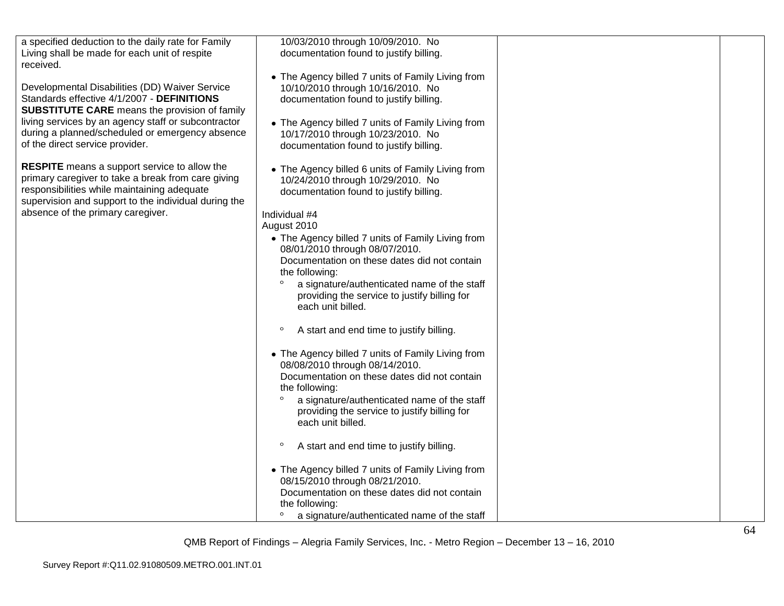| a specified deduction to the daily rate for Family<br>Living shall be made for each unit of respite<br>received.                                                                                                                                                                                  | 10/03/2010 through 10/09/2010. No<br>documentation found to justify billing.                                                                                                                                                                                                                                                                                                                                                                                                                                                                                                                                                                                                                                                                                                       |  |
|---------------------------------------------------------------------------------------------------------------------------------------------------------------------------------------------------------------------------------------------------------------------------------------------------|------------------------------------------------------------------------------------------------------------------------------------------------------------------------------------------------------------------------------------------------------------------------------------------------------------------------------------------------------------------------------------------------------------------------------------------------------------------------------------------------------------------------------------------------------------------------------------------------------------------------------------------------------------------------------------------------------------------------------------------------------------------------------------|--|
| Developmental Disabilities (DD) Waiver Service<br>Standards effective 4/1/2007 - DEFINITIONS<br><b>SUBSTITUTE CARE</b> means the provision of family<br>living services by an agency staff or subcontractor<br>during a planned/scheduled or emergency absence<br>of the direct service provider. | • The Agency billed 7 units of Family Living from<br>10/10/2010 through 10/16/2010. No<br>documentation found to justify billing.<br>• The Agency billed 7 units of Family Living from<br>10/17/2010 through 10/23/2010. No<br>documentation found to justify billing.                                                                                                                                                                                                                                                                                                                                                                                                                                                                                                             |  |
| <b>RESPITE</b> means a support service to allow the<br>primary caregiver to take a break from care giving<br>responsibilities while maintaining adequate<br>supervision and support to the individual during the<br>absence of the primary caregiver.                                             | • The Agency billed 6 units of Family Living from<br>10/24/2010 through 10/29/2010. No<br>documentation found to justify billing.<br>Individual #4<br>August 2010<br>• The Agency billed 7 units of Family Living from<br>08/01/2010 through 08/07/2010.<br>Documentation on these dates did not contain<br>the following:<br>a signature/authenticated name of the staff<br>providing the service to justify billing for<br>each unit billed.<br>$\circ$<br>A start and end time to justify billing.<br>• The Agency billed 7 units of Family Living from<br>08/08/2010 through 08/14/2010.<br>Documentation on these dates did not contain<br>the following:<br>a signature/authenticated name of the staff<br>providing the service to justify billing for<br>each unit billed. |  |
|                                                                                                                                                                                                                                                                                                   | $\circ$<br>A start and end time to justify billing.                                                                                                                                                                                                                                                                                                                                                                                                                                                                                                                                                                                                                                                                                                                                |  |
|                                                                                                                                                                                                                                                                                                   | • The Agency billed 7 units of Family Living from<br>08/15/2010 through 08/21/2010.<br>Documentation on these dates did not contain<br>the following:<br>a signature/authenticated name of the staff                                                                                                                                                                                                                                                                                                                                                                                                                                                                                                                                                                               |  |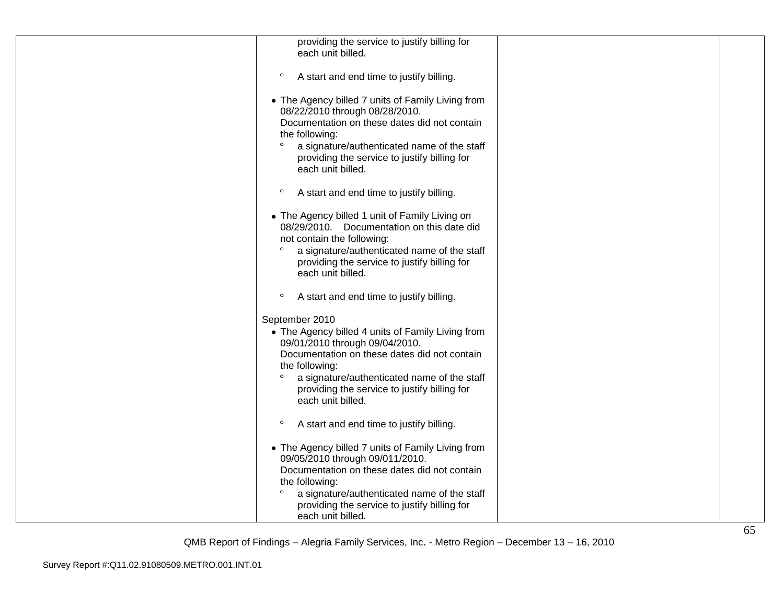| providing the service to justify billing for<br>each unit billed.                                                                                                                                                                                                                                      |  |
|--------------------------------------------------------------------------------------------------------------------------------------------------------------------------------------------------------------------------------------------------------------------------------------------------------|--|
|                                                                                                                                                                                                                                                                                                        |  |
| $\circ$<br>A start and end time to justify billing.                                                                                                                                                                                                                                                    |  |
| • The Agency billed 7 units of Family Living from<br>08/22/2010 through 08/28/2010.<br>Documentation on these dates did not contain<br>the following:<br>$\circ$<br>a signature/authenticated name of the staff<br>providing the service to justify billing for<br>each unit billed.                   |  |
| $\circ$<br>A start and end time to justify billing.                                                                                                                                                                                                                                                    |  |
| • The Agency billed 1 unit of Family Living on<br>08/29/2010. Documentation on this date did<br>not contain the following:<br>$\circ$<br>a signature/authenticated name of the staff<br>providing the service to justify billing for<br>each unit billed.                                              |  |
| $\circ$<br>A start and end time to justify billing.                                                                                                                                                                                                                                                    |  |
| September 2010<br>• The Agency billed 4 units of Family Living from<br>09/01/2010 through 09/04/2010.<br>Documentation on these dates did not contain<br>the following:<br>$\circ$<br>a signature/authenticated name of the staff<br>providing the service to justify billing for<br>each unit billed. |  |
| $\circ$<br>A start and end time to justify billing.                                                                                                                                                                                                                                                    |  |
| • The Agency billed 7 units of Family Living from<br>09/05/2010 through 09/011/2010.<br>Documentation on these dates did not contain<br>the following:<br>$\circ$<br>a signature/authenticated name of the staff<br>providing the service to justify billing for<br>each unit billed.                  |  |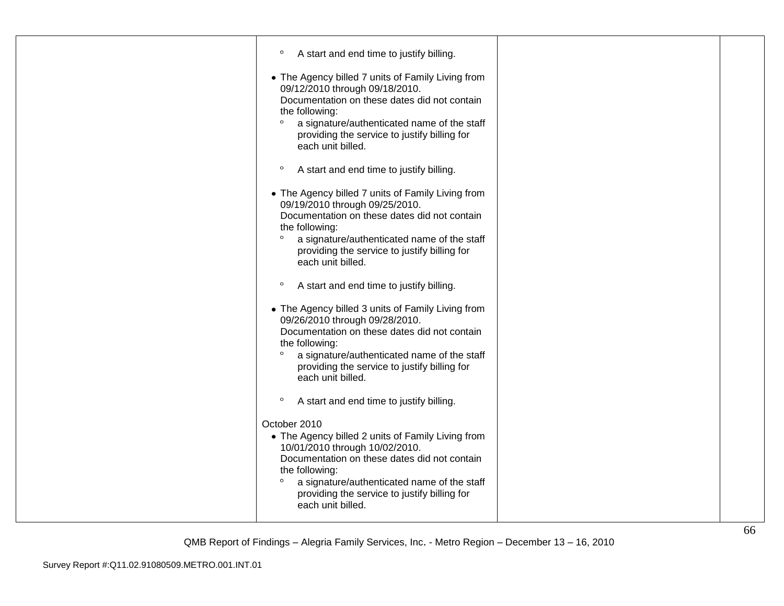| $\circ$<br>A start and end time to justify billing.                                                                                                                                                                                                                                                  |  |
|------------------------------------------------------------------------------------------------------------------------------------------------------------------------------------------------------------------------------------------------------------------------------------------------------|--|
| • The Agency billed 7 units of Family Living from<br>09/12/2010 through 09/18/2010.<br>Documentation on these dates did not contain<br>the following:<br>$\circ$<br>a signature/authenticated name of the staff<br>providing the service to justify billing for<br>each unit billed.                 |  |
| $\circ$<br>A start and end time to justify billing.                                                                                                                                                                                                                                                  |  |
| • The Agency billed 7 units of Family Living from<br>09/19/2010 through 09/25/2010.<br>Documentation on these dates did not contain<br>the following:<br>$\circ$<br>a signature/authenticated name of the staff<br>providing the service to justify billing for<br>each unit billed.                 |  |
| $\circ$<br>A start and end time to justify billing.                                                                                                                                                                                                                                                  |  |
| • The Agency billed 3 units of Family Living from<br>09/26/2010 through 09/28/2010.<br>Documentation on these dates did not contain<br>the following:<br>$\circ$<br>a signature/authenticated name of the staff<br>providing the service to justify billing for<br>each unit billed.                 |  |
| $\circ$<br>A start and end time to justify billing.                                                                                                                                                                                                                                                  |  |
| October 2010<br>• The Agency billed 2 units of Family Living from<br>10/01/2010 through 10/02/2010.<br>Documentation on these dates did not contain<br>the following:<br>$\circ$<br>a signature/authenticated name of the staff<br>providing the service to justify billing for<br>each unit billed. |  |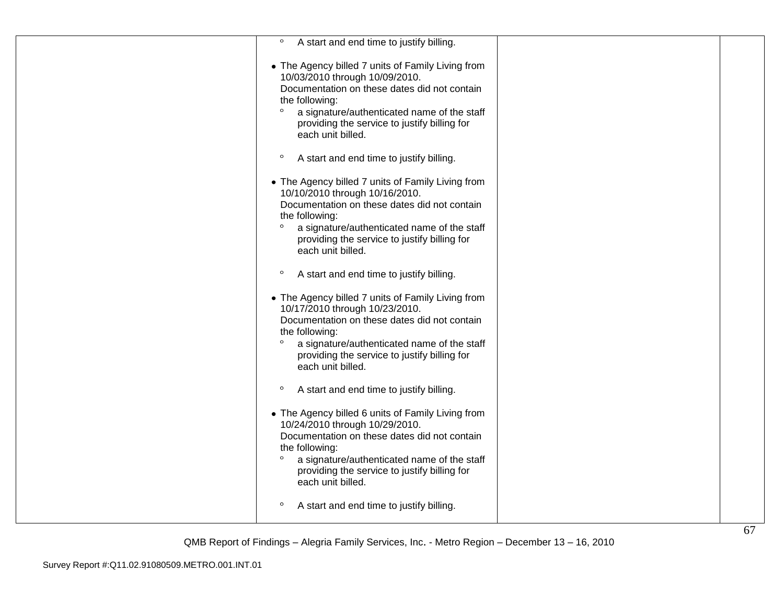| $\circ$<br>A start and end time to justify billing.                                                                                                                                                                                                                                  |  |
|--------------------------------------------------------------------------------------------------------------------------------------------------------------------------------------------------------------------------------------------------------------------------------------|--|
| • The Agency billed 7 units of Family Living from<br>10/03/2010 through 10/09/2010.<br>Documentation on these dates did not contain                                                                                                                                                  |  |
| the following:<br>$\circ$<br>a signature/authenticated name of the staff<br>providing the service to justify billing for<br>each unit billed.                                                                                                                                        |  |
| $\circ$<br>A start and end time to justify billing.                                                                                                                                                                                                                                  |  |
| • The Agency billed 7 units of Family Living from<br>10/10/2010 through 10/16/2010.<br>Documentation on these dates did not contain<br>the following:<br>$\circ$<br>a signature/authenticated name of the staff<br>providing the service to justify billing for<br>each unit billed. |  |
| $\circ$<br>A start and end time to justify billing.                                                                                                                                                                                                                                  |  |
| • The Agency billed 7 units of Family Living from<br>10/17/2010 through 10/23/2010.<br>Documentation on these dates did not contain<br>the following:<br>$\circ$<br>a signature/authenticated name of the staff<br>providing the service to justify billing for<br>each unit billed. |  |
| $\circ$<br>A start and end time to justify billing.                                                                                                                                                                                                                                  |  |
| • The Agency billed 6 units of Family Living from<br>10/24/2010 through 10/29/2010.<br>Documentation on these dates did not contain<br>the following:<br>$\circ$<br>a signature/authenticated name of the staff<br>providing the service to justify billing for<br>each unit billed. |  |
| $\circ$<br>A start and end time to justify billing.                                                                                                                                                                                                                                  |  |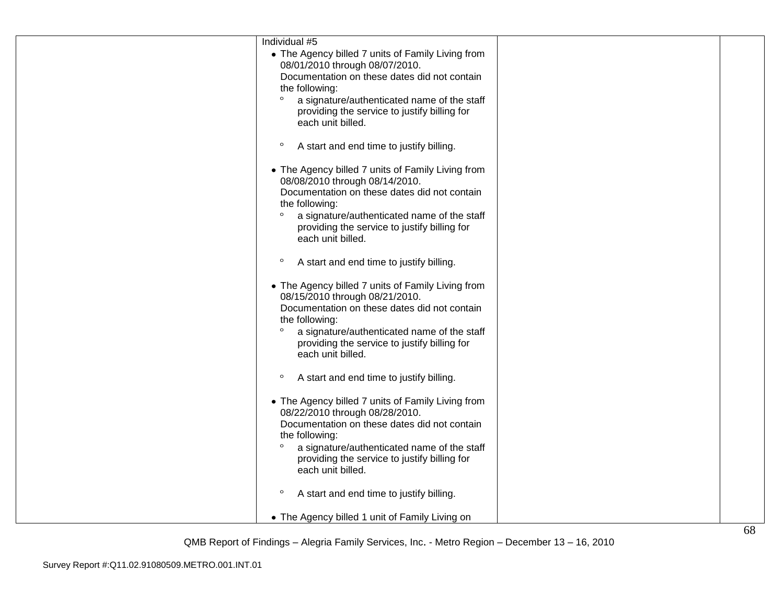| Individual #5                                                                       |  |
|-------------------------------------------------------------------------------------|--|
| • The Agency billed 7 units of Family Living from                                   |  |
| 08/01/2010 through 08/07/2010.                                                      |  |
| Documentation on these dates did not contain                                        |  |
| the following:                                                                      |  |
| $\circ$<br>a signature/authenticated name of the staff                              |  |
| providing the service to justify billing for                                        |  |
| each unit billed.                                                                   |  |
| $\circ$<br>A start and end time to justify billing.                                 |  |
|                                                                                     |  |
| • The Agency billed 7 units of Family Living from                                   |  |
| 08/08/2010 through 08/14/2010.<br>Documentation on these dates did not contain      |  |
| the following:                                                                      |  |
| $\circ$<br>a signature/authenticated name of the staff                              |  |
| providing the service to justify billing for                                        |  |
| each unit billed.                                                                   |  |
|                                                                                     |  |
| $\circ$<br>A start and end time to justify billing.                                 |  |
|                                                                                     |  |
| • The Agency billed 7 units of Family Living from<br>08/15/2010 through 08/21/2010. |  |
| Documentation on these dates did not contain                                        |  |
| the following:                                                                      |  |
| $\circ$<br>a signature/authenticated name of the staff                              |  |
| providing the service to justify billing for                                        |  |
| each unit billed.                                                                   |  |
|                                                                                     |  |
| $\circ$<br>A start and end time to justify billing.                                 |  |
|                                                                                     |  |
| • The Agency billed 7 units of Family Living from                                   |  |
| 08/22/2010 through 08/28/2010.                                                      |  |
| Documentation on these dates did not contain                                        |  |
| the following:                                                                      |  |
| $\circ$<br>a signature/authenticated name of the staff                              |  |
| providing the service to justify billing for<br>each unit billed.                   |  |
|                                                                                     |  |
| $\circ$<br>A start and end time to justify billing.                                 |  |
|                                                                                     |  |
| • The Agency billed 1 unit of Family Living on                                      |  |
|                                                                                     |  |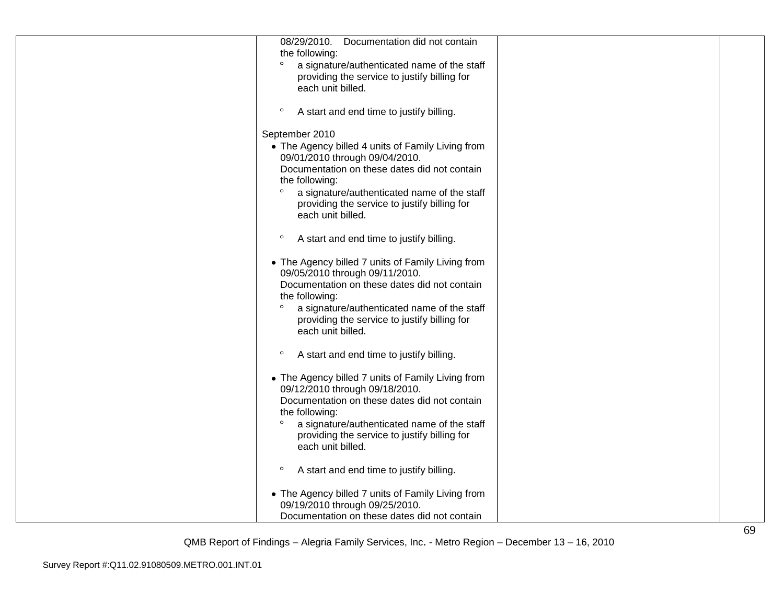| 08/29/2010. Documentation did not contain              |  |
|--------------------------------------------------------|--|
| the following:                                         |  |
| $\circ$<br>a signature/authenticated name of the staff |  |
| providing the service to justify billing for           |  |
| each unit billed.                                      |  |
|                                                        |  |
| $\circ$                                                |  |
| A start and end time to justify billing.               |  |
|                                                        |  |
| September 2010                                         |  |
| • The Agency billed 4 units of Family Living from      |  |
| 09/01/2010 through 09/04/2010.                         |  |
| Documentation on these dates did not contain           |  |
| the following:                                         |  |
| $\circ$<br>a signature/authenticated name of the staff |  |
| providing the service to justify billing for           |  |
| each unit billed.                                      |  |
|                                                        |  |
| $\circ$<br>A start and end time to justify billing.    |  |
|                                                        |  |
| • The Agency billed 7 units of Family Living from      |  |
| 09/05/2010 through 09/11/2010.                         |  |
| Documentation on these dates did not contain           |  |
|                                                        |  |
| the following:                                         |  |
| $\circ$<br>a signature/authenticated name of the staff |  |
| providing the service to justify billing for           |  |
| each unit billed.                                      |  |
|                                                        |  |
| $\circ$<br>A start and end time to justify billing.    |  |
|                                                        |  |
| • The Agency billed 7 units of Family Living from      |  |
| 09/12/2010 through 09/18/2010.                         |  |
| Documentation on these dates did not contain           |  |
| the following:                                         |  |
| $\circ$<br>a signature/authenticated name of the staff |  |
| providing the service to justify billing for           |  |
| each unit billed.                                      |  |
|                                                        |  |
| $\circ$                                                |  |
| A start and end time to justify billing.               |  |
|                                                        |  |
| • The Agency billed 7 units of Family Living from      |  |
| 09/19/2010 through 09/25/2010.                         |  |
| Documentation on these dates did not contain           |  |
|                                                        |  |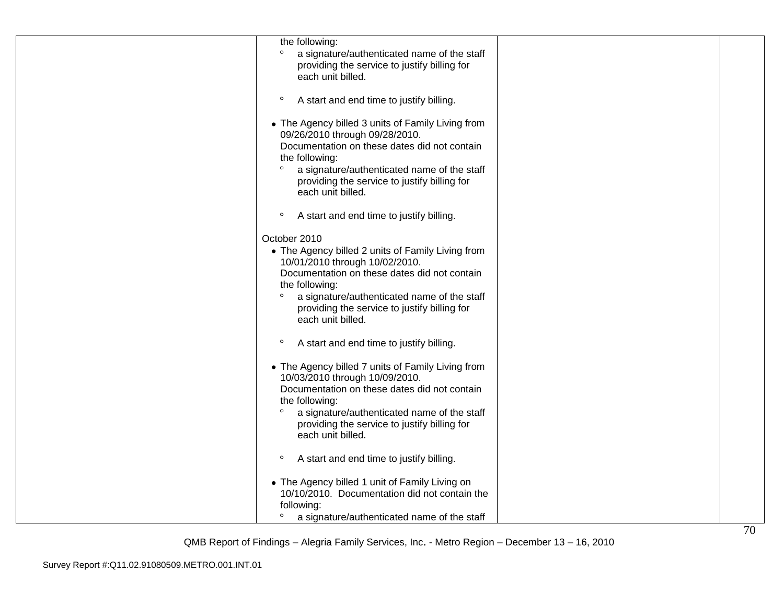| the following:<br>a signature/authenticated name of the staff<br>providing the service to justify billing for<br>each unit billed.                                                                                                                                                                   |  |
|------------------------------------------------------------------------------------------------------------------------------------------------------------------------------------------------------------------------------------------------------------------------------------------------------|--|
| $\circ$<br>A start and end time to justify billing.                                                                                                                                                                                                                                                  |  |
| • The Agency billed 3 units of Family Living from<br>09/26/2010 through 09/28/2010.<br>Documentation on these dates did not contain<br>the following:<br>$\circ$<br>a signature/authenticated name of the staff<br>providing the service to justify billing for<br>each unit billed.                 |  |
| $\circ$<br>A start and end time to justify billing.                                                                                                                                                                                                                                                  |  |
| October 2010<br>• The Agency billed 2 units of Family Living from<br>10/01/2010 through 10/02/2010.<br>Documentation on these dates did not contain<br>the following:<br>$\circ$<br>a signature/authenticated name of the staff<br>providing the service to justify billing for<br>each unit billed. |  |
| $\circ$<br>A start and end time to justify billing.                                                                                                                                                                                                                                                  |  |
| • The Agency billed 7 units of Family Living from<br>10/03/2010 through 10/09/2010.<br>Documentation on these dates did not contain<br>the following:<br>$\circ$<br>a signature/authenticated name of the staff<br>providing the service to justify billing for<br>each unit billed.                 |  |
| $\circ$<br>A start and end time to justify billing.                                                                                                                                                                                                                                                  |  |
| • The Agency billed 1 unit of Family Living on<br>10/10/2010. Documentation did not contain the<br>following:                                                                                                                                                                                        |  |
| $\circ$<br>a signature/authenticated name of the staff                                                                                                                                                                                                                                               |  |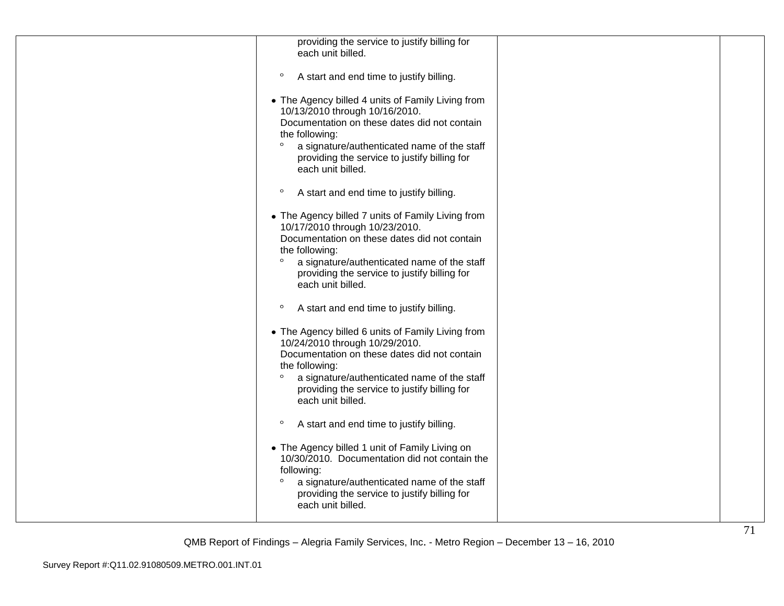| providing the service to justify billing for<br>each unit billed.                                                                                                                                                                                                                    |  |
|--------------------------------------------------------------------------------------------------------------------------------------------------------------------------------------------------------------------------------------------------------------------------------------|--|
| $\circ$<br>A start and end time to justify billing.                                                                                                                                                                                                                                  |  |
| • The Agency billed 4 units of Family Living from<br>10/13/2010 through 10/16/2010.<br>Documentation on these dates did not contain<br>the following:<br>$\circ$<br>a signature/authenticated name of the staff<br>providing the service to justify billing for<br>each unit billed. |  |
| $\circ$<br>A start and end time to justify billing.                                                                                                                                                                                                                                  |  |
| • The Agency billed 7 units of Family Living from<br>10/17/2010 through 10/23/2010.<br>Documentation on these dates did not contain<br>the following:<br>$\circ$<br>a signature/authenticated name of the staff<br>providing the service to justify billing for<br>each unit billed. |  |
| $\circ$<br>A start and end time to justify billing.                                                                                                                                                                                                                                  |  |
| • The Agency billed 6 units of Family Living from<br>10/24/2010 through 10/29/2010.<br>Documentation on these dates did not contain<br>the following:<br>$\circ$<br>a signature/authenticated name of the staff<br>providing the service to justify billing for<br>each unit billed. |  |
| A start and end time to justify billing.<br>$\circ$                                                                                                                                                                                                                                  |  |
| • The Agency billed 1 unit of Family Living on<br>10/30/2010. Documentation did not contain the<br>following:<br>$\circ$<br>a signature/authenticated name of the staff<br>providing the service to justify billing for<br>each unit billed.                                         |  |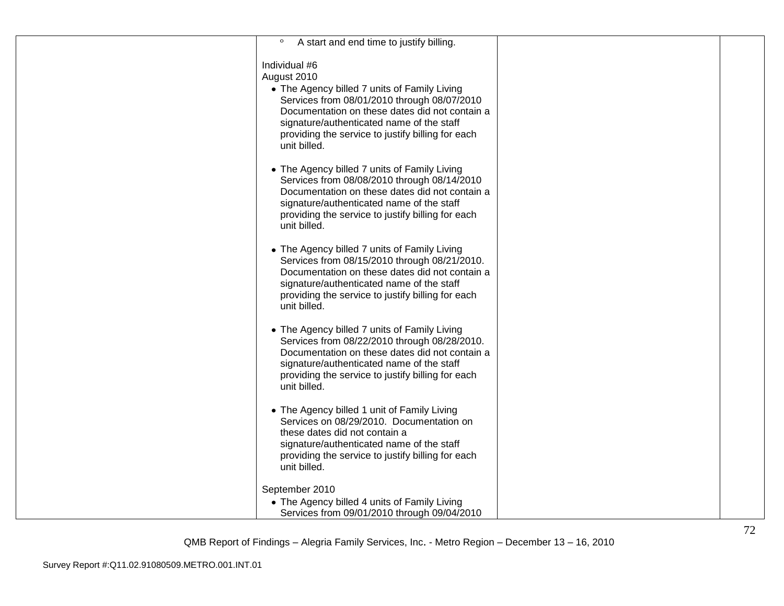| $\circ$<br>A start and end time to justify billing.                                                                                                                                                                                                                                             |  |
|-------------------------------------------------------------------------------------------------------------------------------------------------------------------------------------------------------------------------------------------------------------------------------------------------|--|
| Individual #6<br>August 2010<br>• The Agency billed 7 units of Family Living<br>Services from 08/01/2010 through 08/07/2010<br>Documentation on these dates did not contain a<br>signature/authenticated name of the staff<br>providing the service to justify billing for each<br>unit billed. |  |
| • The Agency billed 7 units of Family Living<br>Services from 08/08/2010 through 08/14/2010<br>Documentation on these dates did not contain a<br>signature/authenticated name of the staff<br>providing the service to justify billing for each<br>unit billed.                                 |  |
| • The Agency billed 7 units of Family Living<br>Services from 08/15/2010 through 08/21/2010.<br>Documentation on these dates did not contain a<br>signature/authenticated name of the staff<br>providing the service to justify billing for each<br>unit billed.                                |  |
| • The Agency billed 7 units of Family Living<br>Services from 08/22/2010 through 08/28/2010.<br>Documentation on these dates did not contain a<br>signature/authenticated name of the staff<br>providing the service to justify billing for each<br>unit billed.                                |  |
| • The Agency billed 1 unit of Family Living<br>Services on 08/29/2010. Documentation on<br>these dates did not contain a<br>signature/authenticated name of the staff<br>providing the service to justify billing for each<br>unit billed.                                                      |  |
| September 2010<br>• The Agency billed 4 units of Family Living                                                                                                                                                                                                                                  |  |
| Services from 09/01/2010 through 09/04/2010                                                                                                                                                                                                                                                     |  |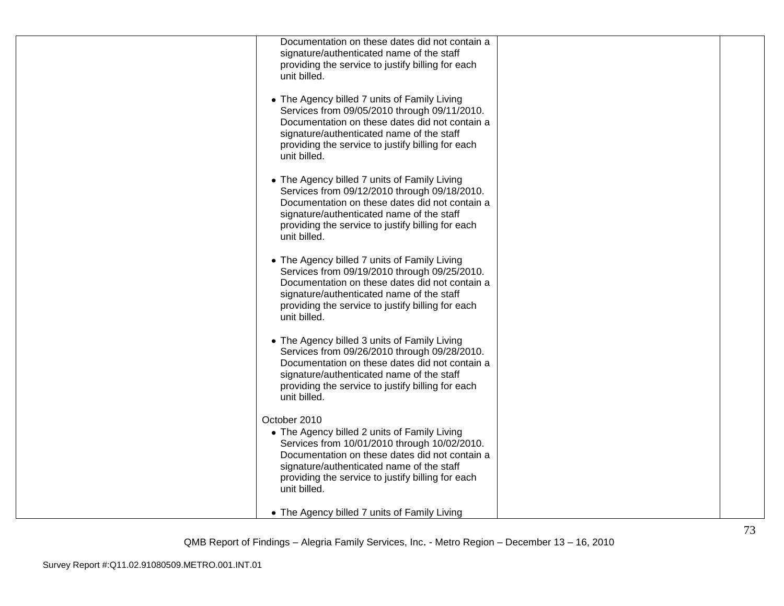| Documentation on these dates did not contain a<br>signature/authenticated name of the staff<br>providing the service to justify billing for each<br>unit billed.                                                                                                                 |  |
|----------------------------------------------------------------------------------------------------------------------------------------------------------------------------------------------------------------------------------------------------------------------------------|--|
| • The Agency billed 7 units of Family Living<br>Services from 09/05/2010 through 09/11/2010.<br>Documentation on these dates did not contain a<br>signature/authenticated name of the staff<br>providing the service to justify billing for each<br>unit billed.                 |  |
| • The Agency billed 7 units of Family Living<br>Services from 09/12/2010 through 09/18/2010.<br>Documentation on these dates did not contain a<br>signature/authenticated name of the staff<br>providing the service to justify billing for each<br>unit billed.                 |  |
| • The Agency billed 7 units of Family Living<br>Services from 09/19/2010 through 09/25/2010.<br>Documentation on these dates did not contain a<br>signature/authenticated name of the staff<br>providing the service to justify billing for each<br>unit billed.                 |  |
| • The Agency billed 3 units of Family Living<br>Services from 09/26/2010 through 09/28/2010.<br>Documentation on these dates did not contain a<br>signature/authenticated name of the staff<br>providing the service to justify billing for each<br>unit billed.                 |  |
| October 2010<br>• The Agency billed 2 units of Family Living<br>Services from 10/01/2010 through 10/02/2010.<br>Documentation on these dates did not contain a<br>signature/authenticated name of the staff<br>providing the service to justify billing for each<br>unit billed. |  |
| • The Agency billed 7 units of Family Living                                                                                                                                                                                                                                     |  |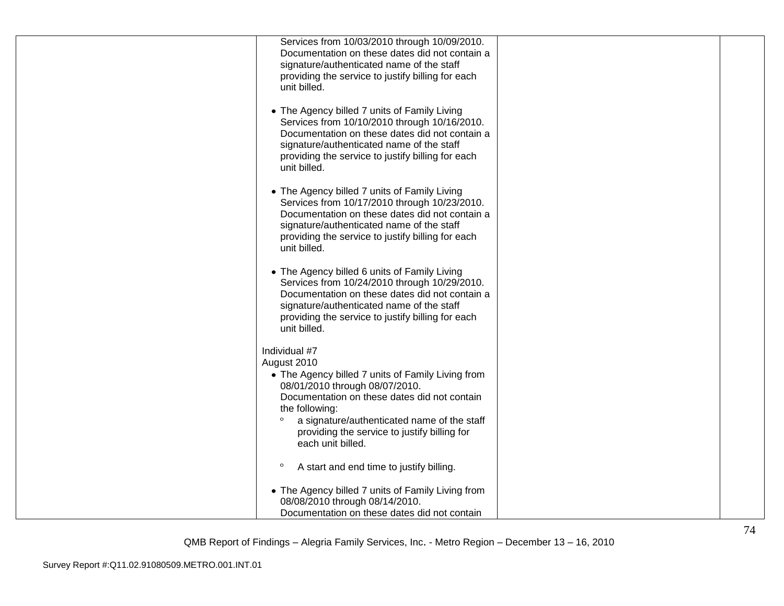| Services from 10/03/2010 through 10/09/2010.<br>Documentation on these dates did not contain a         |  |
|--------------------------------------------------------------------------------------------------------|--|
| signature/authenticated name of the staff<br>providing the service to justify billing for each         |  |
| unit billed.                                                                                           |  |
| • The Agency billed 7 units of Family Living<br>Services from 10/10/2010 through 10/16/2010.           |  |
| Documentation on these dates did not contain a<br>signature/authenticated name of the staff            |  |
| providing the service to justify billing for each<br>unit billed.                                      |  |
|                                                                                                        |  |
| • The Agency billed 7 units of Family Living<br>Services from 10/17/2010 through 10/23/2010.           |  |
| Documentation on these dates did not contain a<br>signature/authenticated name of the staff            |  |
| providing the service to justify billing for each<br>unit billed.                                      |  |
| • The Agency billed 6 units of Family Living                                                           |  |
| Services from 10/24/2010 through 10/29/2010.<br>Documentation on these dates did not contain a         |  |
| signature/authenticated name of the staff<br>providing the service to justify billing for each         |  |
| unit billed.                                                                                           |  |
| Individual #7<br>August 2010                                                                           |  |
| • The Agency billed 7 units of Family Living from<br>08/01/2010 through 08/07/2010.                    |  |
| Documentation on these dates did not contain<br>the following:                                         |  |
| $\circ$<br>a signature/authenticated name of the staff<br>providing the service to justify billing for |  |
| each unit billed.                                                                                      |  |
| $\circ$<br>A start and end time to justify billing.                                                    |  |
| • The Agency billed 7 units of Family Living from                                                      |  |
| 08/08/2010 through 08/14/2010.<br>Documentation on these dates did not contain                         |  |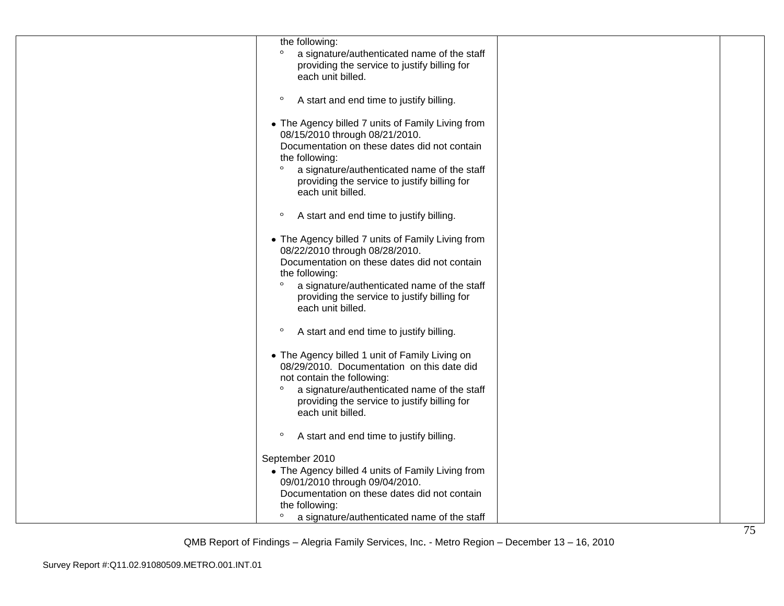| the following:                                                                                                                                                                                                                                                                       |  |
|--------------------------------------------------------------------------------------------------------------------------------------------------------------------------------------------------------------------------------------------------------------------------------------|--|
| $\circ$<br>a signature/authenticated name of the staff<br>providing the service to justify billing for<br>each unit billed.                                                                                                                                                          |  |
| $\circ$<br>A start and end time to justify billing.                                                                                                                                                                                                                                  |  |
| • The Agency billed 7 units of Family Living from<br>08/15/2010 through 08/21/2010.<br>Documentation on these dates did not contain<br>the following:<br>$\circ$<br>a signature/authenticated name of the staff<br>providing the service to justify billing for<br>each unit billed. |  |
| $\circ$<br>A start and end time to justify billing.                                                                                                                                                                                                                                  |  |
| • The Agency billed 7 units of Family Living from<br>08/22/2010 through 08/28/2010.<br>Documentation on these dates did not contain<br>the following:<br>$\circ$<br>a signature/authenticated name of the staff<br>providing the service to justify billing for<br>each unit billed. |  |
| $\circ$<br>A start and end time to justify billing.                                                                                                                                                                                                                                  |  |
| • The Agency billed 1 unit of Family Living on<br>08/29/2010. Documentation on this date did<br>not contain the following:<br>$\circ$<br>a signature/authenticated name of the staff<br>providing the service to justify billing for<br>each unit billed.                            |  |
| $\circ$<br>A start and end time to justify billing.                                                                                                                                                                                                                                  |  |
| September 2010<br>• The Agency billed 4 units of Family Living from<br>09/01/2010 through 09/04/2010.<br>Documentation on these dates did not contain<br>the following:<br>a signature/authenticated name of the staff                                                               |  |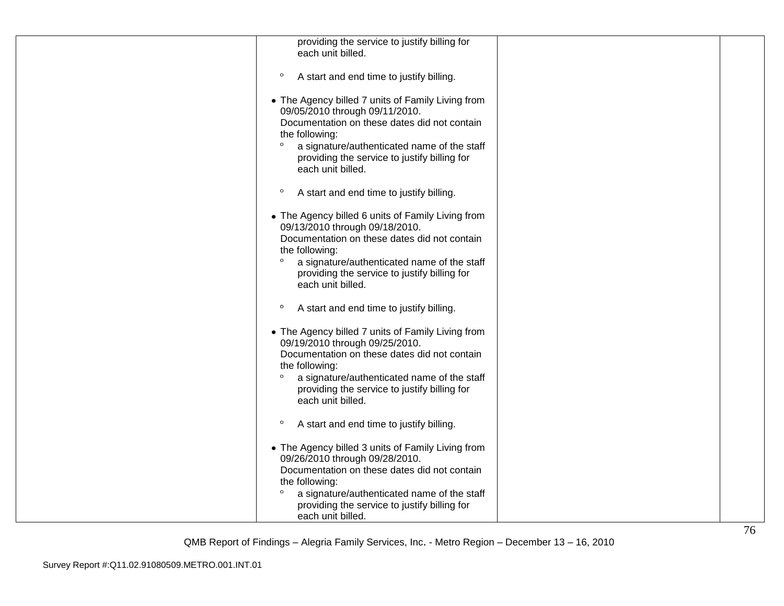| providing the service to justify billing for<br>each unit billed.                                                                                                                                                                                                                    |  |
|--------------------------------------------------------------------------------------------------------------------------------------------------------------------------------------------------------------------------------------------------------------------------------------|--|
| $\circ$<br>A start and end time to justify billing.                                                                                                                                                                                                                                  |  |
| • The Agency billed 7 units of Family Living from<br>09/05/2010 through 09/11/2010.<br>Documentation on these dates did not contain<br>the following:<br>$\circ$<br>a signature/authenticated name of the staff<br>providing the service to justify billing for<br>each unit billed. |  |
| $\circ$<br>A start and end time to justify billing.                                                                                                                                                                                                                                  |  |
| • The Agency billed 6 units of Family Living from<br>09/13/2010 through 09/18/2010.<br>Documentation on these dates did not contain<br>the following:<br>$\circ$<br>a signature/authenticated name of the staff<br>providing the service to justify billing for<br>each unit billed. |  |
| $\circ$<br>A start and end time to justify billing.                                                                                                                                                                                                                                  |  |
| • The Agency billed 7 units of Family Living from<br>09/19/2010 through 09/25/2010.<br>Documentation on these dates did not contain<br>the following:<br>$\circ$<br>a signature/authenticated name of the staff<br>providing the service to justify billing for<br>each unit billed. |  |
| $\circ$<br>A start and end time to justify billing.                                                                                                                                                                                                                                  |  |
| • The Agency billed 3 units of Family Living from<br>09/26/2010 through 09/28/2010.<br>Documentation on these dates did not contain<br>the following:<br>$\circ$<br>a signature/authenticated name of the staff<br>providing the service to justify billing for<br>each unit billed. |  |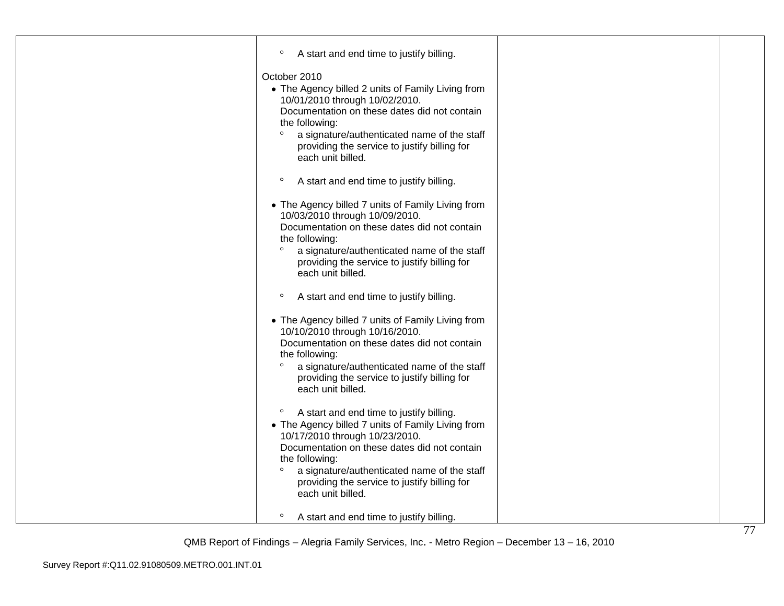| $\circ$<br>A start and end time to justify billing.                                                                                                                                                                                                                                                                                         |  |
|---------------------------------------------------------------------------------------------------------------------------------------------------------------------------------------------------------------------------------------------------------------------------------------------------------------------------------------------|--|
| October 2010<br>• The Agency billed 2 units of Family Living from<br>10/01/2010 through 10/02/2010.<br>Documentation on these dates did not contain<br>the following:<br>$\circ$<br>a signature/authenticated name of the staff<br>providing the service to justify billing for<br>each unit billed.                                        |  |
| $\circ$<br>A start and end time to justify billing.                                                                                                                                                                                                                                                                                         |  |
| • The Agency billed 7 units of Family Living from<br>10/03/2010 through 10/09/2010.<br>Documentation on these dates did not contain<br>the following:<br>a signature/authenticated name of the staff<br>$\circ$<br>providing the service to justify billing for<br>each unit billed.                                                        |  |
| $\circ$<br>A start and end time to justify billing.                                                                                                                                                                                                                                                                                         |  |
| • The Agency billed 7 units of Family Living from<br>10/10/2010 through 10/16/2010.<br>Documentation on these dates did not contain<br>the following:<br>$\circ$<br>a signature/authenticated name of the staff<br>providing the service to justify billing for<br>each unit billed.                                                        |  |
| $\circ$<br>A start and end time to justify billing.<br>• The Agency billed 7 units of Family Living from<br>10/17/2010 through 10/23/2010.<br>Documentation on these dates did not contain<br>the following:<br>$\circ$<br>a signature/authenticated name of the staff<br>providing the service to justify billing for<br>each unit billed. |  |
| $\circ$<br>A start and end time to justify billing.                                                                                                                                                                                                                                                                                         |  |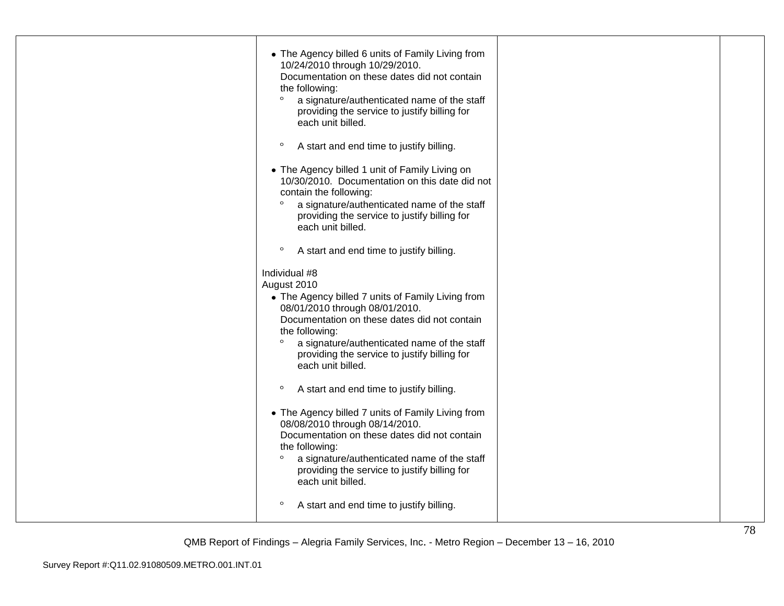| • The Agency billed 6 units of Family Living from<br>10/24/2010 through 10/29/2010.<br>Documentation on these dates did not contain<br>the following:<br>$\circ$<br>a signature/authenticated name of the staff<br>providing the service to justify billing for<br>each unit billed.<br>$\circ$<br>A start and end time to justify billing.<br>• The Agency billed 1 unit of Family Living on |  |
|-----------------------------------------------------------------------------------------------------------------------------------------------------------------------------------------------------------------------------------------------------------------------------------------------------------------------------------------------------------------------------------------------|--|
| 10/30/2010. Documentation on this date did not<br>contain the following:<br>$\circ$<br>a signature/authenticated name of the staff<br>providing the service to justify billing for<br>each unit billed.                                                                                                                                                                                       |  |
| $\circ$<br>A start and end time to justify billing.                                                                                                                                                                                                                                                                                                                                           |  |
| Individual #8<br>August 2010<br>• The Agency billed 7 units of Family Living from<br>08/01/2010 through 08/01/2010.<br>Documentation on these dates did not contain<br>the following:<br>$\circ$<br>a signature/authenticated name of the staff<br>providing the service to justify billing for<br>each unit billed.                                                                          |  |
| $\circ$<br>A start and end time to justify billing.                                                                                                                                                                                                                                                                                                                                           |  |
| • The Agency billed 7 units of Family Living from<br>08/08/2010 through 08/14/2010.<br>Documentation on these dates did not contain<br>the following:<br>$\circ$<br>a signature/authenticated name of the staff<br>providing the service to justify billing for<br>each unit billed.                                                                                                          |  |
| $\circ$<br>A start and end time to justify billing.                                                                                                                                                                                                                                                                                                                                           |  |
|                                                                                                                                                                                                                                                                                                                                                                                               |  |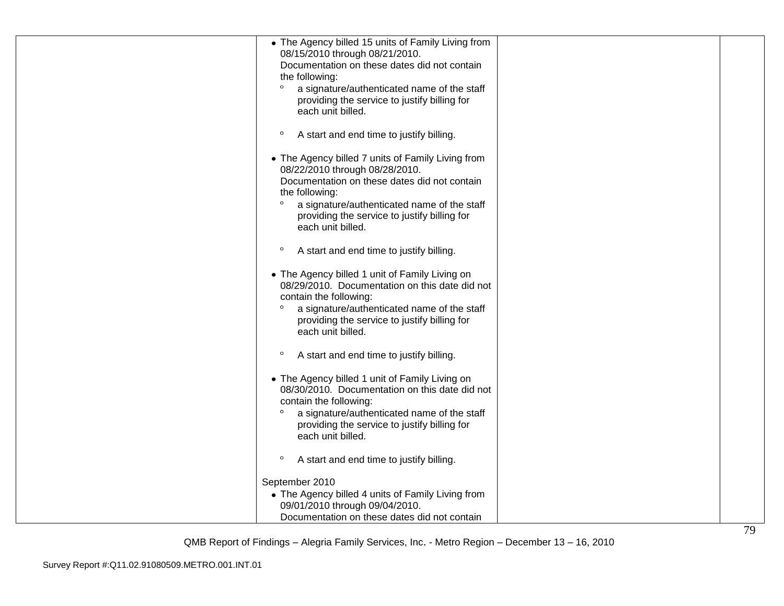| • The Agency billed 15 units of Family Living from<br>08/15/2010 through 08/21/2010.<br>Documentation on these dates did not contain<br>the following:<br>$\circ$<br>a signature/authenticated name of the staff<br>providing the service to justify billing for<br>each unit billed. |  |
|---------------------------------------------------------------------------------------------------------------------------------------------------------------------------------------------------------------------------------------------------------------------------------------|--|
| $\circ$<br>A start and end time to justify billing.                                                                                                                                                                                                                                   |  |
| • The Agency billed 7 units of Family Living from<br>08/22/2010 through 08/28/2010.<br>Documentation on these dates did not contain<br>the following:<br>$\circ$<br>a signature/authenticated name of the staff<br>providing the service to justify billing for<br>each unit billed.  |  |
| $\circ$<br>A start and end time to justify billing.                                                                                                                                                                                                                                   |  |
| • The Agency billed 1 unit of Family Living on<br>08/29/2010. Documentation on this date did not<br>contain the following:<br>$\circ$<br>a signature/authenticated name of the staff<br>providing the service to justify billing for<br>each unit billed.                             |  |
| $\circ$<br>A start and end time to justify billing.                                                                                                                                                                                                                                   |  |
| • The Agency billed 1 unit of Family Living on<br>08/30/2010. Documentation on this date did not<br>contain the following:<br>$\circ$<br>a signature/authenticated name of the staff<br>providing the service to justify billing for<br>each unit billed.                             |  |
| $\circ$<br>A start and end time to justify billing.                                                                                                                                                                                                                                   |  |
| September 2010<br>• The Agency billed 4 units of Family Living from                                                                                                                                                                                                                   |  |
| 09/01/2010 through 09/04/2010.<br>Documentation on these dates did not contain                                                                                                                                                                                                        |  |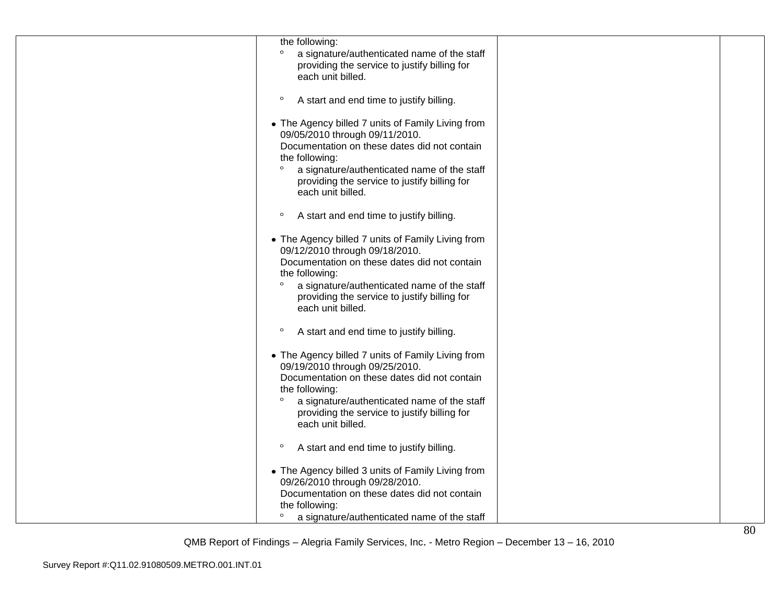| the following:<br>$\circ$<br>a signature/authenticated name of the staff<br>providing the service to justify billing for<br>each unit billed.                                                                                                                                        |  |
|--------------------------------------------------------------------------------------------------------------------------------------------------------------------------------------------------------------------------------------------------------------------------------------|--|
| $\circ$<br>A start and end time to justify billing.                                                                                                                                                                                                                                  |  |
| • The Agency billed 7 units of Family Living from<br>09/05/2010 through 09/11/2010.<br>Documentation on these dates did not contain<br>the following:<br>$\circ$<br>a signature/authenticated name of the staff<br>providing the service to justify billing for<br>each unit billed. |  |
| $\circ$<br>A start and end time to justify billing.                                                                                                                                                                                                                                  |  |
| • The Agency billed 7 units of Family Living from<br>09/12/2010 through 09/18/2010.<br>Documentation on these dates did not contain<br>the following:<br>$\circ$<br>a signature/authenticated name of the staff<br>providing the service to justify billing for<br>each unit billed. |  |
| $\circ$<br>A start and end time to justify billing.                                                                                                                                                                                                                                  |  |
| • The Agency billed 7 units of Family Living from<br>09/19/2010 through 09/25/2010.<br>Documentation on these dates did not contain<br>the following:<br>$\circ$<br>a signature/authenticated name of the staff<br>providing the service to justify billing for<br>each unit billed. |  |
| $\circ$<br>A start and end time to justify billing.                                                                                                                                                                                                                                  |  |
| • The Agency billed 3 units of Family Living from<br>09/26/2010 through 09/28/2010.<br>Documentation on these dates did not contain<br>the following:<br>$\circ$                                                                                                                     |  |
| a signature/authenticated name of the staff                                                                                                                                                                                                                                          |  |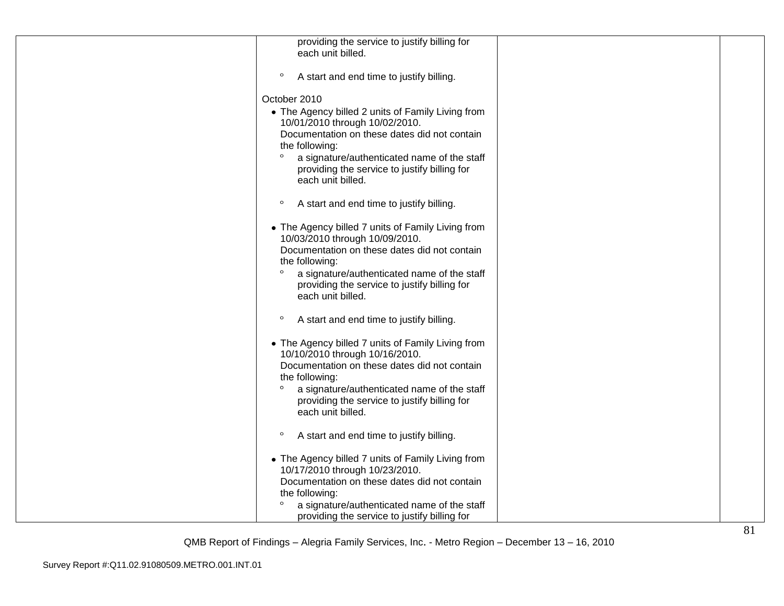| providing the service to justify billing for<br>each unit billed. |  |
|-------------------------------------------------------------------|--|
| $\circ$<br>A start and end time to justify billing.               |  |
| October 2010                                                      |  |
| • The Agency billed 2 units of Family Living from                 |  |
| 10/01/2010 through 10/02/2010.                                    |  |
| Documentation on these dates did not contain<br>the following:    |  |
| $\circ$<br>a signature/authenticated name of the staff            |  |
| providing the service to justify billing for                      |  |
| each unit billed.                                                 |  |
| $\circ$<br>A start and end time to justify billing.               |  |
| • The Agency billed 7 units of Family Living from                 |  |
| 10/03/2010 through 10/09/2010.                                    |  |
| Documentation on these dates did not contain<br>the following:    |  |
| $\circ$<br>a signature/authenticated name of the staff            |  |
| providing the service to justify billing for                      |  |
| each unit billed.                                                 |  |
| $\circ$<br>A start and end time to justify billing.               |  |
| • The Agency billed 7 units of Family Living from                 |  |
| 10/10/2010 through 10/16/2010.                                    |  |
| Documentation on these dates did not contain<br>the following:    |  |
| $\circ$<br>a signature/authenticated name of the staff            |  |
| providing the service to justify billing for<br>each unit billed. |  |
|                                                                   |  |
| $\circ$<br>A start and end time to justify billing.               |  |
| • The Agency billed 7 units of Family Living from                 |  |
| 10/17/2010 through 10/23/2010.                                    |  |
| Documentation on these dates did not contain<br>the following:    |  |
| $\circ$<br>a signature/authenticated name of the staff            |  |
| providing the service to justify billing for                      |  |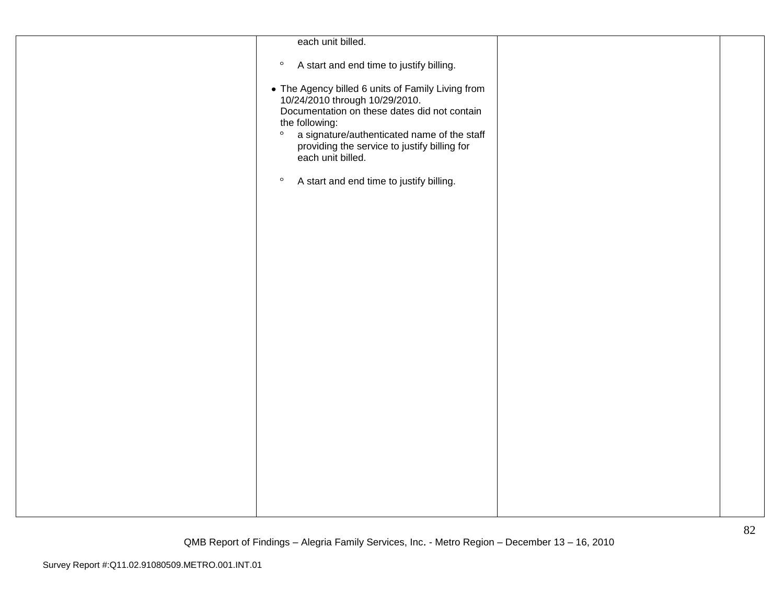| each unit billed.                                                                                                                                                                                                                                                                    |  |
|--------------------------------------------------------------------------------------------------------------------------------------------------------------------------------------------------------------------------------------------------------------------------------------|--|
| A start and end time to justify billing.<br>$\circ$                                                                                                                                                                                                                                  |  |
| • The Agency billed 6 units of Family Living from<br>10/24/2010 through 10/29/2010.<br>Documentation on these dates did not contain<br>the following:<br>$\circ$<br>a signature/authenticated name of the staff<br>providing the service to justify billing for<br>each unit billed. |  |
| A start and end time to justify billing.<br>$\circ$                                                                                                                                                                                                                                  |  |
|                                                                                                                                                                                                                                                                                      |  |
|                                                                                                                                                                                                                                                                                      |  |
|                                                                                                                                                                                                                                                                                      |  |
|                                                                                                                                                                                                                                                                                      |  |
|                                                                                                                                                                                                                                                                                      |  |
|                                                                                                                                                                                                                                                                                      |  |
|                                                                                                                                                                                                                                                                                      |  |
|                                                                                                                                                                                                                                                                                      |  |
|                                                                                                                                                                                                                                                                                      |  |
|                                                                                                                                                                                                                                                                                      |  |
|                                                                                                                                                                                                                                                                                      |  |
|                                                                                                                                                                                                                                                                                      |  |
|                                                                                                                                                                                                                                                                                      |  |
|                                                                                                                                                                                                                                                                                      |  |
|                                                                                                                                                                                                                                                                                      |  |
|                                                                                                                                                                                                                                                                                      |  |